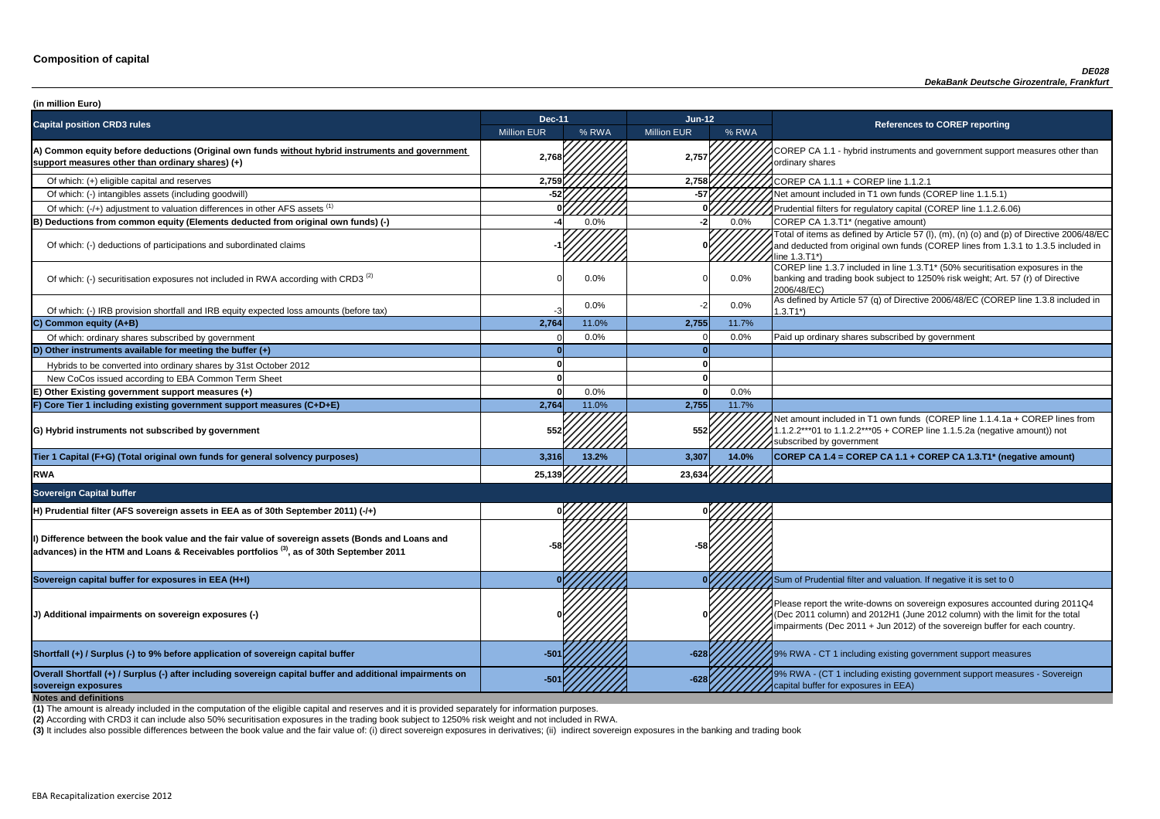**P CA 1.1 - hybrid instruments and government support measures other than** ry shares

of tial filters for regulatory capital (COREP line 1.1.2.6.06)

of items as defined by Article 57 (I), (m), (n) (o) and (p) of Directive 2006/48/EC educted from original own funds (COREP lines from 1.3.1 to 1.3.5 included in  $3.71^*$ 

 $\frac{1}{10}$  line 1.3.7 included in line 1.3.T1\* (50% securitisation exposures in the g and trading book subject to 1250% risk weight; Art. 57 (r) of Directive  $8/EC$ )

ned by Article 57 (q) of Directive 2006/48/EC (COREP line 1.3.8 included in

nount included in T1 own funds (COREP line 1.1.4.1a + COREP lines from  $2***01$  to 1.1.2.2\*\*\*05 + COREP line 1.1.5.2a (negative amount)) not ibed by government

**sovereign exposures -501 -628** 9% RWA - (CT 1 including existing government support measures - Sovereign buffer for exposures in EEA)

| (in million Euro)                                                                                                                                                                                    |                    |       |                    |         |                                                                                                                                                                                   |
|------------------------------------------------------------------------------------------------------------------------------------------------------------------------------------------------------|--------------------|-------|--------------------|---------|-----------------------------------------------------------------------------------------------------------------------------------------------------------------------------------|
| <b>Capital position CRD3 rules</b>                                                                                                                                                                   | <b>Dec-11</b>      |       | $Jun-12$           |         | <b>References to COREP reporting</b>                                                                                                                                              |
|                                                                                                                                                                                                      | <b>Million EUR</b> | % RWA | <b>Million EUR</b> | % RWA   |                                                                                                                                                                                   |
| A) Common equity before deductions (Original own funds without hybrid instruments and government<br>support measures other than ordinary shares) (+)                                                 | 2,768              |       | 2,757              |         | COREP CA 1.1 - hybrid instruments and government suppo<br>ordinary shares                                                                                                         |
| Of which: (+) eligible capital and reserves                                                                                                                                                          | 2,759              |       | 2,758              |         | COREP CA 1.1.1 + COREP line 1.1.2.1                                                                                                                                               |
| Of which: (-) intangibles assets (including goodwill)                                                                                                                                                |                    |       | -57                |         | Net amount included in T1 own funds (COREP line 1.1.5.1)                                                                                                                          |
| Of which: (-/+) adjustment to valuation differences in other AFS assets <sup>(1)</sup>                                                                                                               |                    |       |                    |         | Prudential filters for regulatory capital (COREP line 1.1.2.6.                                                                                                                    |
| B) Deductions from common equity (Elements deducted from original own funds) (-)                                                                                                                     |                    | 0.0%  | -21                | 0.0%    | COREP CA 1.3.T1* (negative amount)                                                                                                                                                |
| Of which: (-) deductions of participations and subordinated claims                                                                                                                                   |                    |       |                    |         | Total of items as defined by Article 57 (I), (m), (n) (o) and (p<br>and deducted from original own funds (COREP lines from 1<br>line 1.3.T1*)                                     |
| Of which: (-) securitisation exposures not included in RWA according with CRD3 <sup>(2)</sup>                                                                                                        |                    | 0.0%  |                    | $0.0\%$ | COREP line 1.3.7 included in line 1.3.T1* (50% securitisation<br>banking and trading book subject to 1250% risk weight; Art.<br>2006/48/EC)                                       |
| Of which: (-) IRB provision shortfall and IRB equity expected loss amounts (before tax)                                                                                                              | -3                 | 0.0%  |                    | $0.0\%$ | As defined by Article 57 (q) of Directive 2006/48/EC (CORE<br>$1.3.T1*)$                                                                                                          |
| C) Common equity (A+B)                                                                                                                                                                               | 2,764              | 11.0% | 2,755              | 11.7%   |                                                                                                                                                                                   |
| Of which: ordinary shares subscribed by government                                                                                                                                                   |                    | 0.0%  |                    | 0.0%    | Paid up ordinary shares subscribed by government                                                                                                                                  |
| D) Other instruments available for meeting the buffer $(+)$                                                                                                                                          |                    |       |                    |         |                                                                                                                                                                                   |
| Hybrids to be converted into ordinary shares by 31st October 2012                                                                                                                                    |                    |       |                    |         |                                                                                                                                                                                   |
| New CoCos issued according to EBA Common Term Sheet                                                                                                                                                  |                    |       |                    |         |                                                                                                                                                                                   |
| E) Other Existing government support measures (+)                                                                                                                                                    |                    | 0.0%  |                    | 0.0%    |                                                                                                                                                                                   |
| F) Core Tier 1 including existing government support measures (C+D+E)                                                                                                                                | 2,764              | 11.0% | 2,755              | 11.7%   |                                                                                                                                                                                   |
| G) Hybrid instruments not subscribed by government                                                                                                                                                   | 552†               |       | 552                |         | Net amount included in T1 own funds (COREP line 1.1.4.1a<br>1.1.2.2***01 to 1.1.2.2***05 + COREP line 1.1.5.2a (negativ<br>subscribed by government                               |
| Tier 1 Capital (F+G) (Total original own funds for general solvency purposes)                                                                                                                        | 3,316              | 13.2% | 3,307              | 14.0%   | COREP CA 1.4 = COREP CA 1.1 + COREP CA 1.3.T1* (ne                                                                                                                                |
| <b>RWA</b>                                                                                                                                                                                           | 25,139             |       | 23,634             |         |                                                                                                                                                                                   |
| <b>Sovereign Capital buffer</b>                                                                                                                                                                      |                    |       |                    |         |                                                                                                                                                                                   |
| H) Prudential filter (AFS sovereign assets in EEA as of 30th September 2011) (-/+)                                                                                                                   |                    |       |                    |         |                                                                                                                                                                                   |
| I) Difference between the book value and the fair value of sovereign assets (Bonds and Loans and<br>$ $ advances) in the HTM and Loans & Receivables portfolios $^{(3)}$ , as of 30th September 2011 |                    |       |                    |         |                                                                                                                                                                                   |
| Sovereign capital buffer for exposures in EEA (H+I)                                                                                                                                                  |                    |       |                    |         | Sum of Prudential filter and valuation. If negative it is set to                                                                                                                  |
| J) Additional impairments on sovereign exposures (-)                                                                                                                                                 |                    |       |                    |         | Please report the write-downs on sovereign exposures acco<br>(Dec 2011 column) and 2012H1 (June 2012 column) with th<br>impairments (Dec 2011 + Jun 2012) of the sovereign buffer |
| Shortfall (+) / Surplus (-) to 9% before application of sovereign capital buffer                                                                                                                     | $-501$             |       | $-628$             |         | 9% RWA - CT 1 including existing government support mea                                                                                                                           |
| Overall Shortfall (+) / Surplus (-) after including sovereign capital buffer and additional impairments on<br>sovereign exposures<br><b>Notes and definitions</b>                                    | -50                |       |                    |         | 9% RWA - (CT 1 including existing government support mea<br>capital buffer for exposures in EEA)                                                                                  |

**Tier 1 Capital (F+G) (Total original own funds for general solvency purposes) 3,316 13.2% 3,307 14.0% COREP CA 1.4 = COREP CA 1.1 + COREP CA 1.3.T1\* (negative amount)**

report the write-downs on sovereign exposures accounted during 2011Q4 (011 column) and 2012H1 (June 2012 column) with the limit for the total ments (Dec 2011 + Jun 2012) of the sovereign buffer for each country.

**A** - CT 1 including existing government support measures

**(2)** According with CRD3 it can include also 50% securitisation exposures in the trading book subject to 1250% risk weight and not included in RWA.

(3) It includes also possible differences between the book value and the fair value of: (i) direct sovereign exposures in derivatives; (ii) indirect sovereign exposures in the banking and trading book

**(1)** The amount is already included in the computation of the eligible capital and reserves and it is provided separately for information purposes.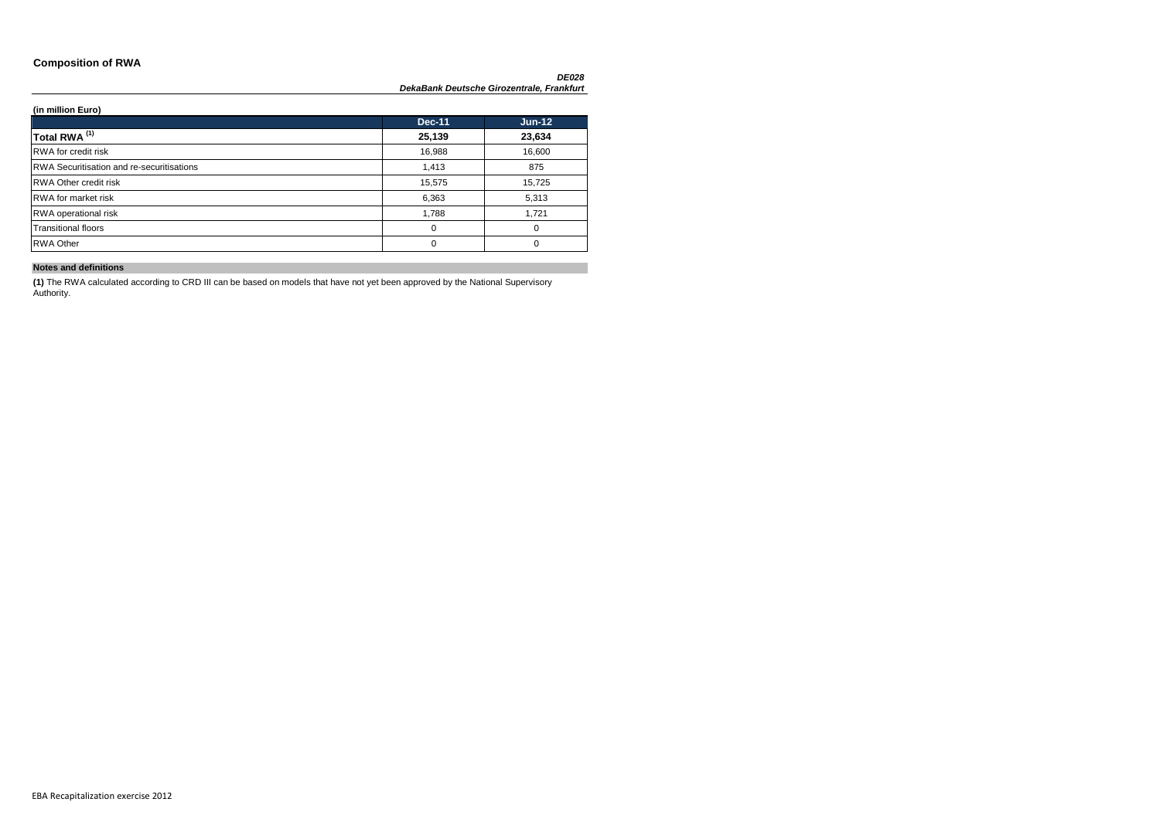### **Composition of RWA**

### **(in million Euro)**

|                                                  | <b>Dec-11</b> | $Jun-12$ |
|--------------------------------------------------|---------------|----------|
| Total RWA <sup>(1)</sup>                         | 25,139        | 23,634   |
| <b>RWA</b> for credit risk                       | 16,988        | 16,600   |
| <b>RWA Securitisation and re-securitisations</b> | 1,413         | 875      |
| <b>RWA Other credit risk</b>                     | 15,575        | 15,725   |
| <b>RWA</b> for market risk                       | 6,363         | 5,313    |
| <b>RWA</b> operational risk                      | 1,788         | 1,721    |
| <b>Transitional floors</b>                       | 0             | 0        |
| <b>RWA Other</b>                                 | $\Omega$      | $\Omega$ |

### **Notes and definitions**

**(1)** The RWA calculated according to CRD III can be based on models that have not yet been approved by the National Supervisory Authority.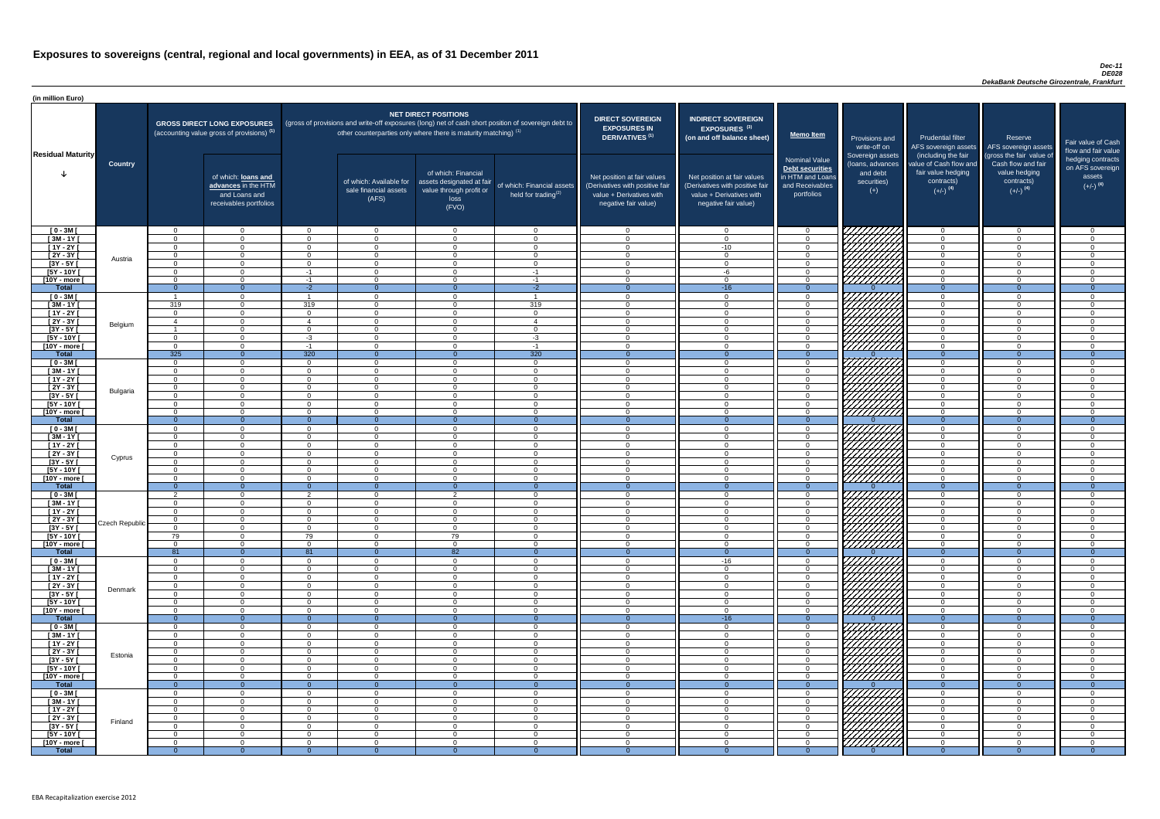#### *Dec-11 DE028 DekaBank Deutsche Girozentrale, Frankfurt*

| (in million Euro)                      |                |                            |                                                                                             |                        |                                                                            |                                                                                              |                                                                                                     |                                                                                                                    |                                                                                                                    |                                                                                       |                                                                                          |                                                                                                                                     |                                                                                                                                 |                                                                 |
|----------------------------------------|----------------|----------------------------|---------------------------------------------------------------------------------------------|------------------------|----------------------------------------------------------------------------|----------------------------------------------------------------------------------------------|-----------------------------------------------------------------------------------------------------|--------------------------------------------------------------------------------------------------------------------|--------------------------------------------------------------------------------------------------------------------|---------------------------------------------------------------------------------------|------------------------------------------------------------------------------------------|-------------------------------------------------------------------------------------------------------------------------------------|---------------------------------------------------------------------------------------------------------------------------------|-----------------------------------------------------------------|
|                                        |                |                            | <b>GROSS DIRECT LONG EXPOSURES</b><br>(accounting value gross of provisions) <sup>(1)</sup> |                        | other counterparties only where there is maturity matching) <sup>(1)</sup> | <b>NET DIRECT POSITIONS</b>                                                                  | (gross of provisions and write-off exposures (long) net of cash short position of sovereign debt to | <b>DIRECT SOVEREIGN</b><br><b>EXPOSURES IN</b><br>DERIVATIVES <sup>(1)</sup>                                       | <b>INDIRECT SOVEREIGN</b><br><b>EXPOSURES<sup>(3)</sup></b><br>(on and off balance sheet)                          | <b>Memo Item</b>                                                                      | Provisions and                                                                           | <b>Prudential filter</b>                                                                                                            | Reserve                                                                                                                         | Fair value                                                      |
| <b>Residual Maturity</b>               | <b>Country</b> |                            | of which: loans and<br>advances in the HTM<br>and Loans and<br>receivables portfolios       |                        | of which: Available for<br>sale financial assets<br>(AFS)                  | of which: Financial<br>assets designated at fair<br>value through profit or<br>loss<br>(FVO) | of which: Financial assets<br>held for trading <sup>(2)</sup>                                       | Net position at fair values<br>(Derivatives with positive fair<br>value + Derivatives with<br>negative fair value) | Net position at fair values<br>(Derivatives with positive fair<br>value + Derivatives with<br>negative fair value) | Nominal Value<br>Debt securities<br>in HTM and Loans<br>and Receivables<br>portfolios | write-off on<br>Sovereign assets<br>(loans, advances<br>and debt<br>securities)<br>$(+)$ | AFS sovereign assets<br>(including the fair<br>value of Cash flow and<br>fair value hedging<br>contracts)<br>$(+/-)$ <sup>(4)</sup> | AFS sovereign assets<br>(gross the fair value of<br>Cash flow and fair<br>value hedging<br>contracts)<br>$(+/-)$ <sup>(4)</sup> | flow and f<br>hedging o<br>on AFS <sub>s</sub><br>ass<br>$(+/-$ |
| $[0 - 3M]$                             |                | $\cap$                     | $\overline{0}$                                                                              | $\Omega$               | $\overline{0}$                                                             | $\overline{0}$                                                                               | $\cap$                                                                                              | $\cap$                                                                                                             | $\Omega$                                                                                                           | - 0                                                                                   | 777777777                                                                                | $\overline{0}$                                                                                                                      | $\overline{0}$                                                                                                                  |                                                                 |
| $[3M - 1Y]$                            |                | $\cap$                     | $\Omega$                                                                                    | $\Omega$               | $\Omega$                                                                   | $\Omega$                                                                                     | $\Omega$                                                                                            | $\Omega$                                                                                                           | $\Omega$                                                                                                           | $\overline{0}$                                                                        |                                                                                          | $\Omega$                                                                                                                            | $\Omega$                                                                                                                        |                                                                 |
| $[1Y - 2Y]$                            |                | $\Omega$<br>$\Omega$       | $\Omega$<br>$\Omega$                                                                        | $\Omega$<br>$\Omega$   | $\Omega$<br>$\Omega$                                                       | $\Omega$<br>$\Omega$                                                                         | $\Omega$<br>$\Omega$                                                                                | $\Omega$<br>$\Omega$                                                                                               | $-10$<br>$\Omega$                                                                                                  | $\Omega$<br>$\Omega$                                                                  |                                                                                          | $\Omega$<br>$\Omega$                                                                                                                | $\Omega$<br>$\Omega$                                                                                                            |                                                                 |
| $[2Y - 3Y]$<br>$[3Y - 5Y]$             | Austria        | $\Omega$                   | $\Omega$                                                                                    | $\Omega$               | $\overline{0}$                                                             | $\Omega$                                                                                     | $\Omega$                                                                                            | $\Omega$                                                                                                           | $\Omega$                                                                                                           | $\Omega$                                                                              |                                                                                          | $\Omega$                                                                                                                            | $\Omega$                                                                                                                        |                                                                 |
| $[5Y - 10Y]$                           |                | $\Omega$                   | $\Omega$                                                                                    | -1                     | $\Omega$                                                                   | $\Omega$                                                                                     | $-1$                                                                                                | $\cap$                                                                                                             | -6                                                                                                                 | $\Omega$                                                                              |                                                                                          | $\Omega$                                                                                                                            | $\Omega$                                                                                                                        |                                                                 |
| [10Y - more [                          |                | $\cap$                     | $\Omega$                                                                                    | $-1$                   | $\overline{0}$                                                             | $\Omega$                                                                                     | $-1$                                                                                                | $\Omega$                                                                                                           | $\cap$                                                                                                             | $\overline{0}$                                                                        | 777777777                                                                                | $\overline{0}$                                                                                                                      | $\Omega$                                                                                                                        |                                                                 |
| <b>Total</b><br>$[0 - 3M]$             |                | $\Omega$<br>$\overline{1}$ | $\Omega$<br>$\Omega$                                                                        | $-2$<br>$\overline{1}$ | $\Omega$<br>$\Omega$                                                       | $\cap$<br>$\Omega$                                                                           | $-2$<br>$\overline{1}$                                                                              | $\cap$                                                                                                             | $-16$<br>$\Omega$                                                                                                  | - 0<br>$\overline{0}$                                                                 | 777777777                                                                                | $\Omega$<br>$\Omega$                                                                                                                | $\Omega$<br>$\Omega$                                                                                                            |                                                                 |
| $[3M - 1Y]$                            |                | 319                        | $\Omega$                                                                                    | 319                    | $\overline{0}$                                                             | $\Omega$                                                                                     | 319                                                                                                 | $\Omega$                                                                                                           | $\Omega$                                                                                                           | $\Omega$                                                                              |                                                                                          | $\Omega$                                                                                                                            | $\overline{0}$                                                                                                                  |                                                                 |
| $[1Y - 2Y]$                            |                | $\Omega$                   | $\overline{0}$                                                                              | $\Omega$               | $\overline{0}$                                                             | $\overline{0}$                                                                               | $\Omega$                                                                                            | $\Omega$                                                                                                           | $\Omega$                                                                                                           | $\overline{0}$                                                                        |                                                                                          | $\overline{0}$                                                                                                                      | $\overline{0}$                                                                                                                  |                                                                 |
| $[2Y - 3Y]$                            | Belgium        | $\overline{4}$             | $\Omega$                                                                                    | $\overline{A}$         | $\overline{0}$                                                             | $\Omega$                                                                                     | $\overline{4}$                                                                                      | $\Omega$                                                                                                           | $\Omega$                                                                                                           | $\overline{0}$                                                                        |                                                                                          | $\overline{0}$                                                                                                                      | $\overline{0}$                                                                                                                  |                                                                 |
| $[3Y - 5Y]$<br>$[5Y - 10Y]$            |                | $\Omega$                   | $\Omega$<br>$\Omega$                                                                        | $\Omega$<br>$-3$       | $\Omega$<br>$\Omega$                                                       | $\Omega$<br>$\Omega$                                                                         | $\cap$<br>$-3$                                                                                      | $\Omega$                                                                                                           | $\cap$                                                                                                             | $\Omega$<br>$\Omega$                                                                  | <i>VIIIIIII</i> A                                                                        | $\Omega$<br>$\Omega$                                                                                                                | $\Omega$<br>$\Omega$                                                                                                            |                                                                 |
| [10Y - more [                          |                | $\Omega$                   | $\Omega$                                                                                    | $-1$                   | $\Omega$                                                                   | $\Omega$                                                                                     | $-1$                                                                                                |                                                                                                                    | $\cap$                                                                                                             | $\Omega$                                                                              | 777777777                                                                                | $\Omega$                                                                                                                            | $\Omega$                                                                                                                        |                                                                 |
| <b>Total</b>                           |                | 325                        | $\Omega$                                                                                    | 320                    | $\overline{0}$                                                             | $\Omega$                                                                                     | 320                                                                                                 | $\cap$                                                                                                             | $\Omega$                                                                                                           | $\overline{0}$                                                                        |                                                                                          | $\overline{0}$                                                                                                                      | $\Omega$                                                                                                                        |                                                                 |
| $[0 - 3M]$                             |                | $\Omega$                   | $\Omega$                                                                                    | $\Omega$               | $\overline{0}$                                                             | $\Omega$                                                                                     | $\cap$                                                                                              |                                                                                                                    | $\cap$                                                                                                             | $\Omega$                                                                              |                                                                                          | $\Omega$                                                                                                                            | $\Omega$                                                                                                                        |                                                                 |
| $[3M - 1Y]$<br>$[1Y - 2Y]$             |                | $\Omega$<br>$\Omega$       | $\Omega$<br>$\Omega$                                                                        | $\Omega$<br>$\Omega$   | $\Omega$<br>$\Omega$                                                       | $\Omega$<br>$\Omega$                                                                         | $\Omega$<br>$\cap$                                                                                  | $\cap$<br>$\cap$                                                                                                   | $\Omega$<br>$\cap$                                                                                                 | $\Omega$<br>$\Omega$                                                                  |                                                                                          | $\overline{0}$<br>$\overline{0}$                                                                                                    | $\Omega$<br>$\Omega$                                                                                                            |                                                                 |
| $[2Y - 3Y]$                            |                | $\Omega$                   | $\Omega$                                                                                    | $\Omega$               | $\Omega$                                                                   | $\Omega$                                                                                     | $\Omega$                                                                                            | $\cap$                                                                                                             | $\cap$                                                                                                             | $\Omega$                                                                              | <i>WAHAA</i>                                                                             | $\Omega$                                                                                                                            | $\overline{0}$                                                                                                                  |                                                                 |
| [ $3Y - 5Y$ ]                          | Bulgaria       |                            |                                                                                             |                        |                                                                            |                                                                                              |                                                                                                     |                                                                                                                    |                                                                                                                    |                                                                                       | \ <i>\HHHH\</i>                                                                          |                                                                                                                                     |                                                                                                                                 |                                                                 |
| $[5Y - 10Y]$                           |                | $\Omega$                   | $\Omega$                                                                                    | $\Omega$               | $\Omega$                                                                   | $\Omega$                                                                                     |                                                                                                     |                                                                                                                    | $\Omega$                                                                                                           | $\Omega$                                                                              |                                                                                          | $\Omega$                                                                                                                            | $\Omega$                                                                                                                        |                                                                 |
| [10Y - more [<br><b>Total</b>          |                | $\Omega$<br>$\overline{0}$ | $\Omega$<br>$\Omega$                                                                        | $\Omega$<br>$\Omega$   | $\overline{0}$<br>$\Omega$                                                 | $\Omega$<br>- 0                                                                              | $\Omega$                                                                                            |                                                                                                                    | ∩                                                                                                                  | $\Omega$<br>$\Omega$                                                                  | ////////                                                                                 | $\Omega$<br>$\overline{0}$                                                                                                          | $\Omega$<br>$\Omega$                                                                                                            |                                                                 |
| $[0 - 3M]$                             |                | $\Omega$                   | $\Omega$                                                                                    | $\Omega$               | $\Omega$                                                                   | $\Omega$                                                                                     |                                                                                                     | ◠                                                                                                                  | $\Omega$                                                                                                           | $\cap$                                                                                |                                                                                          | $\Omega$                                                                                                                            | $\Omega$                                                                                                                        |                                                                 |
| $[3M - 1Y]$                            |                | $\cap$                     | $\Omega$                                                                                    | $\Omega$               | $\Omega$                                                                   | $\Omega$                                                                                     |                                                                                                     |                                                                                                                    | ∩                                                                                                                  | $\Omega$                                                                              |                                                                                          | $\Omega$                                                                                                                            | $\Omega$                                                                                                                        |                                                                 |
| $\sqrt{1Y-2Y}$                         |                |                            | $\Omega$                                                                                    | $\Omega$               | $\Omega$                                                                   | $\Omega$                                                                                     |                                                                                                     |                                                                                                                    |                                                                                                                    | $\Omega$                                                                              | <b>17777</b>                                                                             | $\Omega$                                                                                                                            | $\Omega$                                                                                                                        |                                                                 |
| $\overline{[2Y-3Y]}$<br>$[3Y - 5Y]$    | Cyprus         | $\Omega$                   | $\Omega$<br>$\Omega$                                                                        | - ೧<br>$\Omega$        | $\Omega$<br>$\Omega$                                                       | $\Omega$<br>$\Omega$                                                                         | $\Omega$<br>$\cap$                                                                                  | $\cap$                                                                                                             | $\Omega$<br>$\Omega$                                                                                               | - 0<br>$\Omega$                                                                       |                                                                                          | $\Omega$<br>$\Omega$                                                                                                                | $\Omega$<br>$\Omega$                                                                                                            |                                                                 |
| $[5Y - 10Y]$                           |                | $\Omega$                   | $\Omega$                                                                                    | $\Omega$               | $\Omega$                                                                   | $\Omega$                                                                                     | $\Omega$                                                                                            |                                                                                                                    | ∩                                                                                                                  | $\Omega$                                                                              |                                                                                          | $\Omega$                                                                                                                            | $\Omega$                                                                                                                        |                                                                 |
| [10Y - more [                          |                | $\Omega$                   | $\Omega$                                                                                    | $\Omega$               | $\Omega$                                                                   | $\Omega$                                                                                     | $\Omega$                                                                                            | $\Omega$                                                                                                           | $\Omega$                                                                                                           | $\Omega$                                                                              |                                                                                          | $\overline{0}$                                                                                                                      | $\Omega$                                                                                                                        |                                                                 |
| <b>Total</b>                           |                | $\Omega$<br>$\Omega$       | $\Omega$                                                                                    | -0<br>$\mathcal{P}$    | - റ                                                                        | ົດ                                                                                           | $\Omega$                                                                                            |                                                                                                                    | $\Omega$                                                                                                           | $\Omega$<br>$\cap$                                                                    |                                                                                          | $\Omega$                                                                                                                            | $\Omega$                                                                                                                        |                                                                 |
| $[0 - 3M]$<br>$\sqrt{3M-11}$           |                | $\Omega$                   | $\overline{0}$                                                                              | $\Omega$               | $\Omega$<br>$\overline{0}$                                                 | $\Omega$                                                                                     | $\Omega$                                                                                            | $\Omega$                                                                                                           | $\Omega$                                                                                                           | $\overline{0}$                                                                        | 777777777                                                                                | $\Omega$<br>$\overline{0}$                                                                                                          | $\Omega$<br>$\Omega$                                                                                                            |                                                                 |
| $[1Y - 2Y]$                            |                | $\Omega$                   | $\Omega$                                                                                    | $\Omega$               | $\overline{0}$                                                             | $\Omega$                                                                                     | $\Omega$                                                                                            | $\Omega$                                                                                                           | $\Omega$                                                                                                           | $\Omega$                                                                              |                                                                                          | $\overline{0}$                                                                                                                      | $\overline{0}$                                                                                                                  |                                                                 |
| $\boxed{2Y - 3Y}$                      | Czech Republic | $\Omega$                   | $\Omega$                                                                                    | - റ                    | $\overline{0}$                                                             | $\Omega$                                                                                     |                                                                                                     |                                                                                                                    | $\Omega$                                                                                                           | $\Omega$                                                                              |                                                                                          | $\Omega$                                                                                                                            | $\Omega$                                                                                                                        |                                                                 |
| $\overline{[3Y - 5Y]}$<br>$[5Y - 10Y]$ |                | $\Omega$<br>79             | $\overline{0}$<br>$\overline{0}$                                                            | $\Omega$<br>79         | $\overline{0}$<br>$\Omega$                                                 | $\Omega$<br>79                                                                               |                                                                                                     |                                                                                                                    | $\Omega$<br>$\Omega$                                                                                               | $\Omega$<br>$\Omega$                                                                  |                                                                                          | $\overline{0}$<br>$\Omega$                                                                                                          | $\overline{0}$<br>$\Omega$                                                                                                      |                                                                 |
| [10Y - more [                          |                | $\Omega$                   | $\Omega$                                                                                    | $\Omega$               | $\Omega$                                                                   | $\Omega$                                                                                     |                                                                                                     |                                                                                                                    | $\Omega$                                                                                                           | $\cap$                                                                                | 77777777                                                                                 | $\Omega$                                                                                                                            | $\Omega$                                                                                                                        |                                                                 |
| <b>Total</b>                           |                | 81                         | $\overline{0}$                                                                              | 81                     | $\Omega$                                                                   | 82                                                                                           | $\overline{0}$                                                                                      |                                                                                                                    | $\Omega$                                                                                                           | $\Omega$                                                                              |                                                                                          | $\overline{0}$                                                                                                                      | $\Omega$                                                                                                                        |                                                                 |
| $[0 - 3M]$                             |                | $\Omega$<br>$\cap$         | $\overline{0}$                                                                              | $\Omega$               | $\overline{0}$                                                             | $\Omega$                                                                                     | $\cap$<br>$\cap$                                                                                    | $\cap$<br>$\cap$                                                                                                   | $-16$                                                                                                              | $\Omega$                                                                              |                                                                                          | $\Omega$                                                                                                                            | $\Omega$                                                                                                                        |                                                                 |
| $[3M - 1Y]$<br>$[1Y - 2Y]$             |                | $\Omega$                   | $\Omega$<br>$\overline{0}$                                                                  | $\Omega$<br>$\Omega$   | $\Omega$<br>$\overline{0}$                                                 | $\Omega$<br>$\overline{0}$                                                                   | $\Omega$                                                                                            | $\Omega$                                                                                                           | $\Omega$<br>$\cap$                                                                                                 | $\Omega$<br>$\Omega$                                                                  |                                                                                          | $\overline{0}$<br>$\overline{0}$                                                                                                    | $\Omega$<br>$\Omega$                                                                                                            |                                                                 |
| $\overline{[2Y-3Y]}$                   |                | $\Omega$                   | $\Omega$                                                                                    | $\Omega$               | $\overline{0}$                                                             | $\Omega$                                                                                     | $\Omega$                                                                                            | $\cap$                                                                                                             | $\Omega$                                                                                                           | $\Omega$                                                                              |                                                                                          | $\overline{0}$                                                                                                                      | $\Omega$                                                                                                                        |                                                                 |
| $[3Y - 5Y]$                            | Denmark        | $\Omega$                   | $\Omega$                                                                                    | $\Omega$               | $\Omega$                                                                   | $\Omega$                                                                                     | $\Omega$                                                                                            | $\Omega$                                                                                                           | $\Omega$                                                                                                           | $\Omega$                                                                              |                                                                                          | $\overline{0}$                                                                                                                      | $\Omega$                                                                                                                        |                                                                 |
| $[5Y - 10Y]$                           |                | $\Omega$                   | $\overline{0}$                                                                              | $\Omega$               | $\overline{0}$                                                             | $\overline{0}$                                                                               | $\Omega$<br>$\Omega$                                                                                | $\Omega$<br>$\Omega$                                                                                               | $\Omega$                                                                                                           | $\Omega$                                                                              | UMM)                                                                                     | $\overline{0}$                                                                                                                      | $\Omega$                                                                                                                        |                                                                 |
| [10Y - more [<br><b>Total</b>          |                | $\Omega$<br>$\overline{0}$ | $\Omega$<br>$\overline{0}$                                                                  | $\Omega$<br>- 0        | $\overline{0}$<br>$\Omega$                                                 | $\Omega$<br>$\cap$                                                                           | $\Omega$                                                                                            |                                                                                                                    | $\Omega$<br>$-16$                                                                                                  | $\Omega$<br>$\Omega$                                                                  | 77777777                                                                                 | $\overline{0}$<br>$\overline{0}$                                                                                                    | $\Omega$<br>$\Omega$                                                                                                            |                                                                 |
| $[0 - 3M]$                             |                | $\Omega$                   | $\Omega$                                                                                    | $\Omega$               | $\overline{0}$                                                             | $\Omega$                                                                                     |                                                                                                     |                                                                                                                    | $\Omega$                                                                                                           | $\Omega$                                                                              |                                                                                          | $\Omega$                                                                                                                            | $\Omega$                                                                                                                        |                                                                 |
| $[3M - 1Y]$                            |                |                            | $\Omega$                                                                                    | $\Omega$               | $\overline{0}$                                                             | $\Omega$                                                                                     |                                                                                                     |                                                                                                                    | $\Omega$                                                                                                           | $\Omega$                                                                              |                                                                                          | $\Omega$                                                                                                                            | $\Omega$                                                                                                                        |                                                                 |
| $[1Y - 2Y]$                            |                | $\cap$                     | $\Omega$                                                                                    | $\Omega$               | $\Omega$                                                                   | $\Omega$                                                                                     | $\cap$                                                                                              |                                                                                                                    | $\Omega$                                                                                                           | $\cap$<br>$\cap$                                                                      | 177<br>レンソン                                                                              | $\Omega$                                                                                                                            | $\Omega$                                                                                                                        |                                                                 |
| $[2Y - 3Y]$<br>$\overline{[3Y - 5Y]}$  | Estonia        | $\cap$                     | $\Omega$<br>$\Omega$                                                                        | $\Omega$<br>$\Omega$   | $\overline{0}$<br>$\Omega$                                                 | $\Omega$<br>$\Omega$                                                                         | $\cap$                                                                                              |                                                                                                                    | $\Omega$<br>$\Omega$                                                                                               | $\Omega$                                                                              |                                                                                          | $\Omega$<br>$\Omega$                                                                                                                | $\Omega$<br>$\Omega$                                                                                                            |                                                                 |
| $[5Y - 10Y]$                           |                | $\cap$                     | $\Omega$                                                                                    | $\Omega$               | $\Omega$                                                                   | $\Omega$                                                                                     | $\Omega$                                                                                            |                                                                                                                    | $\Omega$                                                                                                           | $\cap$                                                                                | レンプ                                                                                      | $\Omega$                                                                                                                            | $\Omega$                                                                                                                        |                                                                 |
| [10Y - more [                          |                | $\cap$                     | $\Omega$                                                                                    | $\Omega$               | $\Omega$                                                                   | റ                                                                                            | $\cap$                                                                                              | $\cap$                                                                                                             | $\cap$                                                                                                             | $\Omega$                                                                              | · <i>////</i>                                                                            | $\Omega$                                                                                                                            | $\Omega$                                                                                                                        |                                                                 |
| <b>Total</b>                           |                | $\Omega$                   | $\Omega$                                                                                    | $\Omega$<br>$\cap$     | $\Omega$<br>$\Omega$                                                       | $\Omega$                                                                                     |                                                                                                     |                                                                                                                    | $\cap$                                                                                                             | $\Omega$                                                                              | <i>V77777777</i>                                                                         | $\Omega$<br>$\Omega$                                                                                                                | $\Omega$<br>$\Omega$                                                                                                            |                                                                 |
| $[0 - 3M]$<br>$[3M - 1Y]$              |                | $\Omega$                   | $\Omega$                                                                                    | $\Omega$               | $\overline{0}$                                                             | $\overline{0}$                                                                               | $\Omega$                                                                                            | $\Omega$                                                                                                           | $\Omega$                                                                                                           | $\Omega$                                                                              |                                                                                          | $\overline{0}$                                                                                                                      | $\overline{0}$                                                                                                                  |                                                                 |
| $[1Y - 2Y]$                            |                | $\Omega$                   | $\overline{0}$                                                                              | $\Omega$               | $\overline{0}$                                                             | $\overline{0}$                                                                               | $\Omega$                                                                                            | $\Omega$                                                                                                           | $\Omega$                                                                                                           | $\overline{0}$                                                                        | <i>WIIIIA</i>                                                                            | $\overline{0}$                                                                                                                      | $\overline{0}$                                                                                                                  |                                                                 |
| $[2Y - 3Y]$                            | Finland        | $\Omega$                   | $\overline{0}$                                                                              | $\Omega$               | $\overline{0}$                                                             | $\overline{0}$                                                                               | $\Omega$                                                                                            | $\Omega$                                                                                                           | $\Omega$                                                                                                           | $\overline{0}$                                                                        |                                                                                          | $\overline{0}$                                                                                                                      | $\Omega$                                                                                                                        |                                                                 |
| $[3Y - 5Y]$                            |                | $\Omega$                   | $\overline{0}$                                                                              | $\Omega$<br>- റ        | $\overline{0}$                                                             | $\Omega$                                                                                     | - 0                                                                                                 | $\Omega$                                                                                                           | $\overline{0}$                                                                                                     | $\Omega$<br>$\Omega$                                                                  |                                                                                          | $\overline{0}$<br>$\Omega$                                                                                                          | $\Omega$<br>$\Omega$                                                                                                            | $\cap$<br>$\cap$                                                |
| $[5Y - 10Y]$<br>[10Y - more [          |                |                            | $\overline{0}$<br>$\overline{0}$                                                            | $\Omega$               | $\overline{0}$<br>$\Omega$                                                 | $\Omega$<br>$\Omega$                                                                         |                                                                                                     |                                                                                                                    | $\Omega$<br>$\Omega$                                                                                               | $\Omega$                                                                              | CHANA<br>CHANA                                                                           | $\Omega$                                                                                                                            | $\Omega$                                                                                                                        | C                                                               |
| <b>Total</b>                           |                | $\Omega$                   |                                                                                             | $\Omega$               | $\Omega$                                                                   |                                                                                              |                                                                                                     |                                                                                                                    |                                                                                                                    |                                                                                       |                                                                                          | $\Omega$                                                                                                                            |                                                                                                                                 |                                                                 |

| <b>DIRECT SOVEREIGN</b><br><b>EXPOSURES IN</b><br><b>DERIVATIVES<sup>(1)</sup></b><br>Net position at fair values<br>(Derivatives with positive fair<br>value + Derivatives with<br>negative fair value) | <b>INDIRECT SOVEREIGN</b><br>EXPOSURES <sup>(3)</sup><br>(on and off balance sheet)<br>Net position at fair values<br>(Derivatives with positive fair<br>value + Derivatives with<br>negative fair value) | <b>Memo Item</b><br><b>Nominal Value</b><br><b>Debt securities</b><br>in HTM and Loans<br>and Receivables<br>portfolios | Provisions and<br>write-off on<br>Sovereign assets<br>(loans, advances<br>and debt<br>securities)<br>$(+)$ | <b>Prudential filter</b><br>AFS sovereign assets<br>(including the fair<br>value of Cash flow and<br>fair value hedging<br>contracts)<br>$(+/-)$ <sup>(4)</sup> | Reserve<br>AFS sovereign assets<br>(gross the fair value of<br>Cash flow and fair<br>value hedging<br>contracts)<br>$(+/-)$ <sup>(4)</sup> | Fair value of Cash<br>flow and fair value<br>hedging contracts<br>on AFS sovereign<br>assets<br>$(+/-)$ <sup>(4)</sup> |
|----------------------------------------------------------------------------------------------------------------------------------------------------------------------------------------------------------|-----------------------------------------------------------------------------------------------------------------------------------------------------------------------------------------------------------|-------------------------------------------------------------------------------------------------------------------------|------------------------------------------------------------------------------------------------------------|-----------------------------------------------------------------------------------------------------------------------------------------------------------------|--------------------------------------------------------------------------------------------------------------------------------------------|------------------------------------------------------------------------------------------------------------------------|
| $\mathbf 0$                                                                                                                                                                                              | $\overline{0}$                                                                                                                                                                                            | $\overline{0}$                                                                                                          |                                                                                                            | $\overline{0}$                                                                                                                                                  | $\overline{0}$                                                                                                                             | $\mathbf 0$                                                                                                            |
| $\mathbf 0$                                                                                                                                                                                              | $\mathbf 0$                                                                                                                                                                                               | $\mathbf 0$                                                                                                             |                                                                                                            | $\mathbf 0$                                                                                                                                                     | $\mathbf 0$                                                                                                                                | 0                                                                                                                      |
| $\mathbf 0$                                                                                                                                                                                              | $-10$                                                                                                                                                                                                     | $\mathsf 0$                                                                                                             |                                                                                                            | $\pmb{0}$                                                                                                                                                       | $\mathbf 0$                                                                                                                                | $\overline{0}$                                                                                                         |
| $\mathbf 0$                                                                                                                                                                                              | $\mathbf 0$                                                                                                                                                                                               | $\mathbf 0$                                                                                                             |                                                                                                            | $\mathbf 0$                                                                                                                                                     | $\mathbf 0$                                                                                                                                | $\overline{0}$                                                                                                         |
| $\mathbf 0$<br>$\mathbf 0$                                                                                                                                                                               | $\mathbf 0$<br>$-6$                                                                                                                                                                                       | $\mathbf 0$<br>$\mathbf 0$                                                                                              |                                                                                                            | $\mathbf 0$<br>$\mathbf 0$                                                                                                                                      | $\mathbf 0$<br>$\mathbf 0$                                                                                                                 | 0<br>0                                                                                                                 |
| $\mathbf 0$                                                                                                                                                                                              | $\mathbf 0$                                                                                                                                                                                               | $\mathbf 0$                                                                                                             |                                                                                                            | $\mathbf 0$                                                                                                                                                     | $\mathbf 0$                                                                                                                                | 0                                                                                                                      |
| $\mathbf{0}$                                                                                                                                                                                             | $-16$                                                                                                                                                                                                     | $\overline{0}$                                                                                                          | $\Omega$                                                                                                   | $\overline{0}$                                                                                                                                                  | $\overline{0}$                                                                                                                             | $\overline{0}$                                                                                                         |
| $\mathbf 0$                                                                                                                                                                                              | $\mathbf 0$                                                                                                                                                                                               | $\mathbf 0$                                                                                                             |                                                                                                            | $\mathbf 0$                                                                                                                                                     | $\mathbf 0$                                                                                                                                | 0                                                                                                                      |
| $\mathbf 0$                                                                                                                                                                                              | $\mathbf 0$                                                                                                                                                                                               | $\mathbf 0$                                                                                                             |                                                                                                            | $\mathbf 0$                                                                                                                                                     | $\mathbf 0$                                                                                                                                | 0                                                                                                                      |
| $\mathbf 0$                                                                                                                                                                                              | $\mathbf 0$                                                                                                                                                                                               | $\mathbf 0$                                                                                                             |                                                                                                            | $\mathbf 0$                                                                                                                                                     | $\mathbf 0$                                                                                                                                | 0                                                                                                                      |
| $\mathbf 0$                                                                                                                                                                                              | $\mathbf 0$                                                                                                                                                                                               | $\mathbf 0$                                                                                                             |                                                                                                            | $\mathbf 0$                                                                                                                                                     | $\mathbf 0$                                                                                                                                | 0                                                                                                                      |
| $\mathbf 0$                                                                                                                                                                                              | $\mathbf 0$                                                                                                                                                                                               | $\mathbf 0$                                                                                                             |                                                                                                            | $\mathbf 0$                                                                                                                                                     | $\mathbf 0$                                                                                                                                | $\mathbf 0$                                                                                                            |
| $\mathbf 0$<br>$\mathbf 0$                                                                                                                                                                               | $\mathbf 0$<br>$\mathbf 0$                                                                                                                                                                                | $\mathbf 0$<br>$\mathbf 0$                                                                                              |                                                                                                            | $\mathbf 0$<br>$\mathbf 0$                                                                                                                                      | $\mathbf 0$<br>$\mathbf 0$                                                                                                                 | 0<br>0                                                                                                                 |
| $\mathbf{0}$                                                                                                                                                                                             | $\overline{0}$                                                                                                                                                                                            | $\overline{0}$                                                                                                          |                                                                                                            | $\overline{0}$                                                                                                                                                  | $\overline{0}$                                                                                                                             | $\overline{0}$                                                                                                         |
| $\mathbf 0$                                                                                                                                                                                              | $\mathbf 0$                                                                                                                                                                                               | $\mathbf 0$                                                                                                             |                                                                                                            | $\mathbf 0$                                                                                                                                                     | $\mathbf 0$                                                                                                                                | 0                                                                                                                      |
| $\mathbf 0$                                                                                                                                                                                              | $\mathbf 0$                                                                                                                                                                                               | $\mathbf 0$                                                                                                             |                                                                                                            | $\mathbf 0$                                                                                                                                                     | $\mathbf 0$                                                                                                                                | 0                                                                                                                      |
| $\mathbf 0$                                                                                                                                                                                              | $\mathbf 0$                                                                                                                                                                                               | $\mathbf 0$                                                                                                             |                                                                                                            | 0                                                                                                                                                               | $\mathbf 0$                                                                                                                                | $\mathbf 0$                                                                                                            |
| $\mathbf 0$                                                                                                                                                                                              | 0                                                                                                                                                                                                         | $\mathbf 0$                                                                                                             |                                                                                                            | 0                                                                                                                                                               | $\mathbf 0$                                                                                                                                | 0                                                                                                                      |
| $\mathbf 0$                                                                                                                                                                                              | $\mathbf 0$                                                                                                                                                                                               | $\mathbf 0$                                                                                                             |                                                                                                            | 0                                                                                                                                                               | $\mathbf 0$                                                                                                                                | 0                                                                                                                      |
| 0<br>$\mathbf 0$                                                                                                                                                                                         | 0<br>$\mathbf 0$                                                                                                                                                                                          | $\mathbf 0$<br>$\mathbf 0$                                                                                              |                                                                                                            | 0<br>0                                                                                                                                                          | $\Omega$<br>$\overline{0}$                                                                                                                 | 0<br>0                                                                                                                 |
| $\mathbf{0}$                                                                                                                                                                                             | $\overline{0}$                                                                                                                                                                                            | $\overline{0}$                                                                                                          | 0                                                                                                          | $\overline{0}$                                                                                                                                                  | $\overline{0}$                                                                                                                             | $\overline{0}$                                                                                                         |
| 0                                                                                                                                                                                                        | $\mathbf 0$                                                                                                                                                                                               | $\mathbf 0$                                                                                                             |                                                                                                            | $\mathbf 0$                                                                                                                                                     | $\overline{0}$                                                                                                                             | 0                                                                                                                      |
| $\mathbf 0$                                                                                                                                                                                              | $\mathbf 0$                                                                                                                                                                                               | $\mathbf 0$                                                                                                             |                                                                                                            | $\mathbf 0$                                                                                                                                                     | $\overline{0}$                                                                                                                             | 0                                                                                                                      |
| $\mathbf 0$                                                                                                                                                                                              | $\mathbf 0$                                                                                                                                                                                               | $\mathbf 0$                                                                                                             |                                                                                                            | $\mathbf 0$                                                                                                                                                     | $\mathbf 0$                                                                                                                                | 0                                                                                                                      |
| $\mathbf 0$                                                                                                                                                                                              | $\mathbf 0$                                                                                                                                                                                               | $\mathbf 0$                                                                                                             |                                                                                                            | $\pmb{0}$                                                                                                                                                       | $\mathbf 0$                                                                                                                                | 0                                                                                                                      |
| $\boldsymbol{0}$                                                                                                                                                                                         | $\mathbf 0$                                                                                                                                                                                               | $\mathbf 0$                                                                                                             |                                                                                                            | $\pmb{0}$                                                                                                                                                       | $\mathbf 0$                                                                                                                                | 0                                                                                                                      |
| 0<br>0                                                                                                                                                                                                   | 0<br>$\mathbf 0$                                                                                                                                                                                          | $\mathbf 0$<br>$\mathbf 0$                                                                                              |                                                                                                            | $\mathbf 0$<br>$\mathbf 0$                                                                                                                                      | 0<br>$\mathbf{0}$                                                                                                                          | 0<br>0                                                                                                                 |
| $\mathbf{0}$                                                                                                                                                                                             | $\overline{0}$                                                                                                                                                                                            | $\overline{0}$                                                                                                          | $\overline{0}$                                                                                             | $\overline{0}$                                                                                                                                                  | $\overline{0}$                                                                                                                             | $\overline{0}$                                                                                                         |
| 0                                                                                                                                                                                                        | $\mathbf 0$                                                                                                                                                                                               | $\pmb{0}$                                                                                                               |                                                                                                            | 0                                                                                                                                                               | 0                                                                                                                                          | 0                                                                                                                      |
| $\mathbf 0$                                                                                                                                                                                              | $\mathbf 0$                                                                                                                                                                                               | $\boldsymbol{0}$                                                                                                        |                                                                                                            | $\mathbf 0$                                                                                                                                                     | $\mathbf 0$                                                                                                                                | 0                                                                                                                      |
| $\mathbf 0$                                                                                                                                                                                              | $\mathbf 0$                                                                                                                                                                                               | $\mathbf 0$                                                                                                             |                                                                                                            | $\mathbf 0$                                                                                                                                                     | 0                                                                                                                                          | 0                                                                                                                      |
| $\mathbf 0$                                                                                                                                                                                              | $\mathbf 0$                                                                                                                                                                                               | $\mathbf 0$                                                                                                             |                                                                                                            | $\mathbf 0$                                                                                                                                                     | $\mathbf 0$                                                                                                                                | 0                                                                                                                      |
| $\mathbf 0$                                                                                                                                                                                              | $\mathbf 0$                                                                                                                                                                                               | $\mathsf 0$                                                                                                             |                                                                                                            | $\mathbf 0$                                                                                                                                                     | 0                                                                                                                                          | 0                                                                                                                      |
| 0<br>$\mathbf 0$                                                                                                                                                                                         | 0<br>$\mathbf 0$                                                                                                                                                                                          | $\mathsf 0$<br>$\mathbf 0$                                                                                              |                                                                                                            | $\mathbf 0$<br>$\mathbf 0$                                                                                                                                      | 0<br>0                                                                                                                                     | 0<br>0                                                                                                                 |
| $\mathbf{0}$                                                                                                                                                                                             | $\overline{0}$                                                                                                                                                                                            | $\overline{0}$                                                                                                          | $\mathbf{0}$                                                                                               | $\overline{0}$                                                                                                                                                  | $\overline{0}$                                                                                                                             | $\overline{0}$                                                                                                         |
| 0                                                                                                                                                                                                        | $-16$                                                                                                                                                                                                     | $\mathbf 0$                                                                                                             |                                                                                                            | 0                                                                                                                                                               | 0                                                                                                                                          | 0                                                                                                                      |
| 0                                                                                                                                                                                                        | 0                                                                                                                                                                                                         | $\mathbf 0$                                                                                                             |                                                                                                            | 0                                                                                                                                                               | $\Omega$                                                                                                                                   | 0                                                                                                                      |
| 0                                                                                                                                                                                                        | 0                                                                                                                                                                                                         | $\mathbf 0$                                                                                                             |                                                                                                            | 0                                                                                                                                                               | 0                                                                                                                                          | 0                                                                                                                      |
| 0                                                                                                                                                                                                        | 0                                                                                                                                                                                                         | $\mathbf 0$                                                                                                             |                                                                                                            | 0                                                                                                                                                               | $\mathbf{0}$                                                                                                                               | 0                                                                                                                      |
| $\mathbf 0$<br>$\mathbf 0$                                                                                                                                                                               | $\mathbf 0$<br>$\mathbf 0$                                                                                                                                                                                | $\mathbf 0$<br>$\boldsymbol{0}$                                                                                         |                                                                                                            | 0<br>$\mathbf 0$                                                                                                                                                | $\mathbf 0$<br>$\mathbf 0$                                                                                                                 | 0<br>0                                                                                                                 |
| $\mathbf 0$                                                                                                                                                                                              | $\mathbf 0$                                                                                                                                                                                               | $\mathbf 0$                                                                                                             |                                                                                                            | $\mathbf 0$                                                                                                                                                     | $\mathbf 0$                                                                                                                                | 0                                                                                                                      |
| $\mathbf{0}$                                                                                                                                                                                             | $-16$                                                                                                                                                                                                     | $\boldsymbol{0}$                                                                                                        | $\mathbf 0$                                                                                                | $\overline{0}$                                                                                                                                                  | $\overline{0}$                                                                                                                             | $\overline{0}$                                                                                                         |
| $\mathbf 0$                                                                                                                                                                                              | $\mathbf 0$                                                                                                                                                                                               | $\mathbf 0$                                                                                                             |                                                                                                            | 0                                                                                                                                                               | $\overline{0}$                                                                                                                             | 0                                                                                                                      |
| 0                                                                                                                                                                                                        | 0                                                                                                                                                                                                         | $\mathbf 0$                                                                                                             |                                                                                                            | 0                                                                                                                                                               | $\overline{0}$                                                                                                                             | 0                                                                                                                      |
| $\mathbf 0$                                                                                                                                                                                              | $\mathbf 0$                                                                                                                                                                                               | $\mathsf 0$                                                                                                             |                                                                                                            | $\mathbf 0$                                                                                                                                                     | $\overline{0}$                                                                                                                             | 0                                                                                                                      |
| $\mathbf 0$                                                                                                                                                                                              | $\mathbf 0$<br>$\mathbf 0$                                                                                                                                                                                | $\mathbf 0$<br>$\mathbf 0$                                                                                              |                                                                                                            | $\mathbf 0$<br>$\mathbf 0$                                                                                                                                      | $\overline{0}$<br>$\mathbf 0$                                                                                                              | $\overline{0}$<br>0                                                                                                    |
| $\mathbf 0$<br>$\mathbf 0$                                                                                                                                                                               | $\mathbf 0$                                                                                                                                                                                               | $\pmb{0}$                                                                                                               |                                                                                                            | $\mathbf 0$                                                                                                                                                     | $\mathbf 0$                                                                                                                                | 0                                                                                                                      |
| $\mathbf 0$                                                                                                                                                                                              | $\mathbf 0$                                                                                                                                                                                               | $\mathbf 0$                                                                                                             |                                                                                                            | $\mathbf 0$                                                                                                                                                     | $\mathbf 0$                                                                                                                                | 0                                                                                                                      |
| $\mathbf{0}$                                                                                                                                                                                             | $\overline{0}$                                                                                                                                                                                            | $\overline{0}$                                                                                                          | $\overline{0}$                                                                                             | $\overline{0}$                                                                                                                                                  | $\overline{0}$                                                                                                                             | $\overline{0}$                                                                                                         |
| $\mathbf 0$                                                                                                                                                                                              | $\mathbf 0$                                                                                                                                                                                               | $\mathbf 0$                                                                                                             |                                                                                                            | 0                                                                                                                                                               | 0                                                                                                                                          | 0                                                                                                                      |
| $\Omega$                                                                                                                                                                                                 | $\Omega$                                                                                                                                                                                                  | $\Omega$                                                                                                                |                                                                                                            | $\Omega$                                                                                                                                                        | $\Omega$                                                                                                                                   | $\Omega$                                                                                                               |
| $\mathbf 0$                                                                                                                                                                                              | $\overline{0}$                                                                                                                                                                                            | $\mathbf 0$                                                                                                             |                                                                                                            | $\overline{0}$                                                                                                                                                  | $\overline{0}$                                                                                                                             | $\mathbf 0$                                                                                                            |
| $\mathbf 0$                                                                                                                                                                                              | $\mathbf 0$                                                                                                                                                                                               | $\mathsf{O}\xspace$                                                                                                     |                                                                                                            | $\overline{0}$                                                                                                                                                  | $\overline{0}$                                                                                                                             | $\overline{0}$                                                                                                         |
| $\mathbf 0$<br>$\overline{0}$                                                                                                                                                                            | $\mathbf 0$<br>$\mathbf 0$                                                                                                                                                                                | $\overline{0}$<br>$\overline{0}$                                                                                        |                                                                                                            | $\mathbf 0$<br>$\overline{0}$                                                                                                                                   | $\overline{0}$<br>$\overline{0}$                                                                                                           | $\overline{0}$<br>$\overline{0}$                                                                                       |
| $\mathbf 0$                                                                                                                                                                                              | $\overline{0}$                                                                                                                                                                                            | $\mathbf 0$                                                                                                             |                                                                                                            | $\mathbf 0$                                                                                                                                                     | $\mathbf 0$                                                                                                                                | $\overline{0}$                                                                                                         |
| $\overline{0}$                                                                                                                                                                                           | $\overline{0}$                                                                                                                                                                                            | $\overline{0}$                                                                                                          | $\overline{0}$                                                                                             | $\overline{0}$                                                                                                                                                  | $\overline{0}$                                                                                                                             | $\overline{0}$                                                                                                         |
|                                                                                                                                                                                                          |                                                                                                                                                                                                           |                                                                                                                         |                                                                                                            |                                                                                                                                                                 |                                                                                                                                            |                                                                                                                        |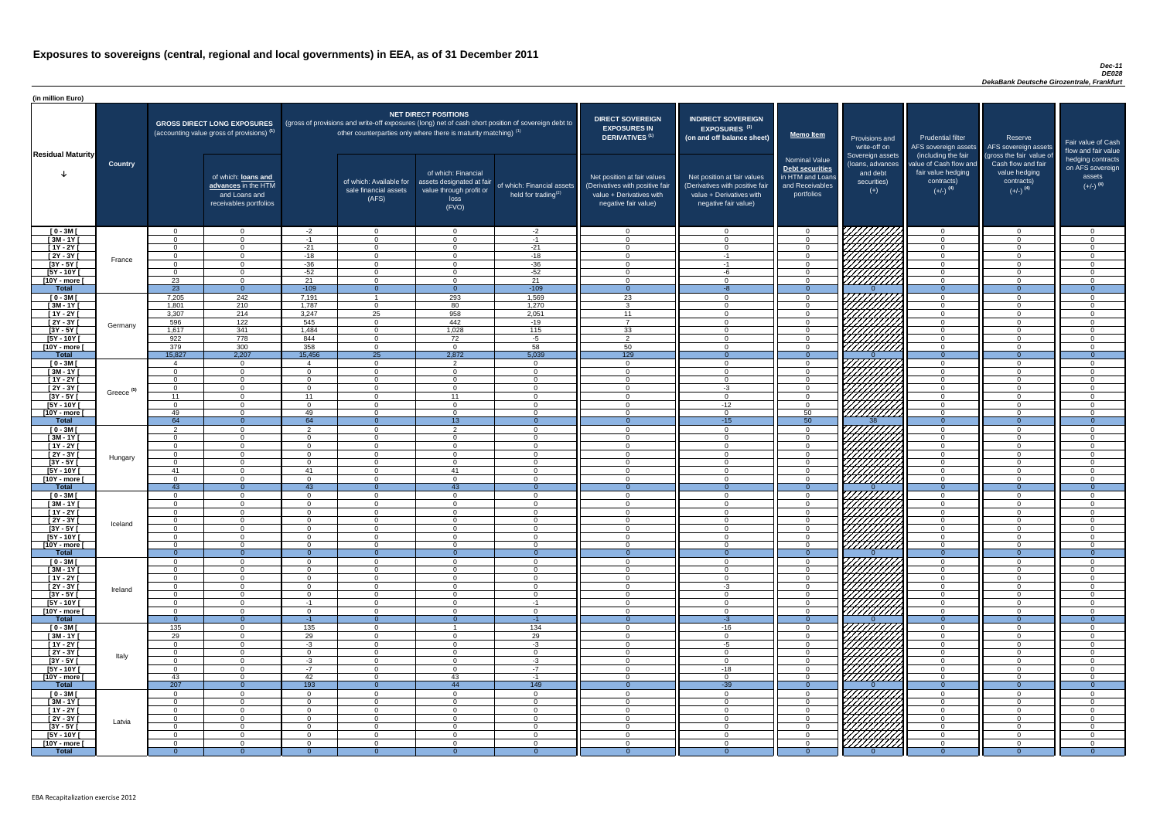#### *Dec-11 DE028 DekaBank Deutsche Girozentrale, Frankfurt*

| (in million Euro)             |                       |                                  |                                                                                             |                      |                                                                            |                                                                                              |                                                                                                     |                                                                                                                    |                                                                                                                    |                                                                                              |                                                      |                                                                                              |                                                                             |                                                                           |
|-------------------------------|-----------------------|----------------------------------|---------------------------------------------------------------------------------------------|----------------------|----------------------------------------------------------------------------|----------------------------------------------------------------------------------------------|-----------------------------------------------------------------------------------------------------|--------------------------------------------------------------------------------------------------------------------|--------------------------------------------------------------------------------------------------------------------|----------------------------------------------------------------------------------------------|------------------------------------------------------|----------------------------------------------------------------------------------------------|-----------------------------------------------------------------------------|---------------------------------------------------------------------------|
| <b>Residual Maturity</b>      |                       |                                  | <b>GROSS DIRECT LONG EXPOSURES</b><br>(accounting value gross of provisions) <sup>(1)</sup> |                      | other counterparties only where there is maturity matching) <sup>(1)</sup> | <b>NET DIRECT POSITIONS</b>                                                                  | (gross of provisions and write-off exposures (long) net of cash short position of sovereign debt to | <b>DIRECT SOVEREIGN</b><br><b>EXPOSURES IN</b><br>DERIVATIVES <sup>(1)</sup>                                       | <b>INDIRECT SOVEREIGN</b><br><b>EXPOSURES<sup>(3)</sup></b><br>(on and off balance sheet)                          | <b>Memo Item</b>                                                                             | Provisions and<br>write-off on<br>Sovereign assets   | <b>Prudential filter</b><br>AFS sovereign assets AFS sovereign assets<br>(including the fair | Reserve<br>(gross the fair value of                                         | Fair value of Cash<br>flow and fair value                                 |
|                               | <b>Country</b>        |                                  | of which: loans and<br>advances in the HTM<br>and Loans and<br>receivables portfolios       |                      | of which: Available for<br>sale financial assets<br>(AFS)                  | of which: Financial<br>assets designated at fair<br>value through profit or<br>loss<br>(FVO) | of which: Financial assets<br>held for trading $(2)$                                                | Net position at fair values<br>(Derivatives with positive fair<br>value + Derivatives with<br>negative fair value) | Net position at fair values<br>(Derivatives with positive fair<br>value + Derivatives with<br>negative fair value) | <b>Nominal Value</b><br>Debt securities<br>in HTM and Loans<br>and Receivables<br>portfolios | (loans, advances<br>and debt<br>securities)<br>$(+)$ | value of Cash flow and<br>fair value hedging<br>contracts)<br>$(+/-)$ <sup>(4)</sup>         | Cash flow and fair<br>value hedging<br>contracts)<br>$(+/-)$ <sup>(4)</sup> | hedging contracts<br>on AFS sovereign<br>assets<br>$(+/-)$ <sup>(4)</sup> |
| $[0 - 3M]$                    |                       | $\Omega$<br>$\Omega$             | $\Omega$<br>$\Omega$                                                                        | $-2$                 | $\overline{0}$<br>$\Omega$                                                 | $\Omega$<br>$\Omega$                                                                         | $-2$                                                                                                | $\Omega$<br>- 0                                                                                                    | $\cap$                                                                                                             | $\overline{0}$                                                                               | <i>ЧНННА</i>                                         | $\overline{0}$                                                                               |                                                                             | $\overline{0}$<br>$\Omega$                                                |
| $\sqrt{3M-1Y}$<br>$[1Y - 2Y]$ |                       | $\Omega$                         | $\Omega$                                                                                    | -1<br>$-21$          | $\Omega$                                                                   | $\Omega$                                                                                     | $-1$<br>$-21$                                                                                       | $\cap$                                                                                                             | $\Omega$                                                                                                           | $\Omega$<br>$\Omega$                                                                         | HAHARA<br>HAHARA                                     | $\overline{0}$<br>$\overline{0}$                                                             | $\Omega$                                                                    | $\Omega$                                                                  |
| $[2Y - 3Y]$                   |                       | $\Omega$                         | $\Omega$                                                                                    | $-18$                | $\Omega$                                                                   | $\Omega$                                                                                     | $-18$                                                                                               | $\Omega$                                                                                                           | $-1$                                                                                                               | $\overline{0}$                                                                               |                                                      | $\overline{0}$                                                                               | $\Omega$                                                                    | $\overline{0}$                                                            |
| $\overline{3Y - 5Y}$          | France                | $\Omega$                         | $\Omega$                                                                                    | $-36$                | $\Omega$                                                                   | $\Omega$                                                                                     | $-36$                                                                                               | $\cap$                                                                                                             | $-1$                                                                                                               | $\overline{0}$                                                                               |                                                      | $\overline{0}$                                                                               | $\Omega$                                                                    | $\overline{0}$                                                            |
| $[5Y - 10Y]$                  |                       | $\Omega$                         | $\Omega$                                                                                    | $-52$                | $\Omega$                                                                   | $\Omega$                                                                                     | $-52$                                                                                               | $\cap$                                                                                                             | -6                                                                                                                 | $\overline{0}$                                                                               |                                                      | $\overline{0}$                                                                               | $\Omega$<br>$\Omega$                                                        | $\overline{0}$                                                            |
| [10Y - more [<br><b>Total</b> |                       | 23<br>$\overline{23}$            | $\overline{0}$<br>$\overline{0}$                                                            | 21<br>$-109$         | $\overline{0}$<br>$\Omega$                                                 | $\Omega$<br>$\Omega$                                                                         | 21<br>$-109$                                                                                        | - 0<br>$\Omega$                                                                                                    | $\Omega$<br>-8                                                                                                     | $\overline{0}$<br>$\Omega$                                                                   |                                                      | $\overline{0}$<br>$\overline{0}$                                                             | $\Omega$                                                                    | $\Omega$<br>$\Omega$                                                      |
| $[0 - 3M]$                    |                       | 7,205                            | 242                                                                                         | 7,191                |                                                                            | 293                                                                                          | 1,569                                                                                               | 23                                                                                                                 | $\Omega$                                                                                                           | $\overline{0}$                                                                               |                                                      | $\overline{0}$                                                                               | $\Omega$                                                                    | $\overline{0}$                                                            |
| $[3M - 1Y]$                   |                       | 1,801                            | 210                                                                                         | 1,787                | $\overline{0}$                                                             | 80                                                                                           | 1,270                                                                                               | $\overline{\mathbf{3}}$                                                                                            | $\cap$                                                                                                             | $\overline{0}$                                                                               |                                                      | $\overline{0}$                                                                               | $\Omega$                                                                    | $\overline{0}$                                                            |
| $[1Y - 2Y]$                   |                       | 3,307                            | 214                                                                                         | 3,247                | $\overline{25}$                                                            | 958                                                                                          | 2,051                                                                                               | 11                                                                                                                 | $\cap$                                                                                                             | $\overline{0}$                                                                               |                                                      | $\overline{0}$                                                                               | $\cap$                                                                      | $\Omega$                                                                  |
| [2Y - 3Y [                    | Germany               | 596                              | 122<br>341                                                                                  | 545                  | $\Omega$                                                                   | 442<br>1,028                                                                                 | $-19$                                                                                               | $\overline{z}$                                                                                                     | $\cap$                                                                                                             | $\overline{0}$                                                                               |                                                      | $\overline{0}$                                                                               | $\Omega$<br>$\cap$                                                          | $\Omega$                                                                  |
| $[3Y - 5Y]$<br>$[5Y - 10Y]$   |                       | 1,617<br>922                     | 778                                                                                         | 1,484<br>844         | $\overline{0}$<br>$\Omega$                                                 | 72                                                                                           | 115<br>$-5$                                                                                         | 33<br>$\overline{2}$                                                                                               |                                                                                                                    | $\overline{0}$<br>$\Omega$                                                                   | WWW.                                                 | $\overline{0}$<br>$\overline{0}$                                                             | - വ                                                                         | $\overline{0}$<br>$\Omega$                                                |
| [10Y - more [                 |                       | 379                              | 300                                                                                         | 358                  | $\Omega$                                                                   | $\Omega$                                                                                     | 58                                                                                                  | 50                                                                                                                 | $\cap$                                                                                                             | $\Omega$                                                                                     | 777777777                                            | $\overline{0}$                                                                               | $\cap$                                                                      | $\Omega$                                                                  |
| <b>Total</b>                  |                       | 15,827                           | 2,207                                                                                       | 15,456               | $\overline{25}$                                                            | 2,872                                                                                        | 5,039                                                                                               | 129                                                                                                                |                                                                                                                    | $\Omega$                                                                                     |                                                      | $\overline{0}$                                                                               |                                                                             | $\Omega$                                                                  |
| $[0 - 3M]$                    |                       | $\boldsymbol{\Lambda}$           | $\overline{0}$                                                                              |                      | $\Omega$                                                                   | $\overline{2}$                                                                               | $\overline{0}$                                                                                      | - റ                                                                                                                | $\cap$                                                                                                             | $\Omega$                                                                                     |                                                      | $\overline{0}$                                                                               | $\sqrt{ }$                                                                  | $\Omega$                                                                  |
| $[3M - 1Y]$<br>$[1Y - 2Y]$    |                       | $\Omega$<br>$\Omega$             | $\overline{0}$<br>$\Omega$                                                                  | $\Omega$<br>$\Omega$ | $\Omega$<br>$\Omega$                                                       | $\Omega$<br>$\Omega$                                                                         | $\Omega$<br>$\overline{0}$                                                                          | $\cap$<br>$\Omega$                                                                                                 | $\sqrt{ }$<br>$\cap$                                                                                               | $\overline{0}$<br>$\overline{0}$                                                             |                                                      | $\overline{0}$<br>$\overline{0}$                                                             | $\sqrt{ }$<br>$\cap$                                                        | $\overline{0}$<br>$\overline{0}$                                          |
| $[2Y - 3Y]$                   |                       | $\Omega$                         | $\Omega$                                                                                    | $\Omega$             | $\Omega$                                                                   | $\Omega$                                                                                     | $\Omega$                                                                                            | - വ                                                                                                                | $-3$                                                                                                               | $\overline{0}$                                                                               | HAAAN T                                              | $\Omega$                                                                                     | $\Omega$                                                                    | $\Omega$                                                                  |
| $[3Y - 5Y]$                   | Greece <sup>(5)</sup> | 11                               |                                                                                             | 11                   |                                                                            | -11                                                                                          |                                                                                                     |                                                                                                                    |                                                                                                                    |                                                                                              |                                                      |                                                                                              |                                                                             |                                                                           |
| $[5Y - 10Y]$                  |                       | $\Omega$                         | $\Omega$                                                                                    | $\Omega$             | $\Omega$                                                                   | $\Omega$                                                                                     | $\Omega$                                                                                            | $\cap$                                                                                                             | $-12$                                                                                                              | $\Omega$                                                                                     | HHHA                                                 | $\Omega$                                                                                     |                                                                             | റ                                                                         |
| [10Y - more [<br><b>Total</b> |                       | 49<br>64                         | $\Omega$<br>$\Omega$                                                                        | 49<br>64             | $\Omega$<br>$\Omega$                                                       | $\Omega$<br>13 <sup>°</sup>                                                                  | $\Omega$<br>$\Omega$                                                                                | - റ                                                                                                                | $\cap$<br>$-15$                                                                                                    | 50<br>50                                                                                     | 38                                                   | $\Omega$<br>$\overline{0}$                                                                   | $\Omega$                                                                    | $\Omega$<br>$\Omega$                                                      |
| $[0 - 3M]$                    |                       |                                  | $\Omega$                                                                                    | ົ                    | $\Omega$                                                                   | ົ                                                                                            | $\Omega$                                                                                            | - 0                                                                                                                | $\cap$                                                                                                             | $\overline{0}$                                                                               |                                                      | $\overline{0}$                                                                               |                                                                             | $\Omega$                                                                  |
| $[3M - 1Y]$                   |                       | $\Omega$                         | $\Omega$                                                                                    | $\Omega$             | $\Omega$                                                                   | $\Omega$                                                                                     | $\Omega$                                                                                            | $\bigcap$                                                                                                          | $\cap$                                                                                                             | $\Omega$                                                                                     |                                                      | $\Omega$                                                                                     |                                                                             | $\Omega$                                                                  |
| $[1Y - 2Y]$                   |                       | $\Omega$                         | $\Omega$                                                                                    | $\Omega$             | $\Omega$                                                                   | $\Omega$                                                                                     | $\Omega$                                                                                            | $\cap$                                                                                                             | $\cap$                                                                                                             | $\Omega$                                                                                     |                                                      | $\overline{0}$                                                                               | $\cap$                                                                      | $\Omega$                                                                  |
| $[2Y - 3Y]$                   | Hungary               | $\Omega$                         | $\Omega$                                                                                    | $\Omega$<br>$\Omega$ | $\Omega$                                                                   | $\Omega$<br>$\Omega$                                                                         | $\Omega$                                                                                            | $\Omega$<br>$\Omega$                                                                                               | $\cap$<br>$\cap$                                                                                                   | $\Omega$                                                                                     |                                                      | $\overline{0}$                                                                               | $\Omega$<br>$\cap$                                                          | $\Omega$                                                                  |
| [3Y - 5Y [<br>$[5Y - 10Y]$    |                       | $\Omega$<br>41                   | $\overline{0}$<br>$\overline{0}$                                                            | 41                   | $\Omega$<br>$\Omega$                                                       | 41                                                                                           | $\Omega$<br>$\Omega$                                                                                | $\Omega$                                                                                                           | $\Omega$                                                                                                           | $\overline{0}$<br>$\overline{0}$                                                             |                                                      | $\overline{0}$<br>$\overline{0}$                                                             | $\Omega$                                                                    | $\Omega$<br>$\Omega$                                                      |
| [10Y - more [                 |                       | $\Omega$                         | $\Omega$                                                                                    | $\Omega$             | $\Omega$                                                                   | $\Omega$                                                                                     | $\Omega$                                                                                            | $\Omega$                                                                                                           | $\Omega$                                                                                                           | $\overline{0}$                                                                               | HHHA.                                                | $\overline{0}$                                                                               | $\Omega$                                                                    | $\Omega$                                                                  |
| <b>Total</b>                  |                       | 43                               | $\overline{0}$                                                                              | 43                   | $\Omega$                                                                   | 43                                                                                           | $\theta$                                                                                            | $\Omega$                                                                                                           | $\Omega$                                                                                                           | $\Omega$                                                                                     |                                                      | $\overline{0}$                                                                               | $\overline{0}$                                                              | $\Omega$                                                                  |
| $[0 - 3M]$                    |                       | $\overline{0}$                   | $\overline{0}$                                                                              | $\Omega$<br>$\Omega$ | $\overline{0}$<br>$\Omega$                                                 | $\Omega$<br>$\Omega$                                                                         | $\overline{0}$<br>$\Omega$                                                                          | - 0<br>- 0                                                                                                         | $\Omega$                                                                                                           | $\overline{0}$<br>$\Omega$                                                                   |                                                      | $\overline{0}$                                                                               | $\Omega$                                                                    | $\Omega$<br>$\Omega$                                                      |
| $[3M - 1Y]$<br>$[1Y - 2Y]$    |                       | $\Omega$<br>$\Omega$             | $\overline{0}$<br>$\Omega$                                                                  | O                    | $\Omega$                                                                   | $\Omega$                                                                                     | $\overline{0}$                                                                                      | - റ                                                                                                                |                                                                                                                    | $\Omega$                                                                                     |                                                      | $\overline{0}$<br>$\overline{0}$                                                             |                                                                             | $\Omega$                                                                  |
| $[2Y - 3Y]$                   | Iceland               | $\Omega$                         | $\overline{0}$                                                                              | 0                    | $\Omega$                                                                   | $\Omega$                                                                                     | $\overline{0}$                                                                                      | - 0                                                                                                                |                                                                                                                    | $\Omega$                                                                                     |                                                      | $\overline{0}$                                                                               |                                                                             | $\Omega$                                                                  |
| $[3Y - 5Y]$                   |                       | - 0                              | $\Omega$                                                                                    |                      | $\Omega$                                                                   | $\Omega$                                                                                     | $\Omega$                                                                                            | - 0                                                                                                                |                                                                                                                    | $\Omega$                                                                                     |                                                      | $\overline{0}$                                                                               |                                                                             | $\Omega$                                                                  |
| $[5Y - 10Y]$<br>[10Y - more [ |                       | - 0<br>$\Omega$                  | $\Omega$<br>$\Omega$                                                                        | $\Omega$<br>$\Omega$ | $\Omega$<br>- റ                                                            | $\Omega$<br>$\Omega$                                                                         | $\Omega$<br>$\Omega$                                                                                | - 0<br>- റ                                                                                                         | $\cap$                                                                                                             | $\Omega$<br>$\Omega$                                                                         | 77777777<br>77777777                                 | $\overline{0}$<br>$\overline{0}$                                                             | $\cap$                                                                      | $\Omega$<br>$\Omega$                                                      |
| <b>Total</b>                  |                       | $\Omega$                         | $\Omega$                                                                                    |                      | - 0                                                                        |                                                                                              |                                                                                                     | - 0                                                                                                                |                                                                                                                    | $\Omega$                                                                                     |                                                      | $\Omega$                                                                                     |                                                                             | - 0                                                                       |
| $[0 - 3M]$                    |                       | $\Omega$                         | $\overline{0}$                                                                              | $\Omega$             | $\Omega$                                                                   | $\Omega$                                                                                     | $\Omega$                                                                                            | - വ                                                                                                                | $\cap$                                                                                                             | $\Omega$                                                                                     |                                                      | $\overline{0}$                                                                               | $\Omega$                                                                    | $\Omega$                                                                  |
| $1$ 3M - 1Y                   |                       | $\Omega$                         | $\overline{0}$                                                                              | $\Omega$             | $\Omega$                                                                   | $\Omega$                                                                                     | $\Omega$                                                                                            | - 0                                                                                                                | $\cap$                                                                                                             | $\Omega$                                                                                     | VIIIIIIII                                            | $\overline{0}$                                                                               | $\cap$                                                                      | $\overline{0}$                                                            |
| $[1Y - 2Y]$<br>$[2Y - 3Y]$    |                       | $\Omega$<br>$\Omega$             | $\overline{0}$<br>$\Omega$                                                                  | $\Omega$<br>$\Omega$ | $\overline{0}$<br>$\Omega$                                                 | $\Omega$<br>$\Omega$                                                                         | $\Omega$<br>$\Omega$                                                                                | - 0<br>$\Omega$                                                                                                    | $\cap$<br>$-3$                                                                                                     | $\overline{0}$<br>$\Omega$                                                                   |                                                      | $\overline{0}$<br>$\overline{0}$                                                             | $\cap$<br>$\cap$                                                            | $\overline{0}$<br>$\Omega$                                                |
| [3Y - 5Y [                    | Ireland               | $\Omega$                         | $\overline{0}$                                                                              | $\Omega$             | $\overline{0}$                                                             | $\overline{0}$                                                                               | $\Omega$                                                                                            | - 0                                                                                                                | $\Omega$                                                                                                           | $\overline{0}$                                                                               | UMMA.                                                | $\overline{0}$                                                                               | - 0                                                                         | $\Omega$                                                                  |
| $[5Y - 10Y]$                  |                       | $\Omega$                         | $\overline{0}$                                                                              | -1                   | - 0                                                                        | $\Omega$                                                                                     | $-1$                                                                                                | - വ                                                                                                                | $\cap$                                                                                                             | $\Omega$                                                                                     | MMM)                                                 | $\overline{0}$                                                                               | $\cap$                                                                      | $\Omega$                                                                  |
| [10Y - more [                 |                       | $\Omega$                         | $\Omega$                                                                                    | $\Omega$             | $\Omega$                                                                   | $\Omega$                                                                                     | $\Omega$                                                                                            | $\cap$                                                                                                             | $\cap$                                                                                                             | $\Omega$                                                                                     |                                                      | $\overline{0}$                                                                               |                                                                             | $\Omega$                                                                  |
| <b>Total</b><br>$[0 - 3M]$    |                       | $\Omega$<br>135                  | $\overline{0}$<br>$\Omega$                                                                  | $-1$<br>135          | $\Omega$<br>$\Omega$                                                       |                                                                                              | $-1$<br>134                                                                                         | - റ<br>- 0                                                                                                         | $-3$<br>$-16$                                                                                                      | $\Omega$<br>$\Omega$                                                                         |                                                      | $\overline{0}$<br>$\overline{0}$                                                             |                                                                             | $\Omega$<br>$\Omega$                                                      |
| $[3M - 1Y]$                   |                       | 29                               | $\Omega$                                                                                    | 29                   | $\Omega$                                                                   | $\Omega$                                                                                     | 29                                                                                                  | - 0                                                                                                                | $\cap$                                                                                                             | $\Omega$                                                                                     |                                                      | $\overline{0}$                                                                               |                                                                             | $\Omega$                                                                  |
| $[1Y - 2Y]$                   |                       | $\Omega$                         | $\Omega$                                                                                    | $-3$                 | $\Omega$                                                                   | $\Omega$                                                                                     | $-3$                                                                                                | $\cap$                                                                                                             | $-5$                                                                                                               | $\Omega$                                                                                     |                                                      | $\Omega$                                                                                     | $\cap$                                                                      | $\Omega$                                                                  |
| $\boxed{2Y - 3Y}$             | Italy                 | $\Omega$                         | $\Omega$                                                                                    | $\Omega$             | $\Omega$                                                                   | $\Omega$                                                                                     | $\Omega$                                                                                            | $\cap$                                                                                                             | $\Omega$                                                                                                           | $\Omega$                                                                                     | ШША.                                                 | $\overline{0}$                                                                               | $\cap$                                                                      | $\Omega$                                                                  |
| $[3Y - 5Y]$<br>$[5Y - 10Y]$   |                       | $\Omega$<br>$\Omega$             | $\Omega$<br>$\Omega$                                                                        | $-3$<br>$-7$         | $\Omega$<br>$\Omega$                                                       | $\Omega$<br>$\Omega$                                                                         | $-3$<br>$-7$                                                                                        | $\cap$<br>$\cap$                                                                                                   | $\cap$<br>$-18$                                                                                                    | $\Omega$<br>$\overline{0}$                                                                   | EHHHAN                                               | $\overline{0}$<br>$\overline{0}$                                                             | ∩<br>$\Omega$                                                               | $\Omega$<br>$\Omega$                                                      |
| [10Y - more [                 |                       | 43                               | $\Omega$                                                                                    | 42                   | $\Omega$                                                                   | 43                                                                                           | $-1$                                                                                                | $\cap$                                                                                                             | $\Omega$                                                                                                           | $\Omega$                                                                                     | ////////////                                         | $\overline{0}$                                                                               | $\Omega$                                                                    | $\Omega$                                                                  |
| <b>Total</b>                  |                       | 207                              | $\overline{0}$                                                                              | 193                  | $\Omega$                                                                   | 44                                                                                           | 149                                                                                                 | $\Omega$                                                                                                           | $-39$                                                                                                              | $\Omega$                                                                                     |                                                      | $\Omega$                                                                                     | $\overline{0}$                                                              | $\Omega$                                                                  |
| $[0 - 3M]$                    |                       | $\Omega$                         | $\overline{0}$                                                                              | $\Omega$             | $\Omega$                                                                   | $\Omega$                                                                                     | $\Omega$                                                                                            | $\Omega$                                                                                                           | $\Omega$                                                                                                           | $\overline{0}$                                                                               | <i>VIIIIIII</i>                                      | $\Omega$                                                                                     | $\cap$                                                                      | $\Omega$                                                                  |
| $[3M-1Y]$<br>$[1Y - 2Y]$      |                       | $\Omega$                         | - 0<br>$\overline{0}$                                                                       | $\Omega$<br>$\Omega$ | $\Omega$<br>$\Omega$                                                       | $\Omega$                                                                                     | $\Omega$                                                                                            | - 0<br>$\Omega$                                                                                                    | $\cap$                                                                                                             | $\Omega$                                                                                     | CHANGE STATION                                       | $\overline{0}$                                                                               | $\cap$                                                                      | $\Omega$<br>$\Omega$                                                      |
| [2Y - 3Y [                    |                       | $\overline{0}$<br>$\overline{0}$ | $\mathbf 0$                                                                                 | $\mathbf{0}$         | $\Omega$                                                                   | $\overline{0}$<br>$\Omega$                                                                   | $\overline{0}$<br>$\mathbf 0$                                                                       | $\overline{0}$                                                                                                     |                                                                                                                    | $\overline{0}$<br>$\overline{0}$                                                             |                                                      | $\overline{0}$<br>$\overline{0}$                                                             |                                                                             | $\Omega$                                                                  |
| $[3Y - 5Y]$                   | Latvia                | 0                                | $\overline{0}$                                                                              | $\Omega$             | $\Omega$                                                                   | $\Omega$                                                                                     | $\overline{0}$                                                                                      | - റ                                                                                                                |                                                                                                                    | $\overline{0}$                                                                               |                                                      | $\overline{0}$                                                                               |                                                                             | $\Omega$                                                                  |
| $[5Y - 10Y]$                  |                       | - 0                              | $\overline{0}$                                                                              | $\Omega$             | $\Omega$                                                                   | $\Omega$                                                                                     | $\Omega$                                                                                            | - 0                                                                                                                |                                                                                                                    | $\overline{0}$                                                                               |                                                      | $\overline{0}$                                                                               |                                                                             | $\Omega$                                                                  |
| [10Y - more [                 |                       | $\Omega$                         | $\overline{0}$                                                                              | $\Omega$             | $\Omega$                                                                   | $\overline{0}$                                                                               | $\mathbf 0$                                                                                         | - 0                                                                                                                | $\cap$                                                                                                             | $\overline{0}$<br>- 0                                                                        |                                                      | $\overline{0}$                                                                               |                                                                             | $\Omega$                                                                  |
| <b>Total</b>                  |                       |                                  | $\overline{0}$                                                                              |                      | - 0                                                                        | 0                                                                                            | $\Omega$                                                                                            | - 0                                                                                                                |                                                                                                                    |                                                                                              |                                                      | - 0                                                                                          |                                                                             | $\overline{0}$                                                            |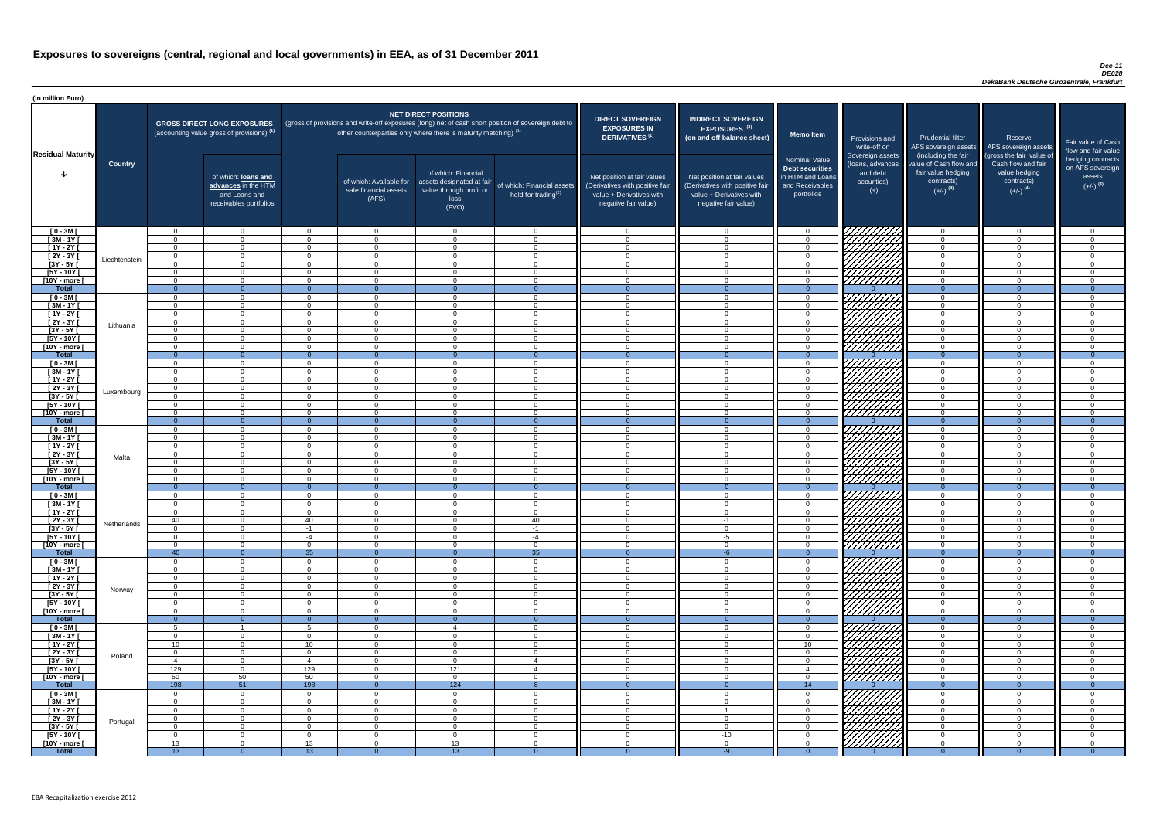#### *Dec-11 DE028 DekaBank Deutsche Girozentrale, Frankfurt*

| <b>DIRECT SOVEREIGN</b><br><b>EXPOSURES IN</b><br><b>DERIVATIVES<sup>(1)</sup></b><br>Net position at fair values<br>(Derivatives with positive fair<br>value + Derivatives with<br>negative fair value) | <b>INDIRECT SOVEREIGN</b><br>EXPOSURES <sup>(3)</sup><br>(on and off balance sheet)<br>Net position at fair values<br>(Derivatives with positive fair<br>value + Derivatives with<br>negative fair value) | <b>Memo Item</b><br><b>Nominal Value</b><br>Debt securities<br>in HTM and Loans<br>and Receivables<br>portfolios | Provisions and<br>write-off on<br>Sovereign assets<br>(loans, advances<br>and debt<br>securities)<br>$(+)$ | <b>Prudential filter</b><br>AFS sovereign assets<br>(including the fair<br>value of Cash flow and<br>fair value hedging<br>contracts)<br>$(+/-)$ <sup>(4)</sup> | Reserve<br>AFS sovereign assets<br>(gross the fair value of<br>Cash flow and fair<br>value hedging<br>contracts)<br>$(+/-)$ <sup>(4)</sup> | Fair value of Cash<br>flow and fair value<br>hedging contracts<br>on AFS sovereign<br>assets<br>$(+/-)$ <sup>(4)</sup> |
|----------------------------------------------------------------------------------------------------------------------------------------------------------------------------------------------------------|-----------------------------------------------------------------------------------------------------------------------------------------------------------------------------------------------------------|------------------------------------------------------------------------------------------------------------------|------------------------------------------------------------------------------------------------------------|-----------------------------------------------------------------------------------------------------------------------------------------------------------------|--------------------------------------------------------------------------------------------------------------------------------------------|------------------------------------------------------------------------------------------------------------------------|
| $\mathbf 0$                                                                                                                                                                                              | $\mathbf 0$                                                                                                                                                                                               | 0                                                                                                                |                                                                                                            | $\mathbf 0$                                                                                                                                                     | $\mathbf 0$                                                                                                                                | 0                                                                                                                      |
| $\mathbf 0$                                                                                                                                                                                              | $\mathbf 0$                                                                                                                                                                                               | $\mathbf 0$                                                                                                      |                                                                                                            | $\mathbf 0$                                                                                                                                                     | $\mathbf 0$                                                                                                                                | $\mathbf 0$                                                                                                            |
| $\pmb{0}$                                                                                                                                                                                                | $\mathbf 0$                                                                                                                                                                                               | $\mathbf 0$                                                                                                      |                                                                                                            | $\mathbf 0$                                                                                                                                                     | $\mathbf 0$                                                                                                                                | $\pmb{0}$                                                                                                              |
| $\pmb{0}$<br>$\mathbf 0$                                                                                                                                                                                 | $\mathbf 0$<br>$\mathbf 0$                                                                                                                                                                                | $\mathbf 0$<br>$\mathbf 0$                                                                                       |                                                                                                            | $\mathbf 0$<br>$\mathbf 0$                                                                                                                                      | $\mathbf 0$<br>$\mathbf 0$                                                                                                                 | $\mathbf 0$<br>$\mathbf 0$                                                                                             |
| $\mathbf 0$                                                                                                                                                                                              | $\mathbf{0}$                                                                                                                                                                                              | $\mathbf 0$                                                                                                      |                                                                                                            | $\mathbf 0$                                                                                                                                                     | $\mathbf 0$                                                                                                                                | $\mathsf 0$                                                                                                            |
| $\mathbf 0$                                                                                                                                                                                              | $\mathbf 0$                                                                                                                                                                                               | $\mathbf 0$                                                                                                      |                                                                                                            | $\mathbf 0$                                                                                                                                                     | $\mathbf 0$                                                                                                                                | $\overline{0}$                                                                                                         |
| $\overline{0}$<br>$\mathbf 0$                                                                                                                                                                            | $\overline{0}$<br>$\mathbf 0$                                                                                                                                                                             | $\overline{0}$<br>$\mathbf 0$                                                                                    | U                                                                                                          | $\overline{0}$<br>$\mathbf 0$                                                                                                                                   | $\overline{0}$<br>0                                                                                                                        | $\overline{0}$<br>$\pmb{0}$                                                                                            |
| $\mathbf 0$                                                                                                                                                                                              | $\mathbf 0$                                                                                                                                                                                               | $\mathbf 0$                                                                                                      |                                                                                                            | $\mathbf 0$                                                                                                                                                     | $\pmb{0}$                                                                                                                                  | $\mathbf 0$                                                                                                            |
| $\mathbf 0$                                                                                                                                                                                              | $\mathbf 0$                                                                                                                                                                                               | $\mathbf 0$                                                                                                      |                                                                                                            | $\mathbf 0$                                                                                                                                                     | $\mathbf 0$                                                                                                                                | $\mathbf 0$                                                                                                            |
| $\mathbf 0$                                                                                                                                                                                              | $\mathbf 0$                                                                                                                                                                                               | $\mathbf 0$                                                                                                      |                                                                                                            | $\mathbf 0$                                                                                                                                                     | $\mathbf 0$                                                                                                                                | $\mathsf 0$                                                                                                            |
| $\mathbf 0$                                                                                                                                                                                              | $\mathbf 0$<br>$\mathbf 0$                                                                                                                                                                                | $\mathbf 0$<br>$\pmb{0}$                                                                                         |                                                                                                            | $\mathbf 0$<br>$\mathbf 0$                                                                                                                                      | $\mathbf 0$<br>$\mathbf 0$                                                                                                                 | $\mathbf 0$<br>$\mathsf 0$                                                                                             |
| $\mathbf 0$<br>$\mathbf 0$                                                                                                                                                                               | $\mathbf 0$                                                                                                                                                                                               | $\pmb{0}$                                                                                                        |                                                                                                            | $\mathbf 0$                                                                                                                                                     | $\mathbf 0$                                                                                                                                | $\mathsf 0$                                                                                                            |
| $\overline{0}$                                                                                                                                                                                           | $\overline{O}$                                                                                                                                                                                            | $\overline{0}$                                                                                                   |                                                                                                            | $\overline{0}$                                                                                                                                                  | $\overline{0}$                                                                                                                             | $\overline{0}$                                                                                                         |
| 0                                                                                                                                                                                                        | $\mathbf 0$                                                                                                                                                                                               | 0                                                                                                                |                                                                                                            | $\mathbf 0$                                                                                                                                                     | $\mathbf 0$                                                                                                                                | $\mathbf 0$                                                                                                            |
| $\mathbf 0$<br>$\mathbf 0$                                                                                                                                                                               | $\mathbf 0$<br>$\mathbf 0$                                                                                                                                                                                | $\mathbf 0$                                                                                                      |                                                                                                            | $\mathbf 0$                                                                                                                                                     | $\mathbf 0$<br>$\mathbf 0$                                                                                                                 | $\mathsf 0$                                                                                                            |
| $\mathbf 0$                                                                                                                                                                                              | $\mathbf 0$                                                                                                                                                                                               | $\mathbf 0$<br>$\boldsymbol{0}$                                                                                  |                                                                                                            | $\mathbf 0$<br>$\mathbf 0$                                                                                                                                      | $\mathbf 0$                                                                                                                                | $\pmb{0}$<br>$\mathsf 0$                                                                                               |
| $\mathbf 0$                                                                                                                                                                                              | $\mathbf 0$                                                                                                                                                                                               | $\mathbf 0$                                                                                                      |                                                                                                            | $\mathbf 0$                                                                                                                                                     | 0                                                                                                                                          | $\mathbf 0$                                                                                                            |
| 0                                                                                                                                                                                                        | 0                                                                                                                                                                                                         | 0                                                                                                                |                                                                                                            | 0                                                                                                                                                               | 0                                                                                                                                          | 0                                                                                                                      |
| 0                                                                                                                                                                                                        | 0                                                                                                                                                                                                         | 0<br>$\mathbf{0}$                                                                                                |                                                                                                            | 0                                                                                                                                                               | $\mathbf 0$<br>$\overline{0}$                                                                                                              | $\mathbf 0$<br>$\overline{0}$                                                                                          |
| $\overline{0}$<br>0                                                                                                                                                                                      | $\overline{0}$<br>0                                                                                                                                                                                       | 0                                                                                                                | $\overline{0}$                                                                                             | $\overline{0}$<br>0                                                                                                                                             | $\mathbf 0$                                                                                                                                | 0                                                                                                                      |
| $\mathbf 0$                                                                                                                                                                                              | $\mathbf 0$                                                                                                                                                                                               | $\,0\,$                                                                                                          |                                                                                                            | $\mathbf 0$                                                                                                                                                     | $\mathbf 0$                                                                                                                                | $\mathsf 0$                                                                                                            |
| $\boldsymbol{0}$                                                                                                                                                                                         | $\mathbf 0$                                                                                                                                                                                               | $\pmb{0}$                                                                                                        |                                                                                                            | $\mathbf 0$                                                                                                                                                     | $\pmb{0}$                                                                                                                                  | $\mathbf 0$                                                                                                            |
| $\mathbf 0$                                                                                                                                                                                              | $\mathbf 0$                                                                                                                                                                                               | $\pmb{0}$                                                                                                        |                                                                                                            | $\mathbf 0$                                                                                                                                                     | 0                                                                                                                                          | $\mathsf 0$                                                                                                            |
| $\pmb{0}$<br>0                                                                                                                                                                                           | $\mathbf 0$<br>$\mathbf 0$                                                                                                                                                                                | $\pmb{0}$<br>$\mathbf 0$                                                                                         |                                                                                                            | $\mathbf 0$<br>$\mathbf 0$                                                                                                                                      | $\pmb{0}$<br>$\pmb{0}$                                                                                                                     | $\mathsf 0$<br>$\mathsf 0$                                                                                             |
| 0                                                                                                                                                                                                        | 0                                                                                                                                                                                                         | $\pmb{0}$                                                                                                        |                                                                                                            | $\mathbf 0$                                                                                                                                                     | $\mathsf 0$                                                                                                                                | $\mathbf 0$                                                                                                            |
| $\overline{0}$                                                                                                                                                                                           | $\overline{0}$                                                                                                                                                                                            | $\overline{0}$                                                                                                   | $\overline{0}$                                                                                             | $\overline{0}$                                                                                                                                                  | $\overline{0}$                                                                                                                             | $\overline{0}$                                                                                                         |
| $\boldsymbol{0}$                                                                                                                                                                                         | $\mathbf 0$                                                                                                                                                                                               | $\pmb{0}$                                                                                                        |                                                                                                            | $\mathbf 0$                                                                                                                                                     | $\pmb{0}$                                                                                                                                  | $\pmb{0}$                                                                                                              |
| $\mathbf 0$<br>0                                                                                                                                                                                         | $\mathbf 0$<br>0                                                                                                                                                                                          | $\pmb{0}$<br>0                                                                                                   |                                                                                                            | $\mathbf 0$<br>$\mathbf 0$                                                                                                                                      | 0<br>$\mathsf 0$                                                                                                                           | $\mathsf 0$<br>$\mathsf 0$                                                                                             |
| 0                                                                                                                                                                                                        | $-1$                                                                                                                                                                                                      | 0                                                                                                                |                                                                                                            | 0                                                                                                                                                               | $\mathbf 0$                                                                                                                                | $\mathbf 0$                                                                                                            |
| $\mathbf 0$                                                                                                                                                                                              | $\mathbf 0$                                                                                                                                                                                               | 0                                                                                                                |                                                                                                            | 0                                                                                                                                                               | $\mathbf 0$                                                                                                                                | $\mathbf 0$                                                                                                            |
| $\mathbf 0$<br>$\mathbf 0$                                                                                                                                                                               | $-5$<br>$\mathbf 0$                                                                                                                                                                                       | 0<br>$\pmb{0}$                                                                                                   |                                                                                                            | $\mathbf 0$<br>$\mathbf 0$                                                                                                                                      | $\mathsf 0$<br>$\mathbf 0$                                                                                                                 | $\pmb{0}$<br>$\mathbf 0$                                                                                               |
| $\overline{0}$                                                                                                                                                                                           | $-\overline{6}$                                                                                                                                                                                           | $\mathbf{0}$                                                                                                     | $\mathbf{0}$                                                                                               | $\overline{0}$                                                                                                                                                  | $\overline{0}$                                                                                                                             | $\mathbf{0}$                                                                                                           |
| 0                                                                                                                                                                                                        | $\mathbf 0$                                                                                                                                                                                               | 0                                                                                                                |                                                                                                            | $\mathbf 0$                                                                                                                                                     | 0                                                                                                                                          | 0                                                                                                                      |
| $\mathbf 0$                                                                                                                                                                                              | 0                                                                                                                                                                                                         | $\mathbf 0$                                                                                                      |                                                                                                            | 0                                                                                                                                                               | $\mathsf 0$                                                                                                                                | $\mathbf 0$                                                                                                            |
| 0<br>$\mathbf 0$                                                                                                                                                                                         | 0<br>$\mathbf 0$                                                                                                                                                                                          | 0<br>0                                                                                                           |                                                                                                            | 0<br>$\mathbf 0$                                                                                                                                                | 0<br>0                                                                                                                                     | 0<br>$\mathbf 0$                                                                                                       |
| $\mathbf 0$                                                                                                                                                                                              | 0                                                                                                                                                                                                         | $\mathbf 0$                                                                                                      |                                                                                                            | $\mathbf 0$                                                                                                                                                     | 0                                                                                                                                          | $\mathbf 0$                                                                                                            |
| 0                                                                                                                                                                                                        | 0                                                                                                                                                                                                         | 0                                                                                                                |                                                                                                            | 0                                                                                                                                                               | 0                                                                                                                                          | $\mathbf 0$                                                                                                            |
| 0                                                                                                                                                                                                        | 0                                                                                                                                                                                                         | 0                                                                                                                |                                                                                                            | $\mathbf 0$                                                                                                                                                     | 0                                                                                                                                          | $\mathbf 0$                                                                                                            |
| $\mathbf{0}$<br>0                                                                                                                                                                                        | $\overline{0}$<br>0                                                                                                                                                                                       | $\mathbf{0}$<br>0                                                                                                | $\overline{0}$                                                                                             | $\overline{0}$<br>0                                                                                                                                             | $\overline{0}$<br>$\Omega$                                                                                                                 | $\mathbf{0}$<br>0                                                                                                      |
| $\mathbf 0$                                                                                                                                                                                              | 0                                                                                                                                                                                                         | $\boldsymbol{0}$                                                                                                 |                                                                                                            | $\mathbf 0$                                                                                                                                                     | $\mathbf 0$                                                                                                                                | $\mathbf 0$                                                                                                            |
| $\mathbf 0$                                                                                                                                                                                              | $\mathbf 0$                                                                                                                                                                                               | 10                                                                                                               |                                                                                                            | $\mathbf 0$                                                                                                                                                     | $\mathbf 0$                                                                                                                                | $\mathsf 0$                                                                                                            |
| $\mathbf 0$                                                                                                                                                                                              | $\mathbf 0$                                                                                                                                                                                               | $\mathbf 0$                                                                                                      |                                                                                                            | $\mathbf 0$                                                                                                                                                     | $\mathbf 0$<br>$\mathbf 0$                                                                                                                 | $\mathsf 0$                                                                                                            |
| $\mathbf 0$<br>0                                                                                                                                                                                         | $\mathbf 0$<br>$\mathbf 0$                                                                                                                                                                                | $\mathbf 0$<br>4                                                                                                 |                                                                                                            | $\mathbf 0$<br>0                                                                                                                                                | $\pmb{0}$                                                                                                                                  | $\mathsf 0$<br>$\mathbf 0$                                                                                             |
| $\mathbf 0$                                                                                                                                                                                              | 0                                                                                                                                                                                                         | 0                                                                                                                |                                                                                                            | $\mathbf 0$                                                                                                                                                     | $\mathsf 0$                                                                                                                                | 0                                                                                                                      |
| $\overline{0}$                                                                                                                                                                                           | $\overline{0}$                                                                                                                                                                                            | 14                                                                                                               | $\mathbf 0$                                                                                                | $\Omega$                                                                                                                                                        | $\overline{0}$                                                                                                                             | $\mathbf{0}$                                                                                                           |
| $\pmb{0}$                                                                                                                                                                                                | $\mathbf 0$                                                                                                                                                                                               | $\mathbf 0$                                                                                                      |                                                                                                            | $\mathbf 0$                                                                                                                                                     | $\pmb{0}$                                                                                                                                  | $\mathsf 0$                                                                                                            |
| $\mathbf 0$<br>$\mathbf 0$                                                                                                                                                                               | $\Omega$<br>1                                                                                                                                                                                             | $\mathbf 0$<br>0                                                                                                 |                                                                                                            | $\Omega$<br>$\mathbf 0$                                                                                                                                         | $\mathbf 0$<br>$\mathsf 0$                                                                                                                 | $\mathbf 0$<br>0                                                                                                       |
| $\mathbf 0$                                                                                                                                                                                              | $\overline{0}$                                                                                                                                                                                            | $\mathbf 0$                                                                                                      |                                                                                                            | $\mathbf 0$                                                                                                                                                     | $\mathbf 0$                                                                                                                                | $\mathbf 0$                                                                                                            |
| $\overline{0}$                                                                                                                                                                                           | $\overline{0}$                                                                                                                                                                                            | 0                                                                                                                |                                                                                                            | $\mathbf 0$                                                                                                                                                     | $\mathbf 0$                                                                                                                                | $\mathbf 0$                                                                                                            |
| $\mathbf 0$                                                                                                                                                                                              | $-10$                                                                                                                                                                                                     | $\pmb{0}$                                                                                                        |                                                                                                            | $\mathbf 0$                                                                                                                                                     | $\mathbf 0$                                                                                                                                | $\mathbf 0$                                                                                                            |
| $\mathbf 0$<br>$\overline{0}$                                                                                                                                                                            | $\overline{0}$<br>$-9$                                                                                                                                                                                    | $\pmb{0}$<br>$\overline{0}$                                                                                      | $\Omega$                                                                                                   | $\mathbf 0$<br>$\overline{0}$                                                                                                                                   | $\mathbf 0$<br>$\overline{0}$                                                                                                              | $\mathsf{O}\xspace$<br>$\overline{0}$                                                                                  |
|                                                                                                                                                                                                          |                                                                                                                                                                                                           |                                                                                                                  |                                                                                                            |                                                                                                                                                                 |                                                                                                                                            |                                                                                                                        |

| (in million Euro)             |                |                            |                                                                                             |                                      |                                                                      |                                                                                              |                                                                                                     |                                                                                                                    |                                                                                                                    |                                                                                       |                                                                                          |                                                                                                                                     |                                                                                                                                 |                                                                                      |
|-------------------------------|----------------|----------------------------|---------------------------------------------------------------------------------------------|--------------------------------------|----------------------------------------------------------------------|----------------------------------------------------------------------------------------------|-----------------------------------------------------------------------------------------------------|--------------------------------------------------------------------------------------------------------------------|--------------------------------------------------------------------------------------------------------------------|---------------------------------------------------------------------------------------|------------------------------------------------------------------------------------------|-------------------------------------------------------------------------------------------------------------------------------------|---------------------------------------------------------------------------------------------------------------------------------|--------------------------------------------------------------------------------------|
| <b>Residual Maturity</b>      |                |                            | <b>GROSS DIRECT LONG EXPOSURES</b><br>(accounting value gross of provisions) <sup>(1)</sup> |                                      | other counterparties only where there is maturity matching) $^{(1)}$ | <b>NET DIRECT POSITIONS</b>                                                                  | (gross of provisions and write-off exposures (long) net of cash short position of sovereign debt to | <b>DIRECT SOVEREIGN</b><br><b>EXPOSURES IN</b><br>DERIVATIVES <sup>(1)</sup>                                       | <b>INDIRECT SOVEREIGN</b><br><b>EXPOSURES<sup>(3)</sup></b><br>(on and off balance sheet)                          | <b>Memo Item</b>                                                                      | Provisions and                                                                           | <b>Prudential filter</b>                                                                                                            | Reserve                                                                                                                         |                                                                                      |
|                               | <b>Country</b> |                            | of which: loans and<br>advances in the HTM<br>and Loans and<br>receivables portfolios       |                                      | of which: Available for<br>sale financial assets<br>(AFS)            | of which: Financial<br>assets designated at fair<br>value through profit or<br>loss<br>(FVO) | of which: Financial assets<br>held for trading <sup>(2)</sup>                                       | Net position at fair values<br>(Derivatives with positive fair<br>value + Derivatives with<br>negative fair value) | Net position at fair values<br>(Derivatives with positive fair<br>value + Derivatives with<br>negative fair value) | Nominal Value<br>Debt securities<br>in HTM and Loans<br>and Receivables<br>portfolios | write-off on<br>Sovereign assets<br>(loans, advances<br>and debt<br>securities)<br>$(+)$ | AFS sovereign assets<br>(including the fair<br>value of Cash flow and<br>fair value hedging<br>contracts)<br>$(+/-)$ <sup>(4)</sup> | AFS sovereign assets<br>(gross the fair value of<br>Cash flow and fair<br>value hedging<br>contracts)<br>$(+/-)$ <sup>(4)</sup> | <b>Fair value</b><br>flow and f<br>hedging o<br>on AFS <sub>s</sub><br>ass<br>$(+/-$ |
| $[0 - 3M]$                    |                | $\Omega$                   | $\Omega$                                                                                    | $\Omega$                             | $\overline{0}$                                                       | $\Omega$                                                                                     | $\cap$                                                                                              | $\cap$                                                                                                             | $\Omega$                                                                                                           | $\Omega$                                                                              | 777777777                                                                                | $\Omega$                                                                                                                            | $\Omega$                                                                                                                        |                                                                                      |
| $\sqrt{3M-1Y}$                |                | $\cap$                     | $\Omega$                                                                                    | $\Omega$                             | $\Omega$                                                             | $\Omega$                                                                                     | $\Omega$                                                                                            |                                                                                                                    | $\Omega$                                                                                                           | $\Omega$                                                                              |                                                                                          | $\Omega$                                                                                                                            | $\Omega$                                                                                                                        |                                                                                      |
| $[1Y - 2Y]$<br>$[2Y - 3Y]$    |                | $\Omega$<br>$\Omega$       | $\Omega$<br>$\Omega$                                                                        | $\Omega$<br>$\Omega$                 | $\Omega$<br>$\Omega$                                                 | $\Omega$<br>$\Omega$                                                                         | $\Omega$<br>$\cap$                                                                                  | $\Omega$<br>$\Omega$                                                                                               | $\cap$<br>$\cap$                                                                                                   | $\Omega$<br>$\Omega$                                                                  |                                                                                          | $\overline{0}$<br>$\Omega$                                                                                                          | $\Omega$<br>$\Omega$                                                                                                            |                                                                                      |
| $[3Y - 5Y]$                   | Liechtenstein  | $\Omega$                   | $\Omega$                                                                                    | $\Omega$                             | $\Omega$                                                             | $\Omega$                                                                                     | $\Omega$                                                                                            | $\Omega$                                                                                                           | $\cap$                                                                                                             | $\Omega$                                                                              | WITH THE                                                                                 | $\overline{0}$                                                                                                                      | $\Omega$                                                                                                                        |                                                                                      |
| $[5Y - 10Y]$                  |                | $\Omega$                   | $\Omega$                                                                                    | $\Omega$                             | $\overline{0}$                                                       | $\Omega$                                                                                     | $\Omega$                                                                                            | $\Omega$                                                                                                           | $\Omega$                                                                                                           | $\Omega$                                                                              |                                                                                          | $\Omega$                                                                                                                            | $\Omega$                                                                                                                        |                                                                                      |
| [10Y - more [                 |                | $\Omega$<br>$\overline{0}$ | $\Omega$<br>$\Omega$                                                                        | $\Omega$<br>- 0                      | $\overline{0}$<br>$\Omega$                                           | $\Omega$<br>$\Omega$                                                                         | $\Omega$                                                                                            | $\Omega$                                                                                                           | $\Omega$                                                                                                           | $\Omega$<br>$\Omega$                                                                  | /////////                                                                                | $\overline{0}$<br>$\overline{0}$                                                                                                    | $\Omega$<br>$\Omega$                                                                                                            |                                                                                      |
| <b>Total</b><br>$[0 - 3M]$    |                | $\Omega$                   | $\Omega$                                                                                    | $\Omega$                             | $\Omega$                                                             | $\Omega$                                                                                     | $\Omega$<br>$\Omega$                                                                                | $\Omega$                                                                                                           | $\cap$                                                                                                             | $\Omega$                                                                              |                                                                                          | $\overline{0}$                                                                                                                      | $\Omega$                                                                                                                        |                                                                                      |
| $[3M - 1Y]$                   |                | $\Omega$                   | $\Omega$                                                                                    | $\Omega$                             | $\Omega$                                                             | $\Omega$                                                                                     | $\Omega$                                                                                            | $\cap$                                                                                                             | $\cap$                                                                                                             | $\Omega$                                                                              |                                                                                          | $\Omega$                                                                                                                            | $\Omega$                                                                                                                        |                                                                                      |
| $[1Y - 2Y]$                   |                | $\cap$                     | $\Omega$                                                                                    | $\Omega$                             | $\Omega$                                                             | $\Omega$                                                                                     |                                                                                                     |                                                                                                                    | $\Omega$                                                                                                           | $\Omega$                                                                              |                                                                                          | $\Omega$                                                                                                                            | $\Omega$                                                                                                                        |                                                                                      |
| $[2Y - 3Y]$                   | Lithuania      | $\Omega$                   | $\Omega$                                                                                    | $\Omega$                             | $\Omega$                                                             | $\Omega$                                                                                     | $\cap$                                                                                              |                                                                                                                    | $\cap$                                                                                                             | $\Omega$                                                                              |                                                                                          | $\Omega$                                                                                                                            | $\Omega$                                                                                                                        |                                                                                      |
| $[3Y - 5Y]$<br>$[5Y - 10Y]$   |                | $\Omega$<br>$\cap$         | $\Omega$<br>$\Omega$                                                                        | $\Omega$<br>$\Omega$                 | $\Omega$<br>$\Omega$                                                 | $\Omega$<br>$\Omega$                                                                         |                                                                                                     | $\cap$<br>$\Omega$                                                                                                 | $\Omega$<br>$\cap$                                                                                                 | $\Omega$<br>$\Omega$                                                                  |                                                                                          | $\Omega$<br>$\Omega$                                                                                                                | $\Omega$<br>$\Omega$                                                                                                            |                                                                                      |
| [10Y - more [                 |                | $\cap$                     | $\Omega$                                                                                    | $\Omega$                             | $\Omega$                                                             | $\Omega$                                                                                     | $\Omega$                                                                                            | $\Omega$                                                                                                           | $\cap$                                                                                                             | $\Omega$                                                                              | 7777777777                                                                               | $\overline{0}$                                                                                                                      | $\Omega$                                                                                                                        |                                                                                      |
| <b>Total</b>                  |                | $\overline{0}$             | - റ                                                                                         | - 0                                  | $\Omega$                                                             | $\Omega$                                                                                     | $\Omega$                                                                                            |                                                                                                                    |                                                                                                                    | $\Omega$                                                                              |                                                                                          | $\Omega$                                                                                                                            | $\Omega$                                                                                                                        |                                                                                      |
| $[0 - 3M]$                    |                | $\Omega$<br>$\Omega$       | $\Omega$                                                                                    | $\Omega$<br>$\Omega$                 | $\Omega$                                                             | $\Omega$                                                                                     | $\Omega$<br>$\Omega$                                                                                | $\Omega$<br>$\Omega$                                                                                               | $\Omega$<br>$\cap$                                                                                                 | . വ<br>$\Omega$                                                                       | 77777777                                                                                 | $\Omega$<br>$\Omega$                                                                                                                | $\Omega$<br>$\Omega$                                                                                                            |                                                                                      |
| $[3M - 1Y]$<br>$[1Y - 2Y]$    |                | $\Omega$                   | $\Omega$<br>$\Omega$                                                                        | $\Omega$                             | $\Omega$<br>$\overline{0}$                                           | $\Omega$<br>$\Omega$                                                                         | $\cap$                                                                                              | $\Omega$                                                                                                           | $\Omega$                                                                                                           | $\Omega$                                                                              |                                                                                          | $\Omega$                                                                                                                            | $\overline{0}$                                                                                                                  |                                                                                      |
| $[2Y - 3Y]$                   |                | $\Omega$                   | $\cap$                                                                                      | $\Omega$                             | $\Omega$                                                             | $\Omega$                                                                                     |                                                                                                     |                                                                                                                    | $\cap$                                                                                                             | $\Omega$                                                                              | <i>VIIIII</i> IA                                                                         | $\Omega$                                                                                                                            | $\Omega$                                                                                                                        |                                                                                      |
| $[3Y - 5Y]$                   | Luxembourg     |                            |                                                                                             |                                      |                                                                      |                                                                                              |                                                                                                     |                                                                                                                    |                                                                                                                    |                                                                                       | 1 <i>0000000</i>                                                                         |                                                                                                                                     |                                                                                                                                 |                                                                                      |
| [5Y - 10Y [                   |                | $\Omega$<br>$\cap$         | $\overline{0}$<br>$\Omega$                                                                  | - 0<br>$\Omega$                      | $\overline{0}$<br>$\Omega$                                           | $\overline{0}$<br>$\Omega$                                                                   |                                                                                                     |                                                                                                                    | $\Omega$<br>∩                                                                                                      | $\Omega$<br>റ                                                                         |                                                                                          | $\Omega$<br>$\Omega$                                                                                                                | $\Omega$<br>$\Omega$                                                                                                            |                                                                                      |
| [10Y - more [<br><b>Total</b> |                | $\Omega$                   | $\Omega$                                                                                    | $\Omega$                             | $\Omega$                                                             | - 0                                                                                          | $\Omega$                                                                                            |                                                                                                                    | $\Omega$                                                                                                           | $\Omega$                                                                              | <u>777777777</u>                                                                         | $\Omega$                                                                                                                            | $\Omega$                                                                                                                        |                                                                                      |
| $[0 - 3M]$                    |                | $\Omega$                   | $\Omega$                                                                                    | $\Omega$                             | $\overline{0}$                                                       | $\Omega$                                                                                     | $\Omega$                                                                                            | $\Omega$                                                                                                           | $\Omega$                                                                                                           | $\Omega$                                                                              |                                                                                          | $\Omega$                                                                                                                            | $\Omega$                                                                                                                        |                                                                                      |
| $[3M - 1Y]$                   |                | റ                          | $\Omega$                                                                                    | $\Omega$                             | $\Omega$                                                             | $\Omega$                                                                                     | $\cap$                                                                                              | $\cap$                                                                                                             | $\Omega$                                                                                                           | $\Omega$                                                                              | Н                                                                                        | $\Omega$                                                                                                                            | $\Omega$                                                                                                                        |                                                                                      |
| $[1Y - 2Y]$<br>$[2Y - 3Y]$    |                | $\cap$<br>$\cap$           | $\Omega$<br>$\Omega$                                                                        | $\Omega$<br>$\Omega$                 | $\overline{0}$<br>$\overline{0}$                                     | $\Omega$<br>$\Omega$                                                                         | $\Omega$<br>$\Omega$                                                                                | $\cap$<br>$\Omega$                                                                                                 | $\Omega$<br>$\Omega$                                                                                               | $\Omega$<br>$\Omega$                                                                  |                                                                                          | $\overline{0}$<br>$\Omega$                                                                                                          | $\Omega$<br>$\Omega$                                                                                                            |                                                                                      |
| $[3Y - 5Y]$                   | Malta          | $\Omega$                   | $\Omega$                                                                                    | $\Omega$                             | $\overline{0}$                                                       | $\Omega$                                                                                     | $\Omega$                                                                                            | $\Omega$                                                                                                           | $\Omega$                                                                                                           | $\Omega$                                                                              | HAAA                                                                                     | $\overline{0}$                                                                                                                      | $\Omega$                                                                                                                        |                                                                                      |
| $[5Y - 10Y]$                  |                | $\Omega$                   | $\overline{0}$                                                                              | $\Omega$                             | $\overline{0}$                                                       | $\overline{0}$                                                                               | $\Omega$                                                                                            | $\Omega$                                                                                                           | $\Omega$                                                                                                           | $\Omega$                                                                              |                                                                                          | $\overline{0}$                                                                                                                      | $\Omega$                                                                                                                        |                                                                                      |
| [10Y - more [                 |                | $\Omega$                   | $\Omega$                                                                                    | $\Omega$                             | $\overline{0}$                                                       | $\Omega$                                                                                     | $\Omega$                                                                                            |                                                                                                                    | $\Omega$                                                                                                           | $\Omega$                                                                              | ////////////                                                                             | $\Omega$                                                                                                                            | $\Omega$                                                                                                                        |                                                                                      |
| <b>Total</b><br>$[0 - 3M]$    |                | $\overline{0}$<br>$\Omega$ | $\Omega$<br>$\Omega$                                                                        | $\Omega$<br>$\Omega$                 | $\Omega$<br>$\overline{0}$                                           | $\Omega$<br>$\Omega$                                                                         | $\overline{0}$<br>$\cap$                                                                            | $\cap$                                                                                                             | $\Omega$<br>$\Omega$                                                                                               | $\Omega$<br>$\Omega$                                                                  |                                                                                          | $\overline{0}$<br>$\Omega$                                                                                                          | $\Omega$<br>$\Omega$                                                                                                            |                                                                                      |
| $\sqrt{3M-1Y}$                |                |                            | $\Omega$                                                                                    | $\Omega$                             | $\Omega$                                                             | $\Omega$                                                                                     |                                                                                                     |                                                                                                                    |                                                                                                                    | $\Omega$                                                                              |                                                                                          | $\Omega$                                                                                                                            | $\Omega$                                                                                                                        |                                                                                      |
| $[1Y - 2Y]$                   |                |                            | $\Omega$                                                                                    | - റ                                  | $\Omega$                                                             | $\Omega$                                                                                     |                                                                                                     |                                                                                                                    | $\Omega$                                                                                                           | $\Omega$                                                                              |                                                                                          | $\Omega$                                                                                                                            | $\Omega$                                                                                                                        |                                                                                      |
| $[2Y - 3Y]$                   | Netherlands    | 40                         | $\overline{0}$                                                                              | 40                                   | $\overline{0}$                                                       | $\Omega$                                                                                     | 40                                                                                                  |                                                                                                                    | -1                                                                                                                 | റ                                                                                     |                                                                                          | $\Omega$                                                                                                                            | $\Omega$                                                                                                                        |                                                                                      |
| $[3Y - 5Y]$<br>$[5Y - 10Y]$   |                | $\cap$<br>$\cap$           | $\Omega$<br>$\Omega$                                                                        | -1<br>-4                             | $\Omega$<br>$\Omega$                                                 | $\Omega$<br>$\Omega$                                                                         | $-1$<br>$-4$                                                                                        |                                                                                                                    | $\cap$<br>$-5$                                                                                                     | $\Omega$<br>$\Omega$                                                                  |                                                                                          | $\Omega$<br>$\Omega$                                                                                                                | $\Omega$<br>$\Omega$                                                                                                            |                                                                                      |
| [10Y - more [                 |                | $\Omega$                   | $\Omega$                                                                                    | $\Omega$                             | $\Omega$                                                             | $\Omega$                                                                                     | $\cap$                                                                                              | $\cap$                                                                                                             | $\Omega$                                                                                                           | $\Omega$                                                                              | /////////                                                                                | $\overline{0}$                                                                                                                      | $\Omega$                                                                                                                        |                                                                                      |
| <b>Total</b>                  |                | 40                         | $\overline{0}$                                                                              | 35                                   | $\Omega$                                                             | $\Omega$                                                                                     | 35                                                                                                  |                                                                                                                    | -6                                                                                                                 | $\overline{0}$                                                                        |                                                                                          | $\overline{0}$                                                                                                                      | $\Omega$                                                                                                                        |                                                                                      |
| $[0 - 3M]$                    |                | $\cap$                     | $\Omega$                                                                                    | $\Omega$                             | $\overline{0}$                                                       | $\Omega$                                                                                     | $\Omega$                                                                                            | ∩                                                                                                                  | $\Omega$                                                                                                           | $\Omega$                                                                              | 777777                                                                                   | $\Omega$                                                                                                                            | $\Omega$                                                                                                                        |                                                                                      |
| $[3M - 1Y]$<br>$[1Y - 2Y]$    |                | $\Omega$<br>$\Omega$       | $\Omega$<br>$\Omega$                                                                        | $\Omega$<br>$\Omega$                 | $\overline{0}$<br>$\Omega$                                           | $\Omega$<br>$\Omega$                                                                         | $\Omega$<br>$\Omega$                                                                                | $\Omega$<br>$\Omega$                                                                                               | $\Omega$<br>$\Omega$                                                                                               | $\Omega$<br>$\Omega$                                                                  |                                                                                          | $\overline{0}$<br>$\Omega$                                                                                                          | $\Omega$<br>$\Omega$                                                                                                            |                                                                                      |
| $[2Y - 3Y]$                   |                | $\cap$                     | $\Omega$                                                                                    | - റ                                  | $\overline{0}$                                                       | $\Omega$                                                                                     |                                                                                                     |                                                                                                                    | ∩                                                                                                                  | $\overline{0}$                                                                        |                                                                                          | $\Omega$                                                                                                                            | $\Omega$                                                                                                                        |                                                                                      |
| $\overline{3Y - 5Y}$          | Norway         | $\cap$                     | $\Omega$                                                                                    | - 0                                  | $\Omega$                                                             | $\Omega$                                                                                     |                                                                                                     |                                                                                                                    | $\Omega$                                                                                                           | $\Omega$                                                                              |                                                                                          | $\Omega$                                                                                                                            | $\Omega$                                                                                                                        |                                                                                      |
| $[5Y - 10Y]$                  |                | $\Omega$                   | $\Omega$                                                                                    | $\Omega$                             | $\Omega$                                                             | $\Omega$                                                                                     |                                                                                                     |                                                                                                                    | $\Omega$                                                                                                           | $\cap$                                                                                | HHHA.                                                                                    | $\Omega$                                                                                                                            | $\Omega$                                                                                                                        |                                                                                      |
| [10Y - more ]<br><b>Total</b> |                | $\Omega$<br>$\Omega$       | $\Omega$                                                                                    | $\Omega$                             | $\Omega$<br>$\Omega$                                                 | $\Omega$                                                                                     |                                                                                                     |                                                                                                                    | $\Omega$                                                                                                           | $\Omega$                                                                              |                                                                                          | $\Omega$<br>$\overline{0}$                                                                                                          | $\Omega$<br>-0                                                                                                                  |                                                                                      |
| $[0 - 3M]$                    |                |                            |                                                                                             | -5                                   | $\Omega$                                                             |                                                                                              | $\cap$                                                                                              |                                                                                                                    | $\cap$                                                                                                             | റ                                                                                     | <b>STITTING</b>                                                                          | $\Omega$                                                                                                                            | $\Omega$                                                                                                                        |                                                                                      |
| $[3M - 1Y]$                   |                | $\cap$                     | $\Omega$                                                                                    | $\Omega$                             | $\Omega$                                                             | $\Omega$                                                                                     | $\cap$                                                                                              |                                                                                                                    | $\cap$                                                                                                             | $\Omega$                                                                              |                                                                                          | $\overline{0}$                                                                                                                      | $\Omega$                                                                                                                        |                                                                                      |
| $[1Y - 2Y]$                   |                | 10                         | $\Omega$                                                                                    | 10                                   | $\overline{0}$                                                       | $\Omega$                                                                                     | $\Omega$<br>$\cap$                                                                                  | $\Omega$<br>$\cap$                                                                                                 | $\Omega$                                                                                                           | 10 <sup>°</sup>                                                                       | ⊬                                                                                        | $\overline{0}$                                                                                                                      | $\Omega$                                                                                                                        |                                                                                      |
| $[2Y - 3Y]$<br>$[3Y - 5Y]$    | Poland         | $\Omega$                   | $\Omega$<br>$\Omega$                                                                        | $\Omega$<br>$\overline{\mathcal{A}}$ | $\Omega$<br>$\Omega$                                                 | $\Omega$<br>$\Omega$                                                                         | $\overline{4}$                                                                                      |                                                                                                                    | $\Omega$<br>$\Omega$                                                                                               | $\Omega$<br>$\Omega$                                                                  |                                                                                          | $\overline{0}$<br>$\Omega$                                                                                                          | $\Omega$<br>$\Omega$                                                                                                            |                                                                                      |
| $[5Y - 10Y]$                  |                | 129                        | $\Omega$                                                                                    | 129                                  | $\overline{0}$                                                       | 121                                                                                          | $\overline{4}$                                                                                      | $\Omega$                                                                                                           | $\Omega$                                                                                                           | $\overline{4}$                                                                        |                                                                                          | $\Omega$                                                                                                                            | $\Omega$                                                                                                                        |                                                                                      |
| [10Y - more [                 |                | 50                         | 50                                                                                          | 50                                   | $\Omega$                                                             | $\Omega$                                                                                     | $\Omega$                                                                                            | $\Omega$                                                                                                           | $\cap$                                                                                                             | $\Omega$                                                                              | 7777777777                                                                               | $\Omega$                                                                                                                            | $\Omega$                                                                                                                        |                                                                                      |
| <b>Total</b>                  |                | 198<br>$\Omega$            | 51<br>$\Omega$                                                                              | 198                                  | $\Omega$<br>$\Omega$                                                 | $\overline{124}$<br>$\Omega$                                                                 |                                                                                                     |                                                                                                                    |                                                                                                                    | $\overline{14}$<br>$\Omega$                                                           | I <i>V7777777</i> 7                                                                      | $\overline{0}$<br>$\Omega$                                                                                                          | - ೧                                                                                                                             |                                                                                      |
| $[0 - 3M]$<br>$[3M-1Y]$       |                |                            | $\overline{0}$                                                                              | $\Omega$<br>$\Omega$                 | $\Omega$                                                             | $\overline{0}$                                                                               | $\Omega$                                                                                            | $\Omega$                                                                                                           | $\Omega$                                                                                                           | $\Omega$                                                                              |                                                                                          | $\overline{0}$                                                                                                                      | $\Omega$<br>$\Omega$                                                                                                            |                                                                                      |
| $[1Y - 2Y]$                   |                | $\cap$                     | $\overline{0}$                                                                              | $\Omega$                             | $\overline{0}$                                                       | $\overline{0}$                                                                               |                                                                                                     | $\Omega$                                                                                                           |                                                                                                                    | $\Omega$                                                                              |                                                                                          | $\Omega$                                                                                                                            | $\Omega$                                                                                                                        | $\Omega$                                                                             |
| $[2Y - 3Y]$                   | Portugal       | $\Omega$                   | $\overline{0}$                                                                              | $\Omega$                             | $\overline{0}$                                                       | $\overline{0}$                                                                               |                                                                                                     |                                                                                                                    | $\Omega$                                                                                                           | $\overline{0}$                                                                        |                                                                                          | $\overline{0}$                                                                                                                      | $\Omega$                                                                                                                        |                                                                                      |
| $[3Y - 5Y]$                   |                | $\Omega$<br>$\cap$         | $\overline{0}$                                                                              | $\Omega$                             | $\overline{0}$                                                       | $\overline{0}$                                                                               | $\Omega$                                                                                            | $\Omega$<br>$\cap$                                                                                                 | $\overline{0}$                                                                                                     | $\Omega$<br>$\Omega$                                                                  |                                                                                          | $\overline{0}$                                                                                                                      | $\Omega$<br>$\Omega$                                                                                                            | $\Omega$                                                                             |
| [5Y - 10Y [<br>[10Y - more [  |                | 13                         | $\Omega$<br>$\overline{0}$                                                                  | $\Omega$<br>13                       | $\Omega$<br>$\overline{0}$                                           | $\Omega$<br>13                                                                               | $\Omega$                                                                                            | $\Omega$                                                                                                           | $-10$<br>$\Omega$                                                                                                  | $\Omega$                                                                              | HAAA K                                                                                   | $\overline{0}$<br>$\overline{0}$                                                                                                    | $\overline{0}$                                                                                                                  | $\Omega$                                                                             |
| <b>Total</b>                  |                | 13 <sup>°</sup>            | $\Omega$                                                                                    | 13                                   | $\Omega$                                                             | 13                                                                                           |                                                                                                     |                                                                                                                    | $-9$                                                                                                               |                                                                                       |                                                                                          |                                                                                                                                     |                                                                                                                                 |                                                                                      |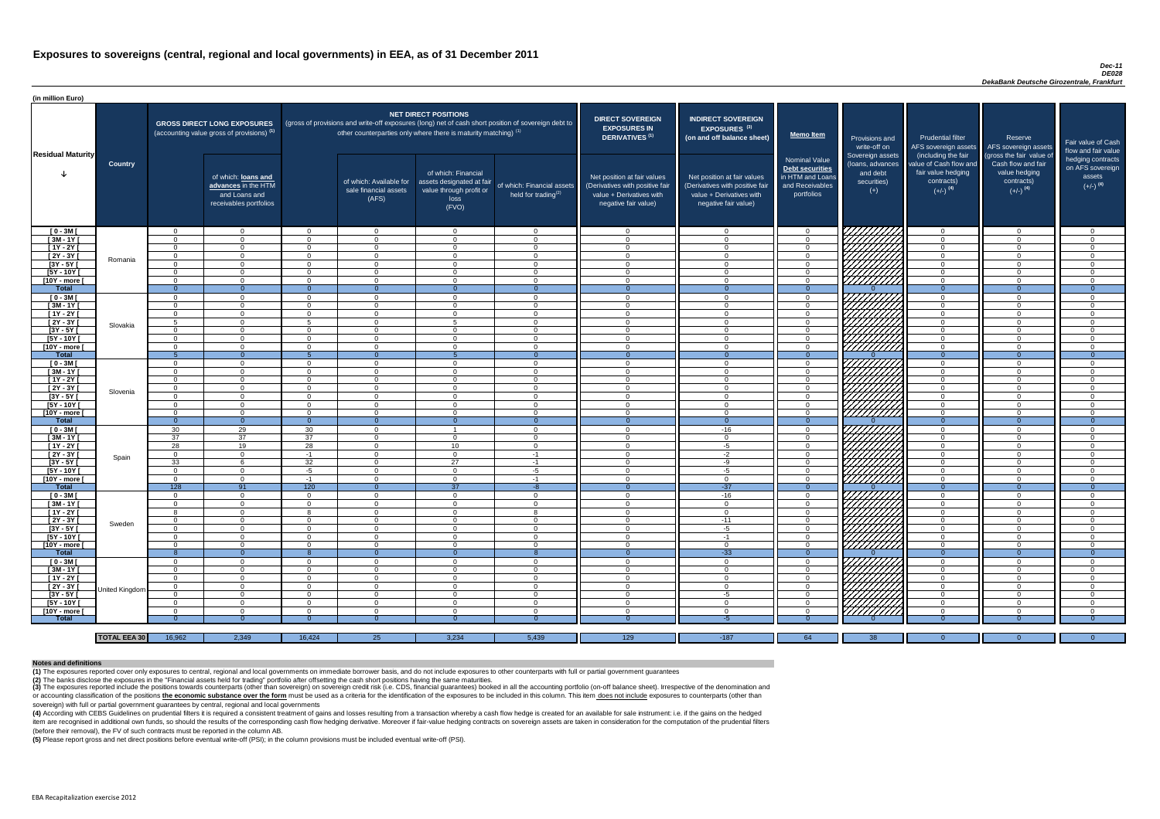#### *Dec-11 DE028 DekaBank Deutsche Girozentrale, Frankfurt*

(4) According with CEBS Guidelines on prudential filters it is required a consistent treatment of gains and losses resulting from a transaction whereby a cash flow hedge is created for an available for sale instrument: i.e item are recognised in additional own funds, so should the results of the corresponding cash flow hedging derivative. Moreover if fair-value hedging contracts on sovereign assets are taken in consideration for the computat (before their removal), the FV of such contracts must be reported in the column AB.

| (in million Euro)          |                     |                      |                                                                                              |                      |                                                                                                                                                                             |                                                                                              |                                                               |                                                                                                                    |                                                                                                                    |                                                                                              |                                                                          |                                                                                      |                                                                             |                                                                           |
|----------------------------|---------------------|----------------------|----------------------------------------------------------------------------------------------|----------------------|-----------------------------------------------------------------------------------------------------------------------------------------------------------------------------|----------------------------------------------------------------------------------------------|---------------------------------------------------------------|--------------------------------------------------------------------------------------------------------------------|--------------------------------------------------------------------------------------------------------------------|----------------------------------------------------------------------------------------------|--------------------------------------------------------------------------|--------------------------------------------------------------------------------------|-----------------------------------------------------------------------------|---------------------------------------------------------------------------|
| <b>Residual Maturity</b>   |                     |                      | <b>GROSS DIRECT LONG EXPOSURES</b><br>(accounting value gross of provisions) <sup>(1)</sup>  |                      | (gross of provisions and write-off exposures (long) net of cash short position of sovereign debt to<br>other counterparties only where there is maturity matching) $^{(1)}$ | <b>NET DIRECT POSITIONS</b>                                                                  |                                                               | <b>DIRECT SOVEREIGN</b><br><b>EXPOSURES IN</b><br><b>DERIVATIVES (1)</b>                                           | <b>INDIRECT SOVEREIGN</b><br><b>EXPOSURES<sup>(3)</sup></b><br>(on and off balance sheet)                          | <b>Memo Item</b>                                                                             | Provisions and<br>write-off on                                           | <b>Prudential filter</b><br>AFS sovereign assets<br>(including the fair              | Reserve<br>AFS sovereign assets<br>(gross the fair value of                 | Fair value of Cash<br>flow and fair value                                 |
|                            | <b>Country</b>      |                      | of which: <b>loans and</b><br>advances in the HTM<br>and Loans and<br>receivables portfolios |                      | of which: Available for<br>sale financial assets<br>(AFS)                                                                                                                   | of which: Financial<br>assets designated at fair<br>value through profit or<br>loss<br>(FVO) | of which: Financial assets<br>held for trading <sup>(2)</sup> | Net position at fair values<br>(Derivatives with positive fair<br>value + Derivatives with<br>negative fair value) | Net position at fair values<br>(Derivatives with positive fair<br>value + Derivatives with<br>negative fair value) | <b>Nominal Value</b><br>Debt securities<br>in HTM and Loans<br>and Receivables<br>portfolios | Sovereign assets<br>(loans, advances<br>and debt<br>securities)<br>$(+)$ | value of Cash flow and<br>fair value hedging<br>contracts)<br>$(+/-)$ <sup>(4)</sup> | Cash flow and fair<br>value hedging<br>contracts)<br>$(+/-)$ <sup>(4)</sup> | hedging contracts<br>on AFS sovereign<br>assets<br>$(+/-)$ <sup>(4)</sup> |
| $[0 - 3M]$                 |                     | $\Omega$             | $\overline{0}$                                                                               | $\Omega$             | $\overline{0}$                                                                                                                                                              | $\Omega$                                                                                     | $\overline{0}$                                                | $\Omega$                                                                                                           | $\Omega$                                                                                                           | $\overline{0}$                                                                               | 7777777A                                                                 | $\overline{0}$                                                                       | $\overline{0}$                                                              | $\overline{0}$                                                            |
| $[3M - 1Y]$                |                     | $\Omega$             | $\Omega$                                                                                     | $\Omega$             | $\Omega$                                                                                                                                                                    | $\Omega$                                                                                     | $\overline{0}$                                                | - 0                                                                                                                | $\Omega$                                                                                                           | $\overline{0}$                                                                               |                                                                          | $\overline{0}$                                                                       | $\Omega$                                                                    | $\overline{0}$                                                            |
| $[1Y - 2Y]$                |                     | $\Omega$             | $\Omega$                                                                                     | $\Omega$             | $\Omega$                                                                                                                                                                    | $\Omega$                                                                                     | $\overline{0}$                                                | $\Omega$                                                                                                           | $\Omega$                                                                                                           | $\overline{0}$                                                                               | <i>ШЩИ</i> А                                                             | $\overline{0}$                                                                       | $\Omega$                                                                    | $\overline{0}$                                                            |
| [2Y - 3Y [                 | Romania             | $\Omega$             | $\Omega$                                                                                     | $\Omega$             | $\Omega$                                                                                                                                                                    | $\Omega$                                                                                     | $\Omega$                                                      | $\overline{0}$                                                                                                     | $\cap$                                                                                                             | $\overline{0}$                                                                               |                                                                          | $\overline{0}$                                                                       | $\Omega$                                                                    | $\overline{0}$                                                            |
| [3Y - 5Y [<br>[5Y - 10Y [  |                     | $\Omega$<br>$\Omega$ | $\Omega$<br>$\Omega$                                                                         | $\Omega$<br>$\Omega$ | $\Omega$<br>$\Omega$                                                                                                                                                        | $\Omega$<br>$\Omega$                                                                         | $\Omega$<br>$\Omega$                                          | - 0<br>$\cap$                                                                                                      | $\Omega$<br>$\Omega$                                                                                               | $\Omega$<br>$\Omega$                                                                         | HAHARA KU                                                                | $\overline{0}$<br>$\overline{0}$                                                     | $\Omega$<br>$\Omega$                                                        | $\overline{0}$<br>$\Omega$                                                |
| [10Y - more [              |                     | $\Omega$             | $\Omega$                                                                                     | $\Omega$             | $\cap$                                                                                                                                                                      | $\cap$                                                                                       | $\Omega$                                                      | $\cap$                                                                                                             | $\cap$                                                                                                             | $\Omega$                                                                                     |                                                                          | $\overline{0}$                                                                       | $\Omega$                                                                    | $\Omega$                                                                  |
| <b>Total</b>               |                     | $\Omega$             | $\Omega$                                                                                     | $\Omega$             | $\Omega$                                                                                                                                                                    |                                                                                              | $\Omega$                                                      | $\Omega$                                                                                                           |                                                                                                                    | $\Omega$                                                                                     |                                                                          | $\Omega$                                                                             | $\Omega$                                                                    | $\Omega$                                                                  |
| $[0 - 3M]$                 |                     | $\Omega$             | $\Omega$                                                                                     | $\Omega$             | $\Omega$                                                                                                                                                                    | $\Omega$                                                                                     | $\Omega$                                                      | - വ                                                                                                                | $\cap$                                                                                                             | $\Omega$                                                                                     | UNITA<br>UNITA                                                           | $\Omega$                                                                             | $\Omega$                                                                    | $\Omega$                                                                  |
| $[3M-1Y]$                  |                     | $\Omega$             | $\Omega$                                                                                     | $\Omega$             | $\Omega$                                                                                                                                                                    | $\Omega$                                                                                     | $\Omega$                                                      | $\cap$                                                                                                             | $\Omega$                                                                                                           | $\Omega$                                                                                     |                                                                          | $\overline{0}$                                                                       | $\Omega$                                                                    | $\Omega$                                                                  |
| $[1Y - 2Y]$                |                     | $\Omega$             | $\Omega$                                                                                     | $\Omega$             | $\Omega$                                                                                                                                                                    | $\Omega$                                                                                     | $\Omega$                                                      | $\cap$                                                                                                             | $\Omega$                                                                                                           | $\Omega$                                                                                     |                                                                          | $\Omega$                                                                             | $\Omega$                                                                    | $\Omega$                                                                  |
| $[2Y - 3Y]$                | Slovakia            | $5\overline{5}$      | $\Omega$                                                                                     |                      | $\Omega$                                                                                                                                                                    |                                                                                              | $\Omega$                                                      | $\cap$                                                                                                             | $\Omega$                                                                                                           | $\overline{0}$                                                                               |                                                                          | $\overline{0}$                                                                       | $\Omega$                                                                    | $\overline{0}$                                                            |
| $[3Y - 5Y]$                |                     | $\Omega$             | $\Omega$                                                                                     | $\Omega$             | $\overline{0}$                                                                                                                                                              | $\Omega$                                                                                     | $\overline{0}$                                                | $\Omega$                                                                                                           | $\Omega$                                                                                                           | $\overline{0}$                                                                               |                                                                          | $\overline{0}$                                                                       | $\Omega$                                                                    | $\overline{0}$                                                            |
| [5Y - 10Y [                |                     | $\Omega$             | $\Omega$                                                                                     | $\Omega$             | $\Omega$                                                                                                                                                                    | $\Omega$                                                                                     | $\overline{0}$                                                | $\Omega$                                                                                                           | $\Omega$                                                                                                           | $\overline{0}$                                                                               |                                                                          | $\overline{0}$                                                                       | $\Omega$                                                                    | $\overline{0}$                                                            |
| [10Y - more [              |                     | $\Omega$             | $\Omega$                                                                                     | $\Omega$             | $\Omega$                                                                                                                                                                    | $\Omega$                                                                                     | $\overline{0}$                                                | - 0                                                                                                                | $\Omega$                                                                                                           | $\overline{0}$                                                                               |                                                                          | $\overline{0}$                                                                       | $\Omega$                                                                    | $\overline{0}$                                                            |
| <b>Total</b>               |                     |                      | $\overline{0}$                                                                               |                      | - 0                                                                                                                                                                         |                                                                                              | $\Omega$                                                      | - 0                                                                                                                | $\Omega$                                                                                                           | $\Omega$                                                                                     |                                                                          | $\Omega$                                                                             | $\Omega$                                                                    | $\Omega$                                                                  |
| $[0 - 3M]$                 |                     | $\Omega$             | $\Omega$                                                                                     | $\Omega$             | $\Omega$                                                                                                                                                                    | $\Omega$                                                                                     | $\Omega$                                                      | - 0                                                                                                                | $\Omega$                                                                                                           | $\overline{0}$                                                                               |                                                                          | $\overline{0}$                                                                       | $\Omega$                                                                    | $\overline{0}$                                                            |
| $[3M - 1Y]$                |                     | $\Omega$             | $\Omega$                                                                                     | $\Omega$             | $\Omega$                                                                                                                                                                    | $\Omega$                                                                                     | $\Omega$                                                      | - 0                                                                                                                | $\Omega$<br>$\Omega$                                                                                               | $\overline{0}$                                                                               |                                                                          | $\overline{0}$                                                                       | $\Omega$                                                                    | $\overline{0}$                                                            |
| $[1Y - 2Y]$<br>$[2Y - 3Y]$ |                     | $\Omega$<br>$\Omega$ | $\Omega$<br>$\Omega$                                                                         | $\Omega$<br>$\Omega$ | $\Omega$<br>$\Omega$                                                                                                                                                        | $\Omega$<br>$\Omega$                                                                         | $\Omega$<br>$\Omega$                                          | - റ<br>- റ                                                                                                         | - 0                                                                                                                | $\overline{0}$<br>$\Omega$                                                                   |                                                                          | $\overline{0}$<br>$\Omega$                                                           | $\Omega$<br>$\Omega$                                                        | $\overline{0}$<br>$\Omega$                                                |
|                            | Slovenia            |                      |                                                                                              |                      | - 0                                                                                                                                                                         | 0                                                                                            | ()                                                            |                                                                                                                    |                                                                                                                    |                                                                                              | <b>SANDA (SANDA)</b><br>SANDA (SANDA)                                    | - 0                                                                                  |                                                                             |                                                                           |
| [3Y - 5Y [<br>$[5Y - 10Y]$ |                     | $\Omega$             | $\Omega$                                                                                     | $\Omega$             | $\Omega$                                                                                                                                                                    | $\Omega$                                                                                     | $\Omega$                                                      | $\cap$                                                                                                             | $\Omega$                                                                                                           | $\Omega$                                                                                     |                                                                          | $\overline{0}$                                                                       | -0<br>$\Omega$                                                              | $\Omega$                                                                  |
| [10Y - more [              |                     | $\Omega$             | $\Omega$                                                                                     | $\Omega$             | $\Omega$                                                                                                                                                                    | $\Omega$                                                                                     | $\Omega$                                                      | $\cap$                                                                                                             | $\cap$                                                                                                             | $\Omega$                                                                                     |                                                                          | $\Omega$                                                                             | $\Omega$                                                                    | $\Omega$                                                                  |
| <b>Total</b>               |                     | $\Omega$             | $\overline{0}$                                                                               | $\Omega$             | $\Omega$                                                                                                                                                                    | $\Omega$                                                                                     | $\overline{0}$                                                | $\Omega$                                                                                                           | - റ                                                                                                                | $\Omega$                                                                                     |                                                                          | $\Omega$                                                                             | $\Omega$                                                                    | $\overline{0}$                                                            |
| $[0 - 3M]$                 |                     | 30                   | 29                                                                                           | 30                   | $\overline{0}$                                                                                                                                                              |                                                                                              | $\Omega$                                                      | - 0                                                                                                                | $-16$                                                                                                              | $\overline{0}$                                                                               |                                                                          | $\overline{0}$                                                                       | $\Omega$                                                                    | $\overline{0}$                                                            |
| $[3M - 1Y]$                |                     | 37                   | 37                                                                                           | 37                   | $\Omega$                                                                                                                                                                    | $\Omega$                                                                                     | $\Omega$                                                      | - 0                                                                                                                | $\Omega$                                                                                                           | $\overline{0}$                                                                               |                                                                          | $\overline{0}$                                                                       | $\Omega$                                                                    | $\Omega$                                                                  |
| [ 1Y - 2Y [                |                     | 28                   | 19                                                                                           | 28                   | $\Omega$                                                                                                                                                                    | 10 <sup>1</sup>                                                                              | $\overline{0}$                                                | - 0                                                                                                                | -5                                                                                                                 | $\overline{0}$                                                                               |                                                                          | $\overline{0}$                                                                       | $\Omega$                                                                    | $\overline{0}$                                                            |
| [2Y - 3Y [                 | Spain               | $\Omega$             | $\Omega$                                                                                     | $-1$                 | $\Omega$                                                                                                                                                                    | $\Omega$                                                                                     | $-1$                                                          | $\Omega$                                                                                                           | $-2$                                                                                                               | $\Omega$                                                                                     |                                                                          | $\Omega$                                                                             | $\Omega$                                                                    | $\Omega$                                                                  |
| $[3Y - 5Y]$                |                     | 33                   |                                                                                              | 32                   | $\overline{0}$                                                                                                                                                              | 27                                                                                           | $-1$                                                          | $\Omega$                                                                                                           | -9                                                                                                                 | $\overline{0}$                                                                               |                                                                          | $\overline{0}$                                                                       | $\Omega$                                                                    | $\Omega$                                                                  |
| $[5Y - 10Y]$               |                     | $\Omega$             |                                                                                              | $-5$                 | $\Omega$                                                                                                                                                                    | $\Omega$                                                                                     | $-5$                                                          | $\overline{0}$                                                                                                     | -5                                                                                                                 | $\Omega$                                                                                     |                                                                          | $\overline{0}$                                                                       | $\Omega$                                                                    | $\Omega$                                                                  |
| [10Y - more ]              |                     | - 0                  | $\Omega$                                                                                     | -1                   | $\Omega$                                                                                                                                                                    | $\Omega$                                                                                     | $-1$                                                          | - 0                                                                                                                | $\Omega$                                                                                                           | $\overline{0}$                                                                               | THING<br>HIMAN<br>HIMAN                                                  | $\overline{0}$                                                                       | $\Omega$                                                                    | $\Omega$                                                                  |
| <b>Total</b>               |                     | 128                  | 91                                                                                           | 120                  | $\Omega$                                                                                                                                                                    | 37                                                                                           | $-8$                                                          | - 0                                                                                                                | $-37$                                                                                                              | $\Omega$                                                                                     | 7777777777                                                               | $\overline{0}$                                                                       | $\Omega$                                                                    | $\Omega$                                                                  |
| $[0 - 3M]$<br>$[3M - 1Y]$  |                     | $\Omega$<br>$\Omega$ | $\overline{0}$<br>$\Omega$                                                                   | $\Omega$<br>$\Omega$ | $\Omega$                                                                                                                                                                    | $\Omega$<br>$\Omega$                                                                         | $\Omega$<br>$\Omega$                                          | $\overline{0}$<br>- 0                                                                                              | $-16$<br>- 0                                                                                                       | $\overline{0}$                                                                               |                                                                          | $\overline{0}$                                                                       | $\Omega$<br>$\Omega$                                                        | $\overline{0}$                                                            |
| $[1Y - 2Y]$                |                     | 8                    | $\Omega$                                                                                     | - 8                  | $\Omega$<br>$\Omega$                                                                                                                                                        | $\Omega$                                                                                     | <b>R</b>                                                      | - 0                                                                                                                | $\Omega$                                                                                                           | $\Omega$<br>$\Omega$                                                                         |                                                                          | $\Omega$<br>$\overline{0}$                                                           | $\Omega$                                                                    | $\Omega$<br>$\Omega$                                                      |
| $[2Y - 3Y]$                |                     | $\overline{0}$       | $\overline{0}$                                                                               | $\overline{0}$       | $\overline{0}$                                                                                                                                                              | $\overline{0}$                                                                               | $\overline{0}$                                                | - 0                                                                                                                | $-11$                                                                                                              | $\overline{0}$                                                                               |                                                                          | $\overline{0}$                                                                       | $\Omega$                                                                    | $\overline{0}$                                                            |
| $[3Y - 5Y]$                | Sweden              | $\Omega$             | $\Omega$                                                                                     | $\Omega$             | $\overline{0}$                                                                                                                                                              | $\overline{0}$                                                                               | $\overline{0}$                                                | - 0                                                                                                                | -5                                                                                                                 | $\Omega$                                                                                     |                                                                          | $\Omega$                                                                             | $\Omega$                                                                    | $\overline{0}$                                                            |
| [5Y - 10Y [                |                     | $\Omega$             | $\Omega$                                                                                     | $\Omega$             | $\Omega$                                                                                                                                                                    | $\Omega$                                                                                     | $\overline{0}$                                                | - 0                                                                                                                | $-1$                                                                                                               | $\overline{0}$                                                                               |                                                                          | $\overline{0}$                                                                       | $\Omega$                                                                    | $\overline{0}$                                                            |
| [10Y - more ]              |                     | $\Omega$             | $\Omega$                                                                                     | $\Omega$             | $\Omega$                                                                                                                                                                    | $\Omega$                                                                                     | $\Omega$                                                      | - 0                                                                                                                | $\Omega$                                                                                                           | $\overline{0}$                                                                               | HANG SANG                                                                | $\overline{0}$                                                                       | $\Omega$                                                                    | $\overline{0}$                                                            |
| <b>Total</b>               |                     |                      | $\overline{0}$                                                                               |                      | $\Omega$                                                                                                                                                                    |                                                                                              | 8                                                             | - 0                                                                                                                | $-33$                                                                                                              | $\Omega$                                                                                     |                                                                          | $\Omega$                                                                             | - 0                                                                         | $\Omega$                                                                  |
| $[0 - 3M]$                 |                     | $\Omega$             | $\Omega$                                                                                     | $\Omega$             | $\Omega$                                                                                                                                                                    | $\Omega$                                                                                     | $\Omega$                                                      | $\cap$                                                                                                             | $\cap$                                                                                                             | $\Omega$                                                                                     |                                                                          | $\Omega$                                                                             | $\Omega$                                                                    | $\Omega$                                                                  |
| $[3M - 1Y]$                |                     | $\Omega$             | $\Omega$                                                                                     | $\Omega$             | $\Omega$                                                                                                                                                                    | $\Omega$                                                                                     | $\Omega$                                                      | - റ                                                                                                                | $\Omega$                                                                                                           | $\overline{0}$                                                                               |                                                                          | $\overline{0}$                                                                       | - 0                                                                         | $\Omega$                                                                  |
| [ 1Y - 2Y [                |                     | - 0                  | $\Omega$                                                                                     | $\Omega$             | $\Omega$                                                                                                                                                                    | $\Omega$                                                                                     | $\Omega$                                                      | - 0                                                                                                                |                                                                                                                    | $\Omega$                                                                                     | HAAAN<br>HAAAN                                                           | $\overline{0}$                                                                       | $\Omega$                                                                    | $\Omega$                                                                  |
| $[2Y - 3Y]$                | United Kingdom      | $\Omega$             | $\Omega$                                                                                     | $\Omega$             | $\Omega$                                                                                                                                                                    | $\Omega$                                                                                     | $\Omega$                                                      | - 0                                                                                                                | $\Omega$                                                                                                           | $\Omega$                                                                                     |                                                                          | $\overline{0}$                                                                       | $\Omega$                                                                    | $\Omega$                                                                  |
| $[3Y - 5Y]$                |                     | - 0                  | $\Omega$                                                                                     | $\Omega$             | $\Omega$                                                                                                                                                                    | $\Omega$                                                                                     | $\Omega$                                                      | - 0                                                                                                                | $-5$                                                                                                               | $\Omega$                                                                                     |                                                                          | $\overline{0}$                                                                       | $\Omega$                                                                    | $\Omega$                                                                  |
| [5Y - 10Y [                |                     | $\Omega$             | $\cap$                                                                                       | $\Omega$             | $\Omega$                                                                                                                                                                    | $\Omega$                                                                                     | $\Omega$                                                      | - വ                                                                                                                | $\Omega$                                                                                                           | $\Omega$                                                                                     | UMMA                                                                     | $\Omega$                                                                             | $\Omega$                                                                    | $\Omega$                                                                  |
| [10Y - more ]              |                     | $\Omega$             | $\cap$                                                                                       | $\Omega$             | $\cap$                                                                                                                                                                      | $\Omega$                                                                                     | $\Omega$                                                      | $\cap$                                                                                                             | $\Omega$                                                                                                           | $\Omega$                                                                                     |                                                                          | $\Omega$                                                                             | $\Omega$                                                                    | $\Omega$                                                                  |
| <b>Total</b>               |                     | -0                   |                                                                                              |                      |                                                                                                                                                                             |                                                                                              |                                                               |                                                                                                                    | -5                                                                                                                 |                                                                                              |                                                                          |                                                                                      |                                                                             | $\Omega$                                                                  |
|                            |                     |                      |                                                                                              |                      |                                                                                                                                                                             |                                                                                              |                                                               |                                                                                                                    |                                                                                                                    |                                                                                              |                                                                          |                                                                                      |                                                                             |                                                                           |
|                            | <b>TOTAL EEA 30</b> | 16,962               | 2,349                                                                                        | 16,424               | 25                                                                                                                                                                          | 3,234                                                                                        | 5,439                                                         | 129                                                                                                                | $-187$                                                                                                             | 64                                                                                           | 38                                                                       | $\Omega$                                                                             | $\Omega$                                                                    | $\Omega$                                                                  |

(3) The exposures reported include the positions towards counterparts (other than sovereign) on sovereign credit risk (i.e. CDS, financial guarantees) booked in all the accounting portfolio (on-off balance sheet). Irrespec or accounting classification of the positions the economic substance over the form must be used as a criteria for the identification of the exposures to be included in this column. This item does not include exposures to c sovereign) with full or partial government guarantees by central, regional and local governments

**(5)** Please report gross and net direct positions before eventual write-off (PSI); in the column provisions must be included eventual write-off (PSI).

#### **Notes and definitions**

**(1)** The exposures reported cover only exposures to central, regional and local governments on immediate borrower basis, and do not include exposures to other counterparts with full or partial government guarantees **(2)** The banks disclose the exposures in the "Financial assets held for trading" portfolio after offsetting the cash short positions having the same maturities.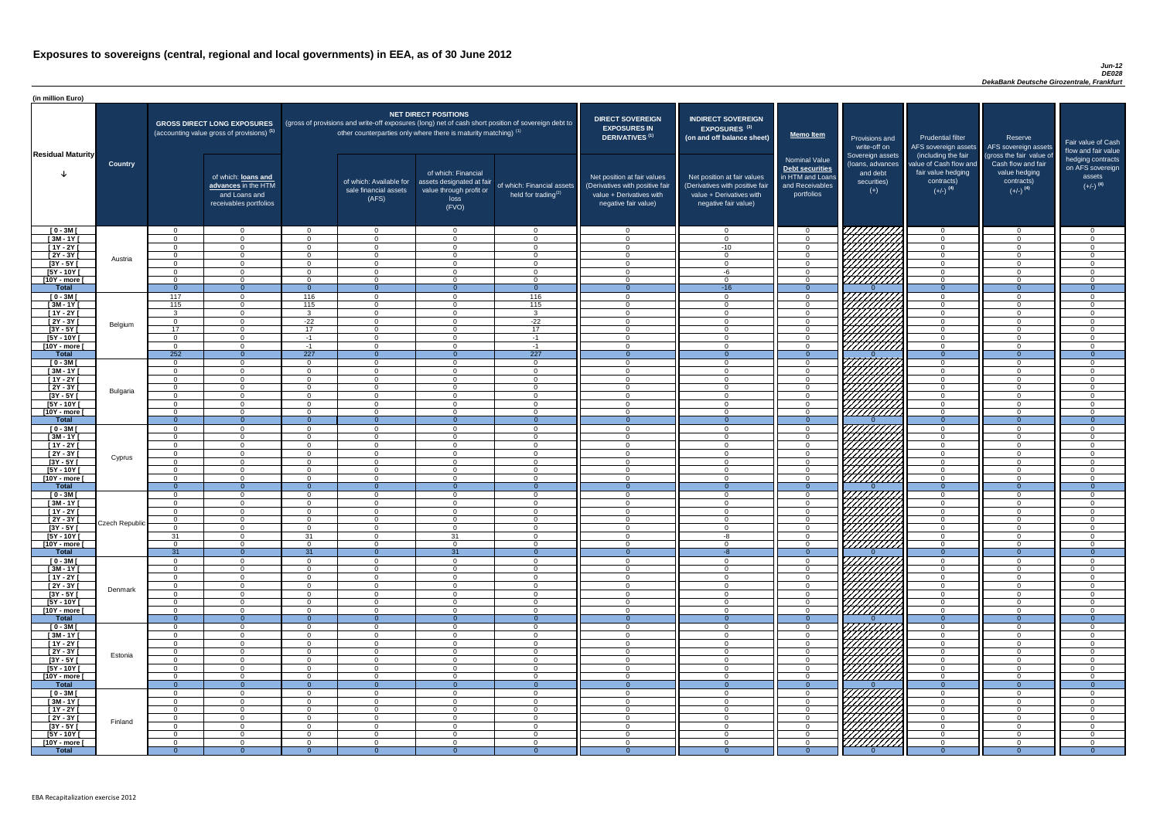| (in million Euro)                                |                |                                  |                                                                                             |                            |                                                                      |                                                                                              |                                                                                                     |                                                                                                                    |                                                                                                                    |                                                                                                     |                                                                          |                                                                                                             |                                                                                                         |                                                   |
|--------------------------------------------------|----------------|----------------------------------|---------------------------------------------------------------------------------------------|----------------------------|----------------------------------------------------------------------|----------------------------------------------------------------------------------------------|-----------------------------------------------------------------------------------------------------|--------------------------------------------------------------------------------------------------------------------|--------------------------------------------------------------------------------------------------------------------|-----------------------------------------------------------------------------------------------------|--------------------------------------------------------------------------|-------------------------------------------------------------------------------------------------------------|---------------------------------------------------------------------------------------------------------|---------------------------------------------------|
| <b>Residual Maturity</b>                         |                |                                  | <b>GROSS DIRECT LONG EXPOSURES</b><br>(accounting value gross of provisions) <sup>(1)</sup> |                            | other counterparties only where there is maturity matching) $^{(1)}$ | <b>NET DIRECT POSITIONS</b>                                                                  | (gross of provisions and write-off exposures (long) net of cash short position of sovereign debt to | <b>DIRECT SOVEREIGN</b><br><b>EXPOSURES IN</b><br>DERIVATIVES <sup>(1)</sup>                                       | <b>INDIRECT SOVEREIGN</b><br><b>EXPOSURES<sup>(3)</sup></b><br>(on and off balance sheet)                          | <b>Memo Item</b>                                                                                    | Provisions and<br>write-off on                                           | <b>Prudential filter</b><br>AFS sovereign assets                                                            | Reserve<br>AFS sovereign assets                                                                         | <b>Fair value</b><br>flow and t                   |
|                                                  | <b>Country</b> |                                  | of which: loans and<br>advances in the HTM<br>and Loans and<br>receivables portfolios       |                            | of which: Available for<br>sale financial assets<br>(AFS)            | of which: Financial<br>assets designated at fair<br>value through profit or<br>loss<br>(FVO) | of which: Financial assets<br>held for trading <sup>(2)</sup>                                       | Net position at fair values<br>(Derivatives with positive fair<br>value + Derivatives with<br>negative fair value) | Net position at fair values<br>(Derivatives with positive fair<br>value + Derivatives with<br>negative fair value) | <b>Nominal Value</b><br><b>Debt securities</b><br>in HTM and Loans<br>and Receivables<br>portfolios | Sovereign assets<br>(loans, advances<br>and debt<br>securities)<br>$(+)$ | (including the fair<br>value of Cash flow and<br>fair value hedging<br>contracts)<br>$(+/-)$ <sup>(4)</sup> | (gross the fair value of<br>Cash flow and fair<br>value hedging<br>contracts)<br>$(+/-)$ <sup>(4)</sup> | hedging o<br>on AFS <sub>s</sub><br>ass<br>$(+/-$ |
| $[0 - 3M]$                                       |                | $\Omega$                         | $\cap$                                                                                      | $\Omega$                   | $\Omega$                                                             | $\Omega$                                                                                     | $\cap$                                                                                              | $\cap$                                                                                                             | $\Omega$                                                                                                           | - റ                                                                                                 | 77777777                                                                 | $\Omega$                                                                                                    | $\overline{0}$                                                                                          |                                                   |
| $[3M - 1Y]$                                      |                | $\Omega$                         | $\cap$                                                                                      | $\Omega$                   | $\overline{0}$                                                       | $\Omega$                                                                                     |                                                                                                     |                                                                                                                    | $\Omega$                                                                                                           | $\Omega$                                                                                            |                                                                          | $\Omega$                                                                                                    | $\Omega$                                                                                                |                                                   |
| $[1Y - 2Y]$<br>$[2Y - 3Y]$                       |                | $\Omega$<br>$\Omega$             | $\cap$                                                                                      | $\Omega$<br>$\Omega$       | $\overline{0}$<br>$\Omega$                                           | $\Omega$<br>$\Omega$                                                                         | $\Omega$                                                                                            | $\Omega$                                                                                                           | $-10$<br>$\Omega$                                                                                                  | $\overline{0}$<br>$\Omega$                                                                          |                                                                          | $\Omega$<br>$\Omega$                                                                                        | $\Omega$<br>$\Omega$                                                                                    |                                                   |
| $[3Y - 5Y]$                                      | Austria        | $\Omega$                         | $\cap$                                                                                      | $\Omega$                   | $\overline{0}$                                                       | $\Omega$                                                                                     | $\sqrt{ }$                                                                                          |                                                                                                                    | $\Omega$                                                                                                           | $\Omega$                                                                                            |                                                                          | $\Omega$                                                                                                    | $\Omega$                                                                                                |                                                   |
| $[5Y - 10Y]$                                     |                | $\Omega$                         |                                                                                             | $\Omega$                   | $\overline{0}$                                                       | $\Omega$                                                                                     |                                                                                                     |                                                                                                                    | -6                                                                                                                 | $\Omega$                                                                                            | <i>Chilli</i> a                                                          | $\Omega$                                                                                                    | $\Omega$                                                                                                |                                                   |
| [10Y - more [                                    |                | $\Omega$                         | $\cap$                                                                                      | $\cap$                     | $\Omega$                                                             | $\Omega$                                                                                     |                                                                                                     |                                                                                                                    | $\cap$                                                                                                             | $\Omega$                                                                                            | 7777777777                                                               | $\Omega$                                                                                                    | $\Omega$                                                                                                |                                                   |
| <b>Total</b><br>$[0 - 3M]$                       |                | $\overline{0}$<br>117            | $\cap$                                                                                      | $\Omega$<br>116            | $\Omega$<br>$\overline{0}$                                           | $\Omega$                                                                                     | $\Omega$<br>116                                                                                     |                                                                                                                    | $-16$<br>$\Omega$                                                                                                  | $\Omega$<br>$\Omega$                                                                                |                                                                          | $\Omega$<br>$\Omega$                                                                                        | $\Omega$<br>$\Omega$                                                                                    |                                                   |
| $[3M-1Y]$                                        |                | 115                              | $\Omega$                                                                                    | 115                        | $\overline{0}$                                                       | $\Omega$                                                                                     | 115                                                                                                 | $\Omega$                                                                                                           | $\Omega$                                                                                                           | $\overline{0}$                                                                                      | CHHAA                                                                    | $\overline{0}$                                                                                              | $\Omega$                                                                                                |                                                   |
| $[1Y - 2Y]$                                      |                | $\mathbf{3}$                     | $\Omega$                                                                                    | $\mathbf{3}$               | $\overline{0}$                                                       | $\Omega$                                                                                     | 3 <sup>1</sup>                                                                                      | $\cap$                                                                                                             | $\Omega$                                                                                                           | $\overline{0}$                                                                                      | HAAAD S                                                                  | $\overline{0}$                                                                                              | $\Omega$                                                                                                |                                                   |
| $[2Y - 3Y]$                                      | Belgium        | $\Omega$                         | $\Omega$                                                                                    | $-22$                      | $\Omega$                                                             | $\Omega$                                                                                     | $-22$                                                                                               | $\Omega$                                                                                                           | $\Omega$                                                                                                           | $\Omega$                                                                                            |                                                                          | $\overline{0}$                                                                                              | $\Omega$                                                                                                |                                                   |
| $[3Y - 5Y]$<br>$[5Y - 10Y]$                      |                | 17<br>$\Omega$                   | $\Omega$<br>$\Omega$                                                                        | 17<br>$-1$                 | $\Omega$<br>$\overline{0}$                                           | $\Omega$<br>$\Omega$                                                                         | 17<br>$-1$                                                                                          | $\Omega$<br>$\cap$                                                                                                 | $\Omega$<br>$\Omega$                                                                                               | $\overline{0}$<br>$\Omega$                                                                          |                                                                          | $\overline{0}$<br>$\Omega$                                                                                  | $\Omega$<br>$\overline{0}$                                                                              |                                                   |
| [10Y - more [                                    |                | $\Omega$                         | $\cap$                                                                                      | -1                         | $\overline{0}$                                                       | $\Omega$                                                                                     | $-1$                                                                                                |                                                                                                                    | $\Omega$                                                                                                           | $\Omega$                                                                                            | 777777777                                                                | $\overline{0}$                                                                                              | $\Omega$                                                                                                |                                                   |
| <b>Total</b>                                     |                | 252                              |                                                                                             | 227                        | $\Omega$                                                             |                                                                                              | 227                                                                                                 |                                                                                                                    |                                                                                                                    | $\Omega$                                                                                            |                                                                          | $\Omega$                                                                                                    | $\Omega$                                                                                                |                                                   |
| $[0 - 3M]$                                       |                | $\overline{0}$                   | $\Omega$                                                                                    | $\Omega$                   | $\overline{0}$                                                       | $\Omega$                                                                                     | $\cap$                                                                                              | $\Omega$                                                                                                           | $\Omega$                                                                                                           | $\Omega$                                                                                            | 177777777                                                                | $\Omega$                                                                                                    | $\Omega$                                                                                                |                                                   |
| $[3M - 1Y]$<br>$[1Y - 2Y]$                       |                | $\Omega$<br>$\Omega$             | $\cap$<br>$\cap$                                                                            | $\Omega$<br>$\Omega$       | $\Omega$<br>$\overline{0}$                                           | $\Omega$<br>$\Omega$                                                                         |                                                                                                     |                                                                                                                    | $\Omega$<br>$\Omega$                                                                                               | $\Omega$<br>$\Omega$                                                                                |                                                                          | $\Omega$<br>$\Omega$                                                                                        | $\Omega$<br>$\Omega$                                                                                    |                                                   |
| $[2Y - 3Y]$                                      |                | $\Omega$                         | . റ                                                                                         | $\Omega$                   | $\Omega$                                                             | $\Omega$                                                                                     | $\Omega$                                                                                            | $\cap$                                                                                                             | $\overline{0}$                                                                                                     | $\Omega$                                                                                            | <i>WAHAA</i>                                                             | $\Omega$                                                                                                    | $\Omega$                                                                                                |                                                   |
| [3Y - 5Y [                                       | Bulgaria       |                                  |                                                                                             |                            | 0                                                                    |                                                                                              |                                                                                                     |                                                                                                                    |                                                                                                                    |                                                                                                     |                                                                          |                                                                                                             |                                                                                                         |                                                   |
| $[5Y - 10Y]$                                     |                | $\Omega$                         | $\cap$                                                                                      | $\Omega$                   | $\overline{0}$                                                       | $\Omega$                                                                                     | $\cap$                                                                                              | $\Omega$                                                                                                           | $\Omega$<br>$\cap$                                                                                                 | $\Omega$<br>$\Omega$                                                                                | <i>VHHHH</i>                                                             | $\Omega$                                                                                                    | $\cap$                                                                                                  |                                                   |
| $\sqrt{10Y}$ - more $\sqrt{10Y}$<br><b>Total</b> |                | $\overline{0}$<br>$\overline{0}$ | $\Omega$                                                                                    | $\Omega$<br>$\Omega$       | $\overline{0}$<br>$\overline{0}$                                     | $\Omega$<br>$\Omega$                                                                         | $\Omega$                                                                                            |                                                                                                                    |                                                                                                                    | $\Omega$                                                                                            | 7777777777                                                               | $\overline{0}$<br>$\overline{0}$                                                                            | $\Omega$<br>$\Omega$                                                                                    |                                                   |
| $[0 - 3M]$                                       |                | $\Omega$                         | $\cap$                                                                                      | $\Omega$                   | $\overline{0}$                                                       | $\Omega$                                                                                     |                                                                                                     |                                                                                                                    | $\Omega$                                                                                                           | $\Omega$                                                                                            |                                                                          | $\Omega$                                                                                                    | $\Omega$                                                                                                |                                                   |
| $[3M - 1Y]$                                      |                | $\Omega$                         | $\Omega$                                                                                    | $\Omega$                   | $\overline{0}$                                                       | $\overline{0}$                                                                               | $\Omega$                                                                                            | $\Omega$                                                                                                           | $\Omega$                                                                                                           | $\Omega$                                                                                            | —                                                                        | $\overline{0}$                                                                                              | $\Omega$                                                                                                |                                                   |
| $[1Y - 2Y]$<br>[2Y - 3Y [                        |                | $\Omega$<br>$\Omega$             | $\Omega$<br>$\Omega$                                                                        | $\Omega$<br>$\Omega$       | $\Omega$<br>$\overline{0}$                                           | $\Omega$<br>$\Omega$                                                                         | $\cap$                                                                                              | $\Omega$                                                                                                           | $\Omega$<br>$\Omega$                                                                                               | $\Omega$<br>$\Omega$                                                                                |                                                                          | $\overline{0}$<br>$\Omega$                                                                                  | $\Omega$<br>$\Omega$                                                                                    |                                                   |
| $[3Y - 5Y]$                                      | Cyprus         | $\Omega$                         |                                                                                             | $\Omega$                   | $\Omega$                                                             | $\Omega$                                                                                     |                                                                                                     |                                                                                                                    | $\Omega$                                                                                                           | $\Omega$                                                                                            |                                                                          | $\Omega$                                                                                                    | $\Omega$                                                                                                |                                                   |
| $[5Y - 10Y]$                                     |                | $\Omega$                         | $\cap$                                                                                      | $\Omega$                   | $\overline{0}$                                                       | $\Omega$                                                                                     |                                                                                                     |                                                                                                                    | $\Omega$                                                                                                           | - 0                                                                                                 | 777777777                                                                | $\Omega$                                                                                                    | $\Omega$                                                                                                |                                                   |
| [10Y - more [                                    |                | $\Omega$                         | $\cap$                                                                                      | റ                          | $\overline{0}$                                                       | $\Omega$                                                                                     |                                                                                                     |                                                                                                                    | $\Omega$                                                                                                           | $\Omega$                                                                                            | /////////                                                                | $\Omega$                                                                                                    | $\Omega$                                                                                                |                                                   |
| <b>Total</b><br>$[0 - 3M]$                       |                | $\Omega$<br>$\Omega$             | $\cap$                                                                                      | - റ<br>$\Omega$            | $\Omega$<br>$\Omega$                                                 | $\Omega$                                                                                     | $\cap$                                                                                              | $\cap$                                                                                                             | $\Omega$                                                                                                           | $\Omega$<br>$\Omega$                                                                                |                                                                          | $\Omega$<br>$\Omega$                                                                                        | $\Omega$<br>$\Omega$                                                                                    |                                                   |
| $[3M - 1Y]$                                      |                | $\Omega$                         | $\cap$                                                                                      | $\Omega$                   | $\Omega$                                                             | $\Omega$                                                                                     | $\Omega$                                                                                            | $\cap$                                                                                                             | $\Omega$                                                                                                           | $\Omega$                                                                                            |                                                                          | $\overline{0}$                                                                                              | $\Omega$                                                                                                |                                                   |
| $[1Y - 2Y]$                                      |                | $\Omega$                         | $\cap$                                                                                      | $\Omega$                   | $\overline{0}$                                                       | $\Omega$                                                                                     | $\Omega$                                                                                            | $\sim$                                                                                                             | $\Omega$                                                                                                           | $\overline{0}$                                                                                      |                                                                          | $\Omega$                                                                                                    | $\Omega$                                                                                                |                                                   |
| $[2Y - 3Y]$                                      | Czech Republic | $\Omega$                         | $\cap$                                                                                      | $\Omega$                   | $\overline{0}$                                                       | $\Omega$                                                                                     | $\Omega$                                                                                            | $\Omega$<br>$\Omega$                                                                                               | $\Omega$                                                                                                           | $\Omega$                                                                                            | HAAAN<br>HAAAN                                                           | $\overline{0}$                                                                                              | $\Omega$                                                                                                |                                                   |
| $[3Y - 5Y]$<br>$[5Y - 10Y]$                      |                | $\Omega$<br>31                   | $\Omega$<br>$\Omega$                                                                        | $\Omega$<br>31             | $\overline{0}$<br>$\overline{0}$                                     | $\Omega$<br>31                                                                               | $\Omega$<br>$\cap$                                                                                  |                                                                                                                    | $\Omega$<br>-8                                                                                                     | $\Omega$<br>$\Omega$                                                                                |                                                                          | $\overline{0}$<br>$\Omega$                                                                                  | $\overline{0}$<br>$\Omega$                                                                              |                                                   |
| [10Y - more [                                    |                | $\overline{0}$                   | $\Omega$                                                                                    | $\Omega$                   | $\Omega$                                                             | $\Omega$                                                                                     | $\cap$                                                                                              |                                                                                                                    | $\Omega$                                                                                                           | $\Omega$                                                                                            | <i>UMM</i>                                                               | $\Omega$                                                                                                    | $\Omega$                                                                                                |                                                   |
| <b>Total</b>                                     |                | 31                               | $\Omega$                                                                                    | $\overline{31}$            | $\Omega$                                                             | 31                                                                                           | $\Omega$                                                                                            |                                                                                                                    | -8                                                                                                                 | $\Omega$                                                                                            |                                                                          | $\overline{0}$                                                                                              | $\Omega$                                                                                                |                                                   |
| $[0 - 3M]$<br>$[3M - 1Y]$                        |                | $\Omega$                         | $\Omega$                                                                                    | $\Omega$                   | $\Omega$                                                             | $\Omega$                                                                                     |                                                                                                     |                                                                                                                    | $\Omega$<br>0                                                                                                      | $\Omega$<br>$\Omega$                                                                                | 777777777                                                                | $\Omega$<br>$\Omega$                                                                                        | $\Omega$<br>$\Omega$                                                                                    |                                                   |
| $[1Y - 2Y]$                                      |                | $\Omega$                         | - 0<br>$\Omega$                                                                             | -0<br>$\Omega$             | $\Omega$<br>$\overline{0}$                                           | $\Omega$<br>$\Omega$                                                                         |                                                                                                     |                                                                                                                    | $\Omega$                                                                                                           | $\Omega$                                                                                            |                                                                          | $\Omega$                                                                                                    | $\Omega$                                                                                                |                                                   |
| $\boxed{2Y - 3Y}$                                | Denmark        | $\Omega$                         | . റ                                                                                         | - 0                        | $\overline{0}$                                                       | $\Omega$                                                                                     |                                                                                                     |                                                                                                                    | $\Omega$                                                                                                           | $\Omega$                                                                                            |                                                                          | $\Omega$                                                                                                    | $\Omega$                                                                                                |                                                   |
| $[3Y - 5Y]$                                      |                | $\Omega$                         | $\cap$                                                                                      | $\Omega$                   | $\overline{0}$                                                       | $\Omega$                                                                                     |                                                                                                     |                                                                                                                    | $\Omega$                                                                                                           | $\Omega$                                                                                            |                                                                          | $\overline{0}$                                                                                              | $\Omega$                                                                                                |                                                   |
| $[5Y - 10Y]$<br>[10Y - more [                    |                | $\Omega$<br>$\Omega$             | <u>റ</u><br>$\cap$                                                                          | $\Omega$<br>$\Omega$       | $\overline{0}$<br>$\Omega$                                           | $\Omega$<br>$\Omega$                                                                         | $\Omega$<br>$\cap$                                                                                  | $\cap$<br>$\Omega$                                                                                                 | $\Omega$<br>$\Omega$                                                                                               | $\Omega$<br>$\Omega$                                                                                | 777777777                                                                | $\overline{0}$<br>$\overline{0}$                                                                            | $\Omega$<br>$\Omega$                                                                                    |                                                   |
| <b>Total</b>                                     |                | $\overline{0}$                   | - റ                                                                                         | - റ                        | $\overline{0}$                                                       | $\Omega$                                                                                     | $\Omega$                                                                                            |                                                                                                                    | $\Omega$                                                                                                           | $\overline{0}$                                                                                      |                                                                          | $\overline{0}$                                                                                              | $\Omega$                                                                                                |                                                   |
| $[0 - 3M]$                                       |                | $\Omega$                         | . റ                                                                                         | $\Omega$                   | $\overline{0}$                                                       | $\Omega$                                                                                     | $\Omega$                                                                                            | $\Omega$                                                                                                           | $\Omega$                                                                                                           | $\Omega$                                                                                            | 77777                                                                    | $\overline{0}$                                                                                              | $\Omega$                                                                                                |                                                   |
| $[3M - 1Y]$                                      |                | $\Omega$<br>$\Omega$             | . റ                                                                                         | $\Omega$<br>$\Omega$       | $\Omega$                                                             | $\Omega$                                                                                     | $\cap$                                                                                              | $\Omega$                                                                                                           | $\Omega$<br>$\Omega$                                                                                               | $\Omega$<br>$\Omega$                                                                                |                                                                          | $\Omega$<br>$\Omega$                                                                                        | $\Omega$<br>$\Omega$                                                                                    |                                                   |
| $[1Y - 2Y]$<br>$\overline{2Y - 3Y}$              |                | $\Omega$                         |                                                                                             | $\Omega$                   | $\overline{0}$<br>$\overline{0}$                                     | $\Omega$<br>$\Omega$                                                                         |                                                                                                     |                                                                                                                    | $\Omega$                                                                                                           | $\Omega$                                                                                            |                                                                          | $\Omega$                                                                                                    | $\Omega$                                                                                                |                                                   |
| $[3Y - 5Y]$                                      | Estonia        | $\Omega$                         | $\cap$                                                                                      | $\Omega$                   | $\Omega$                                                             | $\Omega$                                                                                     |                                                                                                     | ∩                                                                                                                  | $\Omega$                                                                                                           | $\Omega$                                                                                            |                                                                          | $\Omega$                                                                                                    | $\Omega$                                                                                                |                                                   |
| $[5Y - 10Y]$                                     |                | $\cap$                           | $\cap$                                                                                      | $\Omega$                   | $\overline{0}$                                                       | $\Omega$                                                                                     |                                                                                                     |                                                                                                                    | $\Omega$                                                                                                           | $\Omega$                                                                                            |                                                                          | $\Omega$                                                                                                    | $\Omega$                                                                                                |                                                   |
| [10Y - more [                                    |                | $\Omega$                         |                                                                                             | $\Omega$                   | $\Omega$                                                             | $\Omega$                                                                                     |                                                                                                     |                                                                                                                    | $\Omega$                                                                                                           | $\cap$                                                                                              |                                                                          | $\Omega$                                                                                                    | - 0                                                                                                     |                                                   |
| <b>Total</b><br>$[0 - 3M]$                       |                |                                  |                                                                                             | $\cap$                     | $\Omega$<br>$\Omega$                                                 | $\Omega$                                                                                     |                                                                                                     |                                                                                                                    |                                                                                                                    | $\cap$                                                                                              | ג <i>דודודודו</i>                                                        | $\Omega$<br>$\Omega$                                                                                        |                                                                                                         |                                                   |
| $[3M - 1Y]$                                      |                | $\overline{0}$                   | $\Omega$                                                                                    | $\Omega$                   | $\overline{0}$                                                       | $\Omega$                                                                                     | $\cap$                                                                                              | $\Omega$                                                                                                           | $\overline{0}$                                                                                                     | $\overline{0}$                                                                                      |                                                                          | $\overline{0}$                                                                                              | $\Omega$                                                                                                |                                                   |
| $[1Y - 2Y]$                                      |                | $\Omega$                         | $\Omega$                                                                                    | $\Omega$                   | $\overline{0}$                                                       | $\Omega$                                                                                     | $\Omega$                                                                                            | $\cap$                                                                                                             | $\Omega$                                                                                                           | $\overline{0}$                                                                                      |                                                                          | $\overline{0}$                                                                                              | $\overline{0}$                                                                                          |                                                   |
| $[2Y - 3Y]$                                      | Finland        | $\Omega$                         | $\Omega$                                                                                    | $\overline{0}$             | $\overline{0}$                                                       | $\Omega$                                                                                     | $\Omega$                                                                                            | $\Omega$                                                                                                           | $\overline{0}$                                                                                                     | $\overline{0}$                                                                                      | <b>Commons</b>                                                           | $\overline{0}$                                                                                              | $\overline{0}$                                                                                          |                                                   |
| $[3Y - 5Y]$<br>[5Y - 10Y [                       |                | $\overline{0}$<br>$\Omega$       | $\overline{0}$<br>$\Omega$                                                                  | $\overline{0}$<br>$\Omega$ | $\overline{0}$<br>$\overline{0}$                                     | $\overline{0}$<br>$\Omega$                                                                   | $\Omega$<br>- 0                                                                                     | $\Omega$<br>$\Omega$                                                                                               | $\overline{0}$<br>$\overline{0}$                                                                                   | $\overline{0}$<br>$\overline{0}$                                                                    |                                                                          | $\overline{0}$<br>$\overline{0}$                                                                            | $\overline{0}$<br>$\overline{0}$                                                                        | $\Omega$                                          |
| [10Y - more [                                    |                | $\Omega$                         | . റ                                                                                         | $\Omega$                   | $\Omega$                                                             | $\Omega$                                                                                     | $\cap$                                                                                              | $\Omega$                                                                                                           | $\Omega$                                                                                                           | $\Omega$                                                                                            | Hillitti T                                                               | $\Omega$                                                                                                    | $\Omega$                                                                                                | $\cap$                                            |
| <b>Total</b>                                     |                | $\Omega$                         | $\Omega$                                                                                    | -0                         | $\Omega$                                                             | $\Omega$                                                                                     | $\Omega$                                                                                            |                                                                                                                    |                                                                                                                    |                                                                                                     |                                                                          | $\overline{0}$                                                                                              | $\Omega$                                                                                                |                                                   |

#### *Jun-12 DE028 DekaBank Deutsche Girozentrale, Frankfurt*

| <b>DIRECT SOVEREIGN</b><br><b>EXPOSURES IN</b><br><b>DERIVATIVES<sup>(1)</sup></b><br>Net position at fair values<br>(Derivatives with positive fair<br>value + Derivatives with<br>negative fair value) | <b>INDIRECT SOVEREIGN</b><br><b>EXPOSURES<sup>(3)</sup></b><br>(on and off balance sheet)<br>Net position at fair values<br>(Derivatives with positive fair<br>value + Derivatives with<br>negative fair value) | <b>Memo Item</b><br><b>Nominal Value</b><br><b>Debt securities</b><br>in HTM and Loans<br>and Receivables<br>portfolios | Provisions and<br>write-off on<br>Sovereign assets<br>(loans, advances<br>and debt<br>securities)<br>$(+)$ | <b>Prudential filter</b><br>AFS sovereign assets<br>(including the fair<br>value of Cash flow and<br>fair value hedging<br>contracts)<br>$(+/-)$ <sup>(4)</sup> | Reserve<br>AFS sovereign assets<br>(gross the fair value of<br>Cash flow and fair<br>value hedging<br>contracts)<br>$(+/-)$ <sup>(4)</sup> | Fair value of Cash<br>flow and fair value<br>hedging contracts<br>on AFS sovereign<br>assets<br>$(+/-)$ <sup>(4)</sup> |
|----------------------------------------------------------------------------------------------------------------------------------------------------------------------------------------------------------|-----------------------------------------------------------------------------------------------------------------------------------------------------------------------------------------------------------------|-------------------------------------------------------------------------------------------------------------------------|------------------------------------------------------------------------------------------------------------|-----------------------------------------------------------------------------------------------------------------------------------------------------------------|--------------------------------------------------------------------------------------------------------------------------------------------|------------------------------------------------------------------------------------------------------------------------|
| $\mathbf 0$                                                                                                                                                                                              | $\mathbf 0$                                                                                                                                                                                                     | $\mathbf 0$                                                                                                             |                                                                                                            | $\overline{0}$                                                                                                                                                  | $\mathbf 0$                                                                                                                                | 0                                                                                                                      |
| $\mathbf 0$                                                                                                                                                                                              | $\mathbf 0$                                                                                                                                                                                                     | $\mathbf 0$                                                                                                             |                                                                                                            | $\mathbf 0$                                                                                                                                                     | $\mathbf 0$                                                                                                                                | 0                                                                                                                      |
| $\mathbf 0$                                                                                                                                                                                              | $-10$                                                                                                                                                                                                           | $\mathbf 0$                                                                                                             |                                                                                                            | $\mathbf 0$                                                                                                                                                     | $\mathbf 0$                                                                                                                                | $\overline{0}$                                                                                                         |
| $\mathbf 0$                                                                                                                                                                                              | $\mathbf 0$                                                                                                                                                                                                     | $\mathbf 0$                                                                                                             |                                                                                                            | $\mathbf 0$                                                                                                                                                     | $\overline{0}$                                                                                                                             | 0                                                                                                                      |
| $\mathbf 0$                                                                                                                                                                                              | $\mathbf 0$                                                                                                                                                                                                     | $\mathbf 0$                                                                                                             |                                                                                                            | $\mathbf 0$                                                                                                                                                     | $\mathbf 0$                                                                                                                                | 0                                                                                                                      |
| $\mathbf 0$<br>$\mathbf 0$                                                                                                                                                                               | $-6$<br>$\mathbf 0$                                                                                                                                                                                             | $\mathbf 0$<br>$\mathbf 0$                                                                                              |                                                                                                            | $\mathbf 0$<br>$\pmb{0}$                                                                                                                                        | $\mathbf 0$<br>$\mathbf 0$                                                                                                                 | 0<br>0                                                                                                                 |
| $\mathbf{0}$                                                                                                                                                                                             | $-16$                                                                                                                                                                                                           | $\overline{0}$                                                                                                          | $\Omega$                                                                                                   | $\overline{0}$                                                                                                                                                  | $\overline{0}$                                                                                                                             | $\overline{0}$                                                                                                         |
| $\mathbf 0$                                                                                                                                                                                              | $\overline{0}$                                                                                                                                                                                                  | $\mathbf 0$                                                                                                             |                                                                                                            | $\mathbf 0$                                                                                                                                                     | $\mathbf 0$                                                                                                                                | 0                                                                                                                      |
| $\mathbf 0$                                                                                                                                                                                              | $\mathbf 0$                                                                                                                                                                                                     | $\mathbf 0$                                                                                                             |                                                                                                            | $\mathbf 0$                                                                                                                                                     | $\mathbf 0$                                                                                                                                | 0                                                                                                                      |
| $\mathbf 0$                                                                                                                                                                                              | $\mathbf 0$                                                                                                                                                                                                     | $\mathbf 0$                                                                                                             |                                                                                                            | $\mathbf 0$                                                                                                                                                     | $\mathbf 0$                                                                                                                                | 0                                                                                                                      |
| $\mathbf 0$                                                                                                                                                                                              | $\mathbf 0$                                                                                                                                                                                                     | $\mathbf 0$                                                                                                             |                                                                                                            | $\pmb{0}$                                                                                                                                                       | $\mathbf 0$                                                                                                                                | 0                                                                                                                      |
| $\mathbf 0$                                                                                                                                                                                              | $\mathbf 0$                                                                                                                                                                                                     | $\mathbf 0$                                                                                                             |                                                                                                            | $\mathbf 0$                                                                                                                                                     | $\mathbf 0$                                                                                                                                | 0                                                                                                                      |
| $\pmb{0}$                                                                                                                                                                                                | $\mathbf 0$                                                                                                                                                                                                     | $\mathbf 0$                                                                                                             |                                                                                                            | $\mathbf 0$                                                                                                                                                     | $\mathbf 0$                                                                                                                                | 0                                                                                                                      |
| $\mathbf 0$                                                                                                                                                                                              | $\mathbf 0$                                                                                                                                                                                                     | $\mathbf 0$                                                                                                             |                                                                                                            | $\mathbf 0$                                                                                                                                                     | $\mathbf 0$                                                                                                                                | 0                                                                                                                      |
| $\mathbf{0}$                                                                                                                                                                                             | $\overline{0}$                                                                                                                                                                                                  | $\overline{0}$                                                                                                          | $\Omega$                                                                                                   | $\overline{O}$                                                                                                                                                  | $\overline{0}$                                                                                                                             | $\overline{0}$                                                                                                         |
| $\mathbf 0$                                                                                                                                                                                              | 0                                                                                                                                                                                                               | $\mathbf 0$                                                                                                             |                                                                                                            | $\mathbf 0$                                                                                                                                                     | $\mathbf 0$                                                                                                                                | 0                                                                                                                      |
| $\pmb{0}$<br>$\mathbf 0$                                                                                                                                                                                 | $\mathbf 0$<br>$\mathbf 0$                                                                                                                                                                                      | $\mathbf 0$<br>$\mathbf 0$                                                                                              |                                                                                                            | $\mathbf 0$<br>$\mathbf 0$                                                                                                                                      | $\mathbf 0$<br>$\mathbf 0$                                                                                                                 | 0<br>0                                                                                                                 |
| $\pmb{0}$                                                                                                                                                                                                | $\mathbf 0$                                                                                                                                                                                                     | $\mathbf 0$                                                                                                             |                                                                                                            | $\pmb{0}$                                                                                                                                                       | $\mathbf 0$                                                                                                                                | 0                                                                                                                      |
| $\mathbf 0$                                                                                                                                                                                              | $\mathbf 0$                                                                                                                                                                                                     | $\mathbf 0$                                                                                                             |                                                                                                            | $\mathbf 0$                                                                                                                                                     | $\mathbf 0$                                                                                                                                | $\overline{0}$                                                                                                         |
| 0                                                                                                                                                                                                        | 0                                                                                                                                                                                                               | 0                                                                                                                       |                                                                                                            | 0                                                                                                                                                               | 0                                                                                                                                          | 0                                                                                                                      |
| 0                                                                                                                                                                                                        | 0                                                                                                                                                                                                               | 0                                                                                                                       |                                                                                                            | 0                                                                                                                                                               | $\overline{0}$                                                                                                                             | 0                                                                                                                      |
| $\mathbf{0}$                                                                                                                                                                                             | $\overline{0}$                                                                                                                                                                                                  | $\overline{0}$                                                                                                          | $\overline{0}$                                                                                             | $\overline{0}$                                                                                                                                                  | $\overline{0}$                                                                                                                             | $\overline{0}$                                                                                                         |
| $\mathbf 0$                                                                                                                                                                                              | 0                                                                                                                                                                                                               | $\mathbf 0$                                                                                                             |                                                                                                            | $\mathbf 0$                                                                                                                                                     | $\mathbf 0$                                                                                                                                | 0                                                                                                                      |
| $\mathbf 0$                                                                                                                                                                                              | $\mathbf 0$                                                                                                                                                                                                     | $\mathbf 0$                                                                                                             |                                                                                                            | $\mathbf 0$                                                                                                                                                     | $\mathbf 0$                                                                                                                                | 0                                                                                                                      |
| 0                                                                                                                                                                                                        | $\mathbf 0$                                                                                                                                                                                                     | $\mathbf 0$                                                                                                             |                                                                                                            | $\mathbf 0$                                                                                                                                                     | 0                                                                                                                                          | 0                                                                                                                      |
| 0                                                                                                                                                                                                        | $\mathbf 0$                                                                                                                                                                                                     | $\mathbf 0$                                                                                                             |                                                                                                            | 0                                                                                                                                                               | 0                                                                                                                                          | 0                                                                                                                      |
| 0                                                                                                                                                                                                        | $\mathbf 0$                                                                                                                                                                                                     | $\pmb{0}$                                                                                                               |                                                                                                            | 0                                                                                                                                                               | 0                                                                                                                                          | 0                                                                                                                      |
| $\mathbf 0$                                                                                                                                                                                              | $\mathbf 0$                                                                                                                                                                                                     | $\pmb{0}$<br>$\boldsymbol{0}$                                                                                           |                                                                                                            | 0                                                                                                                                                               | $\mathbf 0$                                                                                                                                | 0                                                                                                                      |
| $\mathbf 0$<br>$\mathbf{0}$                                                                                                                                                                              | $\mathbf 0$<br>$\overline{0}$                                                                                                                                                                                   | $\overline{0}$                                                                                                          | $\overline{0}$                                                                                             | 0<br>$\overline{0}$                                                                                                                                             | $\mathbf 0$<br>$\overline{0}$                                                                                                              | 0<br>$\boldsymbol{0}$                                                                                                  |
| $\mathbf 0$                                                                                                                                                                                              | $\mathbf 0$                                                                                                                                                                                                     | $\mathbf 0$                                                                                                             |                                                                                                            | $\mathbf 0$                                                                                                                                                     | $\mathbf 0$                                                                                                                                | 0                                                                                                                      |
| $\mathbf 0$                                                                                                                                                                                              | $\mathbf 0$                                                                                                                                                                                                     | $\mathbf 0$                                                                                                             |                                                                                                            | $\mathbf 0$                                                                                                                                                     | 0                                                                                                                                          | 0                                                                                                                      |
| 0                                                                                                                                                                                                        | $\mathbf 0$                                                                                                                                                                                                     | $\mathbf 0$                                                                                                             |                                                                                                            | $\mathbf 0$                                                                                                                                                     | 0                                                                                                                                          | 0                                                                                                                      |
| $\mathbf 0$                                                                                                                                                                                              | $\mathbf 0$                                                                                                                                                                                                     | $\mathbf 0$                                                                                                             |                                                                                                            | $\mathbf 0$                                                                                                                                                     | 0                                                                                                                                          | 0                                                                                                                      |
| 0                                                                                                                                                                                                        | 0                                                                                                                                                                                                               | $\mathbf 0$                                                                                                             |                                                                                                            | $\mathbf 0$                                                                                                                                                     | $\mathbf 0$                                                                                                                                | 0                                                                                                                      |
| 0                                                                                                                                                                                                        | -8                                                                                                                                                                                                              | $\mathbf 0$                                                                                                             |                                                                                                            | 0                                                                                                                                                               | $\mathbf 0$                                                                                                                                | 0                                                                                                                      |
| 0                                                                                                                                                                                                        | 0                                                                                                                                                                                                               | $\mathbf 0$                                                                                                             |                                                                                                            | 0                                                                                                                                                               | 0                                                                                                                                          | 0                                                                                                                      |
| $\mathbf{0}$                                                                                                                                                                                             | $-\frac{8}{3}$                                                                                                                                                                                                  | $\mathbf{0}$                                                                                                            | $\overline{0}$                                                                                             | $\overline{0}$                                                                                                                                                  | $\overline{0}$                                                                                                                             | $\overline{0}$                                                                                                         |
| 0                                                                                                                                                                                                        | 0                                                                                                                                                                                                               | $\mathbf 0$                                                                                                             |                                                                                                            | 0                                                                                                                                                               | 0                                                                                                                                          | 0                                                                                                                      |
| $\boldsymbol{0}$<br>$\boldsymbol{0}$                                                                                                                                                                     | $\mathbf 0$<br>$\mathbf 0$                                                                                                                                                                                      | $\mathbf 0$<br>$\mathbf 0$                                                                                              |                                                                                                            | 0<br>$\pmb{0}$                                                                                                                                                  | $\mathbf 0$<br>$\mathbf 0$                                                                                                                 | 0<br>0                                                                                                                 |
| $\boldsymbol{0}$                                                                                                                                                                                         | $\mathbf 0$                                                                                                                                                                                                     | $\mathbf 0$                                                                                                             |                                                                                                            | $\mathbf 0$                                                                                                                                                     | $\mathbf 0$                                                                                                                                | 0                                                                                                                      |
| $\boldsymbol{0}$                                                                                                                                                                                         | $\mathbf 0$                                                                                                                                                                                                     | $\mathbf 0$                                                                                                             |                                                                                                            | $\mathbf 0$                                                                                                                                                     | $\mathbf 0$                                                                                                                                | 0                                                                                                                      |
| $\mathbf 0$                                                                                                                                                                                              | $\mathbf 0$                                                                                                                                                                                                     | $\mathbf 0$                                                                                                             |                                                                                                            | $\mathbf 0$                                                                                                                                                     | $\mathbf 0$                                                                                                                                | 0                                                                                                                      |
| $\mathbf 0$                                                                                                                                                                                              | $\mathbf 0$                                                                                                                                                                                                     | $\mathbf 0$                                                                                                             | $\mathbb{Z}/\mathbb{Z}$                                                                                    | 0                                                                                                                                                               | $\mathbf 0$                                                                                                                                | 0                                                                                                                      |
| $\mathbf{0}$                                                                                                                                                                                             | $\overline{0}$                                                                                                                                                                                                  | $\mathbf{0}$                                                                                                            | $\pmb{0}$                                                                                                  | $\overline{O}$                                                                                                                                                  | $\overline{0}$                                                                                                                             | $\boldsymbol{0}$                                                                                                       |
| $\pmb{0}$                                                                                                                                                                                                | $\mathbf 0$                                                                                                                                                                                                     | $\mathbf 0$                                                                                                             |                                                                                                            | $\mathbf 0$                                                                                                                                                     | $\mathbf 0$                                                                                                                                | 0                                                                                                                      |
| $\mathbf 0$                                                                                                                                                                                              | $\mathbf 0$                                                                                                                                                                                                     | $\mathbf 0$                                                                                                             |                                                                                                            | $\mathbf 0$                                                                                                                                                     | 0                                                                                                                                          | 0                                                                                                                      |
| $\mathbf 0$                                                                                                                                                                                              | $\mathbf 0$                                                                                                                                                                                                     | $\pmb{0}$                                                                                                               |                                                                                                            | $\mathbf 0$                                                                                                                                                     | 0                                                                                                                                          | 0                                                                                                                      |
| 0                                                                                                                                                                                                        | $\mathbf 0$                                                                                                                                                                                                     | $\mathbf 0$                                                                                                             |                                                                                                            | $\mathbf 0$                                                                                                                                                     | $\mathbf 0$                                                                                                                                | 0                                                                                                                      |
| 0                                                                                                                                                                                                        | $\mathbf 0$                                                                                                                                                                                                     | $\mathbf 0$                                                                                                             |                                                                                                            | 0                                                                                                                                                               | 0                                                                                                                                          | 0                                                                                                                      |
| $\mathbf 0$<br>$\mathbf 0$                                                                                                                                                                               | $\mathbf 0$<br>$\mathbf 0$                                                                                                                                                                                      | $\pmb{0}$<br>$\mathbf 0$                                                                                                |                                                                                                            | 0<br>$\mathbf 0$                                                                                                                                                | $\mathbf 0$<br>$\mathbf 0$                                                                                                                 | 0<br>0                                                                                                                 |
| $\overline{0}$                                                                                                                                                                                           | $\overline{0}$                                                                                                                                                                                                  | $\overline{0}$                                                                                                          | $\mathbf 0$                                                                                                | $\overline{0}$                                                                                                                                                  | $\overline{0}$                                                                                                                             | $\boldsymbol{0}$                                                                                                       |
| $\mathbf 0$                                                                                                                                                                                              | $\mathbf 0$                                                                                                                                                                                                     | $\mathbf 0$                                                                                                             |                                                                                                            | 0                                                                                                                                                               | 0                                                                                                                                          | 0                                                                                                                      |
| $\overline{0}$                                                                                                                                                                                           | $\overline{0}$                                                                                                                                                                                                  | $\mathbf 0$                                                                                                             |                                                                                                            | $\overline{0}$                                                                                                                                                  | $\overline{0}$                                                                                                                             | $\overline{0}$                                                                                                         |
| $\mathbf 0$                                                                                                                                                                                              | $\overline{0}$                                                                                                                                                                                                  | $\mathbf 0$                                                                                                             |                                                                                                            | $\overline{0}$                                                                                                                                                  | $\overline{0}$                                                                                                                             | $\mathbf 0$                                                                                                            |
| $\mathbf 0$                                                                                                                                                                                              | $\overline{0}$                                                                                                                                                                                                  | $\overline{0}$                                                                                                          |                                                                                                            | $\overline{0}$                                                                                                                                                  | $\overline{0}$                                                                                                                             | $\overline{0}$                                                                                                         |
| $\mathbf 0$                                                                                                                                                                                              | $\mathbf 0$                                                                                                                                                                                                     | $\mathbf 0$                                                                                                             |                                                                                                            | $\mathbf 0$                                                                                                                                                     | $\mathbf 0$                                                                                                                                | $\overline{0}$                                                                                                         |
| $\mathbf 0$                                                                                                                                                                                              | $\mathbf 0$                                                                                                                                                                                                     | $\mathbf 0$                                                                                                             |                                                                                                            | $\overline{0}$                                                                                                                                                  | $\overline{0}$                                                                                                                             | $\overline{0}$                                                                                                         |
| $\mathbf 0$                                                                                                                                                                                              | $\overline{0}$                                                                                                                                                                                                  | $\mathbf 0$                                                                                                             |                                                                                                            | $\overline{0}$                                                                                                                                                  | $\mathbf 0$                                                                                                                                | 0                                                                                                                      |
| $\overline{0}$                                                                                                                                                                                           | $\overline{0}$                                                                                                                                                                                                  | $\overline{0}$                                                                                                          | $\overline{0}$                                                                                             | $\overline{0}$                                                                                                                                                  | $\overline{0}$                                                                                                                             | $\overline{0}$                                                                                                         |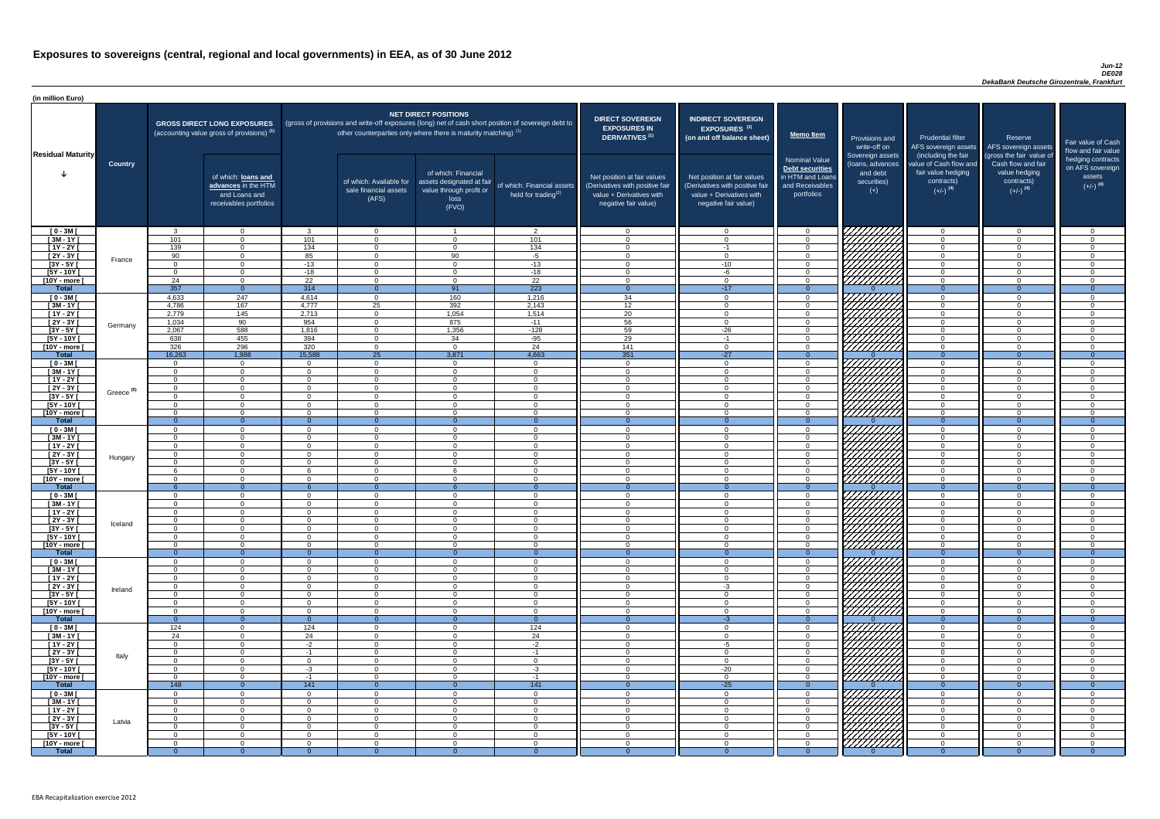#### *Jun-12 DE028 DekaBank Deutsche Girozentrale, Frankfurt*

| (in million Euro)             |                       |                    |                                                                                             |                      |                                                                                                                                                                                   |                                                                                              |                                                         |                                                                                                                    |                                                                                                                    |                                                                                              |                                                                          |                                                                                      |                                                                                  |                                                                           |
|-------------------------------|-----------------------|--------------------|---------------------------------------------------------------------------------------------|----------------------|-----------------------------------------------------------------------------------------------------------------------------------------------------------------------------------|----------------------------------------------------------------------------------------------|---------------------------------------------------------|--------------------------------------------------------------------------------------------------------------------|--------------------------------------------------------------------------------------------------------------------|----------------------------------------------------------------------------------------------|--------------------------------------------------------------------------|--------------------------------------------------------------------------------------|----------------------------------------------------------------------------------|---------------------------------------------------------------------------|
| <b>Residual Maturity</b>      |                       |                    | <b>GROSS DIRECT LONG EXPOSURES</b><br>(accounting value gross of provisions) <sup>(1)</sup> |                      | (gross of provisions and write-off exposures (long) net of cash short position of sovereign debt to<br>other counterparties only where there is maturity matching) <sup>(1)</sup> | <b>NET DIRECT POSITIONS</b>                                                                  |                                                         | <b>DIRECT SOVEREIGN</b><br><b>EXPOSURES IN</b><br><b>DERIVATIVES (1)</b>                                           | <b>INDIRECT SOVEREIGN</b><br><b>EXPOSURES<sup>(3)</sup></b><br>(on and off balance sheet)                          | <b>Memo Item</b>                                                                             | Provisions and<br>write-off on                                           | <b>Prudential filter</b><br>(including the fair                                      | Reserve<br>AFS sovereign assets AFS sovereign assets<br>(gross the fair value of | Fair value of Cash<br>flow and fair value                                 |
|                               | <b>Country</b>        |                    | of which: loans and<br>advances in the HTM<br>and Loans and<br>receivables portfolios       |                      | of which: Available for<br>sale financial assets<br>(AFS)                                                                                                                         | of which: Financial<br>assets designated at fair<br>value through profit or<br>loss<br>(FVO) | of which: Financial assets<br>held for trading $^{(2)}$ | Net position at fair values<br>(Derivatives with positive fair<br>value + Derivatives with<br>negative fair value) | Net position at fair values<br>(Derivatives with positive fair<br>value + Derivatives with<br>negative fair value) | <b>Nominal Value</b><br>Debt securities<br>in HTM and Loans<br>and Receivables<br>portfolios | Sovereign assets<br>(Ioans, advances<br>and debt<br>securities)<br>$(+)$ | value of Cash flow and<br>fair value hedging<br>contracts)<br>$(+/-)$ <sup>(4)</sup> | Cash flow and fair<br>value hedging<br>contracts)<br>$(+/-)$ <sup>(4)</sup>      | hedging contracts<br>on AFS sovereign<br>assets<br>$(+/-)$ <sup>(4)</sup> |
| $[0 - 3M]$                    |                       | $\mathcal{R}$      | $\overline{0}$                                                                              | ્વ                   | $\overline{0}$                                                                                                                                                                    |                                                                                              | $\overline{2}$                                          | - 0                                                                                                                | $\Omega$                                                                                                           | $\Omega$                                                                                     |                                                                          | $\overline{0}$                                                                       | $\Omega$                                                                         | - റ                                                                       |
| $[3M - 1Y]$<br>$[1Y - 2Y]$    |                       | 101<br>139         | $\Omega$<br>$\Omega$                                                                        | 101<br>134           | $\Omega$<br>$\Omega$                                                                                                                                                              | $\Omega$<br>$\Omega$                                                                         | 101<br>134                                              | - 0<br>$\cap$                                                                                                      | $-1$                                                                                                               | $\Omega$<br>$\Omega$                                                                         |                                                                          | $\Omega$<br>$\Omega$                                                                 | $\Omega$<br>$\Omega$                                                             | $\Omega$<br>$\cap$                                                        |
| [2Y - 3Y [                    |                       | 90                 | $\Omega$                                                                                    | 85                   | $\Omega$                                                                                                                                                                          | 90                                                                                           | $-5$                                                    | $\cap$                                                                                                             | $\cap$                                                                                                             | $\Omega$                                                                                     |                                                                          | $\Omega$                                                                             | $\Omega$                                                                         | $\Omega$                                                                  |
| $[3Y - 5Y]$                   | France                | $\Omega$           | $\Omega$                                                                                    | $-13$                | $\Omega$                                                                                                                                                                          | $\Omega$                                                                                     | $-13$                                                   | $\bigcap$                                                                                                          | $-10$                                                                                                              | $\Omega$                                                                                     |                                                                          | $\Omega$                                                                             | $\Omega$                                                                         | $\cap$                                                                    |
| $[5Y - 10Y$ <sup>[</sup>      |                       | $\cap$             | $\overline{0}$                                                                              | $-18$                | $\Omega$                                                                                                                                                                          | $\Omega$                                                                                     | $-18$                                                   | $\sqrt{ }$                                                                                                         | -6                                                                                                                 | $\Omega$                                                                                     | Hillitti                                                                 | $\Omega$                                                                             | $\Omega$                                                                         | $\Omega$                                                                  |
| [10Y - more [                 |                       | 24                 | $\overline{0}$                                                                              | 22                   | $\Omega$                                                                                                                                                                          | $\Omega$                                                                                     | $\overline{22}$                                         | $\sqrt{ }$                                                                                                         | $\cap$                                                                                                             | $\Omega$                                                                                     |                                                                          | $\overline{0}$                                                                       | $\Omega$                                                                         | $\cap$                                                                    |
| <b>Total</b><br>$[0 - 3M]$    |                       | 357<br>4,633       | $\overline{0}$<br>247                                                                       | 314<br>4,614         | $\Omega$<br>$\overline{0}$                                                                                                                                                        | 91<br>160                                                                                    | 223<br>1,216                                            | $\overline{0}$<br>34                                                                                               | $-17$<br>$\Omega$                                                                                                  | $\Omega$<br>$\overline{0}$                                                                   |                                                                          | $\Omega$<br>$\overline{0}$                                                           | $\Omega$<br>$\Omega$                                                             | $\overline{0}$<br>- റ                                                     |
| $[3M - 1Y]$                   |                       | 4,786              | 167                                                                                         | 4,777                | 25                                                                                                                                                                                | 392                                                                                          | 2,143                                                   | 12                                                                                                                 | $\Omega$                                                                                                           | $\overline{0}$                                                                               |                                                                          | $\overline{0}$                                                                       | $\Omega$                                                                         | $\cap$                                                                    |
| $[1Y - 2Y]$                   |                       | 2,779              | $\overline{145}$                                                                            | 2,713                | $\overline{0}$                                                                                                                                                                    | 1,054                                                                                        | 1,514                                                   | 20                                                                                                                 |                                                                                                                    | $\Omega$                                                                                     |                                                                          | $\overline{0}$                                                                       | $\Omega$                                                                         | $\cap$                                                                    |
| $[2Y - 3Y]$                   | Germany               | 1,034              | 90                                                                                          | 954                  | $\overline{0}$                                                                                                                                                                    | 875                                                                                          | $-11$                                                   | 56                                                                                                                 | $\Omega$                                                                                                           | $\Omega$                                                                                     | MANA<br>MANA                                                             | $\overline{0}$                                                                       | $\Omega$                                                                         | $\Omega$                                                                  |
| $[3Y - 5Y]$<br>$[5Y - 10Y]$   |                       | 2,067              | 588<br>455                                                                                  | 1,816<br>394         | $\Omega$<br>$\Omega$                                                                                                                                                              | 1,356<br>34                                                                                  | $-128$                                                  | 59<br>29                                                                                                           | $-26$<br>$-1$                                                                                                      | $\Omega$<br>$\Omega$                                                                         |                                                                          | $\overline{0}$<br>$\overline{0}$                                                     |                                                                                  | $\cap$                                                                    |
| [10Y - more [                 |                       | 638<br>326         | 296                                                                                         | 320                  | $\Omega$                                                                                                                                                                          | $\Omega$                                                                                     | $-95$<br>24                                             | 141                                                                                                                | - 0                                                                                                                | $\Omega$                                                                                     |                                                                          | $\overline{0}$                                                                       |                                                                                  | $\cap$                                                                    |
| <b>Total</b>                  |                       | 16,263             | 1,988                                                                                       | 15,588               | 25                                                                                                                                                                                | 3,871                                                                                        | 4,663                                                   | 351                                                                                                                | $-27$                                                                                                              | $\Omega$                                                                                     |                                                                          | $\overline{0}$                                                                       | $\Omega$                                                                         | $\overline{0}$                                                            |
| $[0 - 3M]$                    |                       | റ                  | $\overline{0}$                                                                              | $\cap$               | $\Omega$                                                                                                                                                                          | - റ                                                                                          | $\overline{0}$                                          | $\cap$                                                                                                             | $\Omega$                                                                                                           | $\Omega$                                                                                     | HHHHA                                                                    | $\overline{0}$                                                                       | $\cap$                                                                           | $\cap$                                                                    |
| $[3M - 1Y]$                   |                       | $\cap$             | $\overline{0}$                                                                              | $\Omega$             | $\Omega$                                                                                                                                                                          | $\Omega$                                                                                     | $\overline{0}$                                          | $\sqrt{ }$                                                                                                         | $\Omega$                                                                                                           | $\Omega$                                                                                     |                                                                          | $\overline{0}$                                                                       | $\Omega$                                                                         | $\Omega$                                                                  |
| $[1Y - 2Y]$<br>$[2Y - 3Y]$    |                       | $\cap$<br>$\Omega$ | $\Omega$<br>$\Omega$                                                                        | $\cap$<br>$\Omega$   | $\Omega$<br>$\Omega$                                                                                                                                                              | $\Omega$<br>$\Omega$                                                                         | $\overline{0}$<br>$\overline{0}$                        | $\Omega$<br>$\cap$                                                                                                 | $\Omega$<br>$\cap$                                                                                                 | $\overline{0}$<br>$\overline{0}$                                                             | <i>ШША</i>                                                               | $\overline{0}$<br>$\Omega$                                                           | $\Omega$<br>$\Omega$                                                             | $\Omega$<br>- റ                                                           |
| $[3Y - 5Y]$                   | Greece <sup>(5)</sup> |                    |                                                                                             |                      |                                                                                                                                                                                   |                                                                                              |                                                         |                                                                                                                    |                                                                                                                    |                                                                                              |                                                                          |                                                                                      |                                                                                  |                                                                           |
| $[5Y - 10Y]$                  |                       | $\Omega$           | $\Omega$                                                                                    | $\Omega$             | $\Omega$                                                                                                                                                                          | $\Omega$                                                                                     | $\Omega$                                                | - 0                                                                                                                |                                                                                                                    | $\Omega$                                                                                     | <i>UUUU</i>                                                              | $\overline{0}$                                                                       | $\Omega$                                                                         | - റ                                                                       |
| [10Y - more [                 |                       | $\Omega$           | $\Omega$                                                                                    | $\Omega$             | $\Omega$                                                                                                                                                                          | $\Omega$                                                                                     | $\Omega$                                                | $\cap$                                                                                                             |                                                                                                                    | $\Omega$                                                                                     | <u>777777777</u>                                                         | $\Omega$                                                                             | $\Omega$                                                                         | ി                                                                         |
| <b>Total</b><br>$[0 - 3M]$    |                       | $\Omega$           | $\Omega$<br>$\Omega$                                                                        | $\Omega$             | $\Omega$                                                                                                                                                                          | $\Omega$                                                                                     | $\theta$<br>$\Omega$                                    | $\Omega$                                                                                                           | ∩                                                                                                                  | $\Omega$                                                                                     |                                                                          | $\Omega$<br>$\overline{0}$                                                           | $\Omega$                                                                         | $\cap$                                                                    |
| $[3M - 1Y]$                   |                       | $\Omega$           | $\overline{0}$                                                                              | $\Omega$             | $\Omega$                                                                                                                                                                          | $\Omega$                                                                                     | $\overline{0}$                                          | - 0                                                                                                                | $\cap$                                                                                                             | $\Omega$                                                                                     |                                                                          | $\overline{0}$                                                                       | $\Omega$                                                                         | $\cap$                                                                    |
| $[1Y - 2Y]$                   |                       | $\overline{0}$     | $\overline{0}$                                                                              | $\Omega$             | $\Omega$                                                                                                                                                                          | $\Omega$                                                                                     | $\overline{0}$                                          | - 0                                                                                                                | $\Omega$                                                                                                           | $\Omega$                                                                                     |                                                                          | $\overline{0}$                                                                       | $\Omega$                                                                         | $\Omega$                                                                  |
| $[2Y - 3Y]$                   | Hungary               | $\Omega$           | $\Omega$                                                                                    | $\Omega$             | $\Omega$                                                                                                                                                                          | $\Omega$                                                                                     | $\overline{0}$                                          | $\cap$                                                                                                             | $\cap$                                                                                                             | $\Omega$                                                                                     |                                                                          | $\overline{0}$                                                                       | $\Omega$                                                                         | $\cap$                                                                    |
| $[3Y - 5Y]$<br>$[5Y - 10Y]$   |                       | $\Omega$           | $\Omega$<br>$\Omega$                                                                        | $\Omega$<br>6        | $\Omega$<br>$\Omega$                                                                                                                                                              | $\Omega$<br>ĥ                                                                                | $\Omega$<br>$\Omega$                                    | $\Omega$<br>$\cap$                                                                                                 | $\cap$<br>$\cap$                                                                                                   | $\Omega$<br>$\Omega$                                                                         |                                                                          | $\Omega$<br>$\Omega$                                                                 | $\Omega$<br>$\Omega$                                                             | $\cap$<br>$\Omega$                                                        |
| [10Y - more [                 |                       | $\cap$             | $\Omega$                                                                                    | $\Omega$             | $\Omega$                                                                                                                                                                          | $\Omega$                                                                                     | $\Omega$                                                | $\Omega$                                                                                                           | $\Omega$                                                                                                           | $\Omega$                                                                                     | HHHH                                                                     | $\Omega$                                                                             | $\Omega$                                                                         | $\cap$                                                                    |
| <b>Total</b>                  |                       |                    | $\Omega$                                                                                    | 6                    | $\Omega$                                                                                                                                                                          |                                                                                              | $\Omega$                                                | $\Omega$                                                                                                           |                                                                                                                    | $\Omega$                                                                                     |                                                                          | $\Omega$                                                                             | $\Omega$                                                                         | $\Omega$                                                                  |
| $[0 - 3M]$                    |                       | . റ                | $\overline{0}$                                                                              | $\Omega$             | $\overline{0}$                                                                                                                                                                    | $\Omega$                                                                                     | $\Omega$                                                | $\cap$                                                                                                             | $\cap$                                                                                                             | $\Omega$                                                                                     |                                                                          | $\overline{0}$                                                                       | $\Omega$                                                                         | $\cap$                                                                    |
| $[3M - 1Y]$<br>$[1Y - 2Y]$    |                       |                    | $\overline{0}$<br>$\Omega$                                                                  | $\Omega$<br>∩        | $\Omega$<br>$\Omega$                                                                                                                                                              | $\Omega$<br>$\Omega$                                                                         | $\Omega$<br>$\Omega$                                    | - 0<br>$\cap$                                                                                                      |                                                                                                                    | $\Omega$<br>$\Omega$                                                                         |                                                                          | $\overline{0}$<br>$\Omega$                                                           | $\Omega$<br>$\Omega$                                                             | $\Omega$<br>$\cap$                                                        |
| $[2Y - 3Y]$                   |                       |                    | $\Omega$                                                                                    | ∩                    | $\Omega$                                                                                                                                                                          | $\Omega$                                                                                     | $\Omega$                                                | - 0                                                                                                                |                                                                                                                    | $\Omega$                                                                                     |                                                                          | $\overline{0}$                                                                       | $\Omega$                                                                         | $\cap$                                                                    |
| $[3Y - 5Y]$                   | Iceland               |                    | $\Omega$                                                                                    |                      | $\Omega$                                                                                                                                                                          | $\Omega$                                                                                     | $\Omega$                                                |                                                                                                                    |                                                                                                                    | $\Omega$                                                                                     |                                                                          | $\Omega$                                                                             |                                                                                  |                                                                           |
| $[5Y - 10Y]$                  |                       |                    | $\Omega$                                                                                    |                      | $\Omega$                                                                                                                                                                          | $\Omega$                                                                                     | $\Omega$                                                |                                                                                                                    |                                                                                                                    | $\Omega$                                                                                     |                                                                          | $\Omega$                                                                             |                                                                                  |                                                                           |
| [10Y - more [<br><b>Total</b> |                       | $\Omega$<br>- റ    | $\Omega$<br>$\Omega$                                                                        | $\Omega$             | $\Omega$<br>$\Omega$                                                                                                                                                              | $\Omega$                                                                                     | $\Omega$<br>$\Omega$                                    | - വ<br>- 0                                                                                                         |                                                                                                                    | $\Omega$<br>$\Omega$                                                                         | /////////                                                                | $\overline{0}$<br>$\Omega$                                                           | $\Omega$                                                                         | $\Omega$                                                                  |
| $[0 - 3M]$                    |                       |                    | $\Omega$                                                                                    | $\cap$               | $\Omega$                                                                                                                                                                          | $\Omega$                                                                                     | $\Omega$                                                | $\cap$                                                                                                             |                                                                                                                    | $\Omega$                                                                                     |                                                                          | $\overline{0}$                                                                       | $\Omega$                                                                         | $\cap$                                                                    |
| $\sqrt{3M-1Y}$                |                       | $\cap$             | $\overline{0}$                                                                              | $\Omega$             | $\Omega$                                                                                                                                                                          | $\Omega$                                                                                     | $\overline{0}$                                          | $\cap$                                                                                                             |                                                                                                                    | $\overline{0}$                                                                               | 777777777                                                                | $\overline{0}$                                                                       | $\Omega$                                                                         | $\cap$                                                                    |
| $[1Y - 2Y]$                   |                       | $\cap$             | $\overline{0}$                                                                              | $\Omega$             | $\Omega$                                                                                                                                                                          | $\Omega$                                                                                     | $\Omega$                                                | $\cap$                                                                                                             | $\cap$                                                                                                             | $\Omega$                                                                                     | 777777777                                                                | $\overline{0}$                                                                       | $\Omega$                                                                         | $\Omega$                                                                  |
| $[2Y - 3Y]$<br>$[3Y - 5Y]$    | Ireland               | $\Omega$<br>$\cap$ | $\overline{0}$<br>$\overline{0}$                                                            | $\Omega$<br>$\Omega$ | $\Omega$<br>$\Omega$                                                                                                                                                              | $\Omega$<br>$\Omega$                                                                         | $\Omega$<br>$\Omega$                                    | $\cap$<br>$\Omega$                                                                                                 | $-3$<br>$\Omega$                                                                                                   | $\Omega$<br>$\overline{0}$                                                                   | VIIIIIII<br><i>777777777</i>                                             | $\overline{0}$<br>$\overline{0}$                                                     | $\Omega$<br>$\Omega$                                                             | $\Omega$<br>$\Omega$                                                      |
| $[5Y - 10Y]$                  |                       | $\Omega$           | $\Omega$                                                                                    | $\Omega$             | $\Omega$                                                                                                                                                                          | $\Omega$                                                                                     | $\Omega$                                                | $\cap$                                                                                                             | $\cap$                                                                                                             | $\overline{0}$                                                                               | 777777777                                                                | $\overline{0}$                                                                       | $\Omega$                                                                         | $\Omega$                                                                  |
| [10Y - more [                 |                       | $\Omega$           | $\Omega$                                                                                    | $\Omega$             | $\Omega$                                                                                                                                                                          | $\Omega$                                                                                     | $\Omega$                                                | $\cap$                                                                                                             | $\Omega$                                                                                                           | $\Omega$                                                                                     | 77777777                                                                 | $\overline{0}$                                                                       | $\Omega$                                                                         | $\Omega$                                                                  |
| <b>Total</b>                  |                       | $\cap$             | $\Omega$                                                                                    |                      |                                                                                                                                                                                   |                                                                                              | $\Omega$                                                |                                                                                                                    | -3                                                                                                                 |                                                                                              |                                                                          | $\Omega$                                                                             |                                                                                  |                                                                           |
| $[0 - 3M]$<br>$[3M - 1Y]$     |                       | 124<br>24          | $\Omega$<br>$\overline{0}$                                                                  | 124<br>24            | $\Omega$<br>$\Omega$                                                                                                                                                              | $\Omega$<br>$\Omega$                                                                         | 124<br>24                                               | - വ<br>- 0                                                                                                         | $\cap$                                                                                                             | $\Omega$<br>$\Omega$                                                                         | 7777                                                                     | $\overline{0}$<br>$\overline{0}$                                                     | $\Omega$<br>$\Omega$                                                             | $\cap$<br>$\cap$                                                          |
| $[1Y - 2Y]$                   |                       | $\Omega$           | $\overline{0}$                                                                              | $-2$                 | $\Omega$                                                                                                                                                                          | $\Omega$                                                                                     | $-2$                                                    | - 0                                                                                                                | -5                                                                                                                 | $\Omega$                                                                                     |                                                                          | $\overline{0}$                                                                       | $\Omega$                                                                         | $\Omega$                                                                  |
| $[2Y - 3Y]$                   | Italy                 | $\Omega$           | $\Omega$                                                                                    | -1                   | $\Omega$                                                                                                                                                                          | $\Omega$                                                                                     | $-1$                                                    | - 0                                                                                                                | $\cap$                                                                                                             | $\Omega$                                                                                     |                                                                          | $\overline{0}$                                                                       | $\Omega$                                                                         | - 0                                                                       |
| $[3Y - 5Y]$                   |                       | $\Omega$           | $\Omega$                                                                                    | $\Omega$             | $\Omega$                                                                                                                                                                          | $\Omega$                                                                                     | $\overline{0}$                                          | റ                                                                                                                  | $\cap$                                                                                                             | $\Omega$                                                                                     | HHHAN<br>HHHHA                                                           | $\Omega$                                                                             | $\Omega$                                                                         | $\Omega$                                                                  |
| $[5Y - 10Y]$                  |                       | $\Omega$<br>$\cap$ | $\Omega$<br>$\Omega$                                                                        | $-3$                 | $\Omega$<br>$\Omega$                                                                                                                                                              | $\Omega$<br>$\cap$                                                                           | $-3$                                                    | $\cap$<br>$\cap$                                                                                                   | $-20$<br>$\cap$                                                                                                    | $\Omega$<br>$\Omega$                                                                         |                                                                          | $\Omega$                                                                             | $\Omega$<br>$\Omega$                                                             | - റ<br>$\cap$                                                             |
| [10Y - more [<br><b>Total</b> |                       | 148                | $\Omega$                                                                                    | -1<br>141            |                                                                                                                                                                                   |                                                                                              | $-1$<br>141                                             |                                                                                                                    | $-25$                                                                                                              |                                                                                              |                                                                          | $\Omega$<br>$\Omega$                                                                 |                                                                                  | $\overline{0}$                                                            |
| $[0 - 3M]$                    |                       | $\cap$             | $\Omega$                                                                                    | $\Omega$             | - റ                                                                                                                                                                               | $\Omega$                                                                                     | $\Omega$                                                | റ                                                                                                                  |                                                                                                                    | $\Omega$                                                                                     | VIIIIIIII                                                                | $\Omega$                                                                             |                                                                                  |                                                                           |
| $[3M - 1Y]$                   |                       | $\Omega$           | $\overline{0}$                                                                              | $\Omega$             | $\overline{0}$                                                                                                                                                                    | $\overline{0}$                                                                               | $\overline{0}$                                          | $\Omega$                                                                                                           | $\cap$                                                                                                             | $\Omega$                                                                                     |                                                                          | $\overline{0}$                                                                       | $\Omega$                                                                         | $\cap$                                                                    |
| $[1Y - 2Y]$                   |                       | $\Omega$           | $\overline{0}$                                                                              | $\Omega$             | $\Omega$                                                                                                                                                                          | $\Omega$                                                                                     | $\overline{0}$                                          | - 0                                                                                                                |                                                                                                                    | $\Omega$                                                                                     |                                                                          | $\Omega$                                                                             | $\Omega$                                                                         | $\cap$                                                                    |
| [2Y - 3Y [<br>$[3Y - 5Y]$     | Latvia                | $\Omega$           | $\overline{0}$<br>$\Omega$                                                                  | $\Omega$<br>$\Omega$ | $\Omega$<br>$\Omega$                                                                                                                                                              | $\Omega$<br>$\Omega$                                                                         | $\overline{0}$<br>$\overline{0}$                        | - വ<br>$\cap$                                                                                                      |                                                                                                                    | $\Omega$<br>$\Omega$                                                                         |                                                                          | $\Omega$<br>$\Omega$                                                                 | $\Omega$<br>∩                                                                    | $\Omega$<br>$\cap$                                                        |
| [5Y - 10Y [                   |                       | $\Omega$           | $\overline{0}$                                                                              | $\Omega$             | $\Omega$                                                                                                                                                                          | $\Omega$                                                                                     | $\overline{0}$                                          | $\cap$                                                                                                             |                                                                                                                    | $\Omega$                                                                                     | <b>SANARIA</b>                                                           | $\Omega$                                                                             | $\Omega$                                                                         | $\Omega$                                                                  |
| [10Y - more [                 |                       | $\Omega$           | $\Omega$                                                                                    | $\Omega$             | $\Omega$                                                                                                                                                                          | $\Omega$                                                                                     | $\overline{0}$                                          | - വ                                                                                                                |                                                                                                                    | $\Omega$                                                                                     |                                                                          | $\Omega$                                                                             |                                                                                  | $\Omega$                                                                  |
| <b>Total</b>                  |                       | - റ                | $\Omega$                                                                                    |                      | - 0                                                                                                                                                                               | $\Omega$                                                                                     | $\Omega$                                                |                                                                                                                    |                                                                                                                    | $\Omega$                                                                                     |                                                                          |                                                                                      |                                                                                  | $\Omega$                                                                  |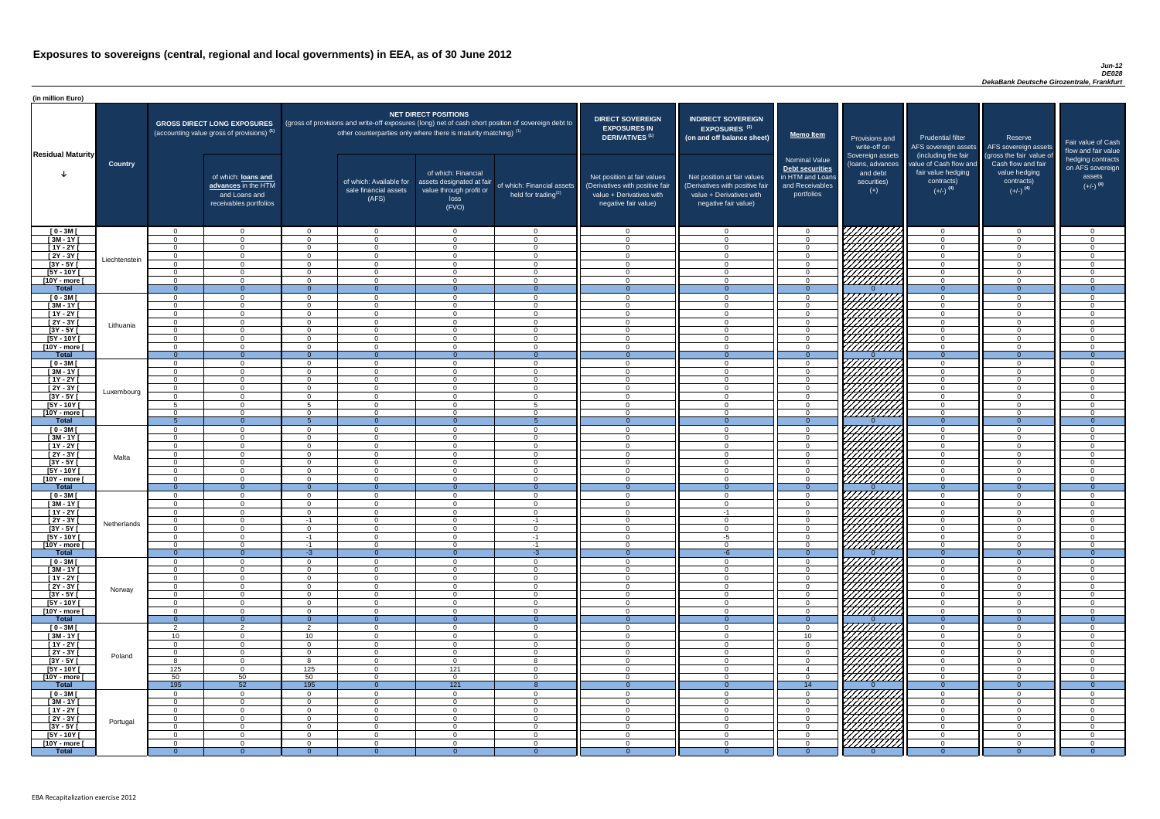#### *Jun-12 DE028 DekaBank Deutsche Girozentrale, Frankfurt*

| <b>DIRECT SOVEREIGN</b><br><b>EXPOSURES IN</b><br><b>DERIVATIVES<sup>(1)</sup></b><br>Net position at fair values<br>(Derivatives with positive fair<br>value + Derivatives with<br>negative fair value) | <b>INDIRECT SOVEREIGN</b><br>EXPOSURES <sup>(3)</sup><br>(on and off balance sheet)<br>Net position at fair values<br>(Derivatives with positive fair<br>value + Derivatives with<br>negative fair value) | <b>Memo Item</b><br><b>Nominal Value</b><br><b>Debt securities</b><br>in HTM and Loans<br>and Receivables<br>portfolios | Provisions and<br>write-off on<br>Sovereign assets<br>(loans, advances<br>and debt<br>securities)<br>$(+)$ | <b>Prudential filter</b><br>AFS sovereign assets<br>(including the fair<br>value of Cash flow and<br>fair value hedging<br>contracts)<br>$(+/-)$ <sup>(4)</sup> | Reserve<br>AFS sovereign assets<br>(gross the fair value of<br>Cash flow and fair<br>value hedging<br>contracts)<br>$(+/-)$ <sup>(4)</sup> | Fair value of Cash<br>flow and fair value<br>hedging contracts<br>on AFS sovereign<br>assets<br>$(+/-)$ <sup>(4)</sup> |
|----------------------------------------------------------------------------------------------------------------------------------------------------------------------------------------------------------|-----------------------------------------------------------------------------------------------------------------------------------------------------------------------------------------------------------|-------------------------------------------------------------------------------------------------------------------------|------------------------------------------------------------------------------------------------------------|-----------------------------------------------------------------------------------------------------------------------------------------------------------------|--------------------------------------------------------------------------------------------------------------------------------------------|------------------------------------------------------------------------------------------------------------------------|
| 0                                                                                                                                                                                                        | $\mathbf 0$                                                                                                                                                                                               | $\overline{0}$                                                                                                          |                                                                                                            | $\overline{0}$                                                                                                                                                  | $\overline{0}$                                                                                                                             | 0                                                                                                                      |
| $\mathbf 0$                                                                                                                                                                                              | $\mathbf 0$                                                                                                                                                                                               | $\mathbf 0$                                                                                                             |                                                                                                            | $\mathbf 0$                                                                                                                                                     | $\mathbf 0$                                                                                                                                | 0                                                                                                                      |
| $\mathbf 0$                                                                                                                                                                                              | $\mathbf 0$                                                                                                                                                                                               | $\mathbf 0$                                                                                                             |                                                                                                            | $\mathbf 0$                                                                                                                                                     | $\mathbf 0$                                                                                                                                | 0                                                                                                                      |
| $\mathbf 0$                                                                                                                                                                                              | $\mathbf 0$                                                                                                                                                                                               | $\mathbf 0$                                                                                                             |                                                                                                            | $\mathbf 0$                                                                                                                                                     | 0                                                                                                                                          | $\mathbf 0$                                                                                                            |
| $\mathbf 0$                                                                                                                                                                                              | $\mathbf 0$                                                                                                                                                                                               | $\mathsf{O}\xspace$                                                                                                     |                                                                                                            | $\pmb{0}$                                                                                                                                                       | $\mathbf 0$                                                                                                                                | 0                                                                                                                      |
| $\mathbf 0$<br>$\mathbf 0$                                                                                                                                                                               | $\mathbf 0$<br>$\mathbf 0$                                                                                                                                                                                | $\mathbf 0$<br>$\boldsymbol{0}$                                                                                         |                                                                                                            | $\mathbf 0$<br>$\pmb{0}$                                                                                                                                        | $\mathbf 0$<br>$\mathbf 0$                                                                                                                 | 0<br>0                                                                                                                 |
| $\overline{0}$                                                                                                                                                                                           | $\overline{0}$                                                                                                                                                                                            | $\overline{0}$                                                                                                          | $\Omega$                                                                                                   | $\overline{0}$                                                                                                                                                  | $\overline{0}$                                                                                                                             | $\overline{0}$                                                                                                         |
| $\mathbf 0$                                                                                                                                                                                              | $\mathbf 0$                                                                                                                                                                                               | $\mathsf 0$                                                                                                             |                                                                                                            | $\mathbf 0$                                                                                                                                                     | $\mathbf 0$                                                                                                                                | 0                                                                                                                      |
| $\mathbf 0$                                                                                                                                                                                              | $\mathbf 0$                                                                                                                                                                                               | $\mathbf 0$                                                                                                             |                                                                                                            | $\mathbf 0$                                                                                                                                                     | $\mathbf 0$                                                                                                                                | 0                                                                                                                      |
| $\mathbf 0$                                                                                                                                                                                              | $\mathbf 0$                                                                                                                                                                                               | $\mathbf 0$                                                                                                             |                                                                                                            | $\mathbf 0$                                                                                                                                                     | $\mathbf 0$                                                                                                                                | 0                                                                                                                      |
| $\mathbf 0$                                                                                                                                                                                              | $\mathbf 0$                                                                                                                                                                                               | $\mathbf 0$                                                                                                             |                                                                                                            | $\mathbf 0$                                                                                                                                                     | $\mathbf 0$                                                                                                                                | 0                                                                                                                      |
| $\mathbf 0$                                                                                                                                                                                              | $\mathbf 0$                                                                                                                                                                                               | $\mathbf 0$                                                                                                             |                                                                                                            | $\mathbf 0$                                                                                                                                                     | $\mathbf 0$                                                                                                                                | 0                                                                                                                      |
| $\mathbf 0$                                                                                                                                                                                              | $\mathbf 0$                                                                                                                                                                                               | $\mathbf 0$                                                                                                             |                                                                                                            | $\mathbf 0$                                                                                                                                                     | $\mathbf 0$                                                                                                                                | 0                                                                                                                      |
| $\mathbf 0$<br>$\mathbf{0}$                                                                                                                                                                              | $\mathbf 0$<br>$\overline{0}$                                                                                                                                                                             | $\mathbf 0$<br>$\overline{0}$                                                                                           | $\Omega$                                                                                                   | 0<br>$\overline{O}$                                                                                                                                             | $\mathbf 0$<br>$\overline{0}$                                                                                                              | 0<br>$\overline{0}$                                                                                                    |
| $\mathbf 0$                                                                                                                                                                                              | $\mathbf 0$                                                                                                                                                                                               | $\mathbf 0$                                                                                                             |                                                                                                            | $\mathbf 0$                                                                                                                                                     | $\mathbf 0$                                                                                                                                | 0                                                                                                                      |
| $\pmb{0}$                                                                                                                                                                                                | $\mathbf 0$                                                                                                                                                                                               | $\mathbf 0$                                                                                                             |                                                                                                            | $\mathbf 0$                                                                                                                                                     | $\mathbf 0$                                                                                                                                | 0                                                                                                                      |
| $\pmb{0}$                                                                                                                                                                                                | $\mathbf 0$                                                                                                                                                                                               | $\mathbf 0$                                                                                                             |                                                                                                            | $\mathbf 0$                                                                                                                                                     | $\mathbf 0$                                                                                                                                | 0                                                                                                                      |
| $\mathbf 0$                                                                                                                                                                                              | $\mathbf 0$                                                                                                                                                                                               | $\mathbf 0$                                                                                                             |                                                                                                            | $\mathbf 0$                                                                                                                                                     | $\mathbf 0$                                                                                                                                | 0                                                                                                                      |
| $\mathbf 0$                                                                                                                                                                                              | $\overline{0}$                                                                                                                                                                                            | $\mathbf 0$                                                                                                             |                                                                                                            | $\mathbf 0$                                                                                                                                                     | $\overline{0}$                                                                                                                             | 0                                                                                                                      |
| 0                                                                                                                                                                                                        | 0                                                                                                                                                                                                         | 0                                                                                                                       |                                                                                                            | $\overline{0}$                                                                                                                                                  | 0                                                                                                                                          | 0                                                                                                                      |
| $\mathbf 0$<br>$\mathbf{0}$                                                                                                                                                                              | $\mathbf 0$<br>$\overline{0}$                                                                                                                                                                             | $\mathbf 0$<br>$\overline{0}$                                                                                           | 777,<br>$\overline{0}$                                                                                     | $\mathbf 0$<br>$\overline{0}$                                                                                                                                   | $\mathbf 0$<br>$\overline{0}$                                                                                                              | 0<br>$\overline{0}$                                                                                                    |
| $\mathbf 0$                                                                                                                                                                                              | $\mathbf 0$                                                                                                                                                                                               | $\mathbf 0$                                                                                                             |                                                                                                            | $\mathbf 0$                                                                                                                                                     | $\mathbf 0$                                                                                                                                | 0                                                                                                                      |
| 0                                                                                                                                                                                                        | 0                                                                                                                                                                                                         | $\mathbf 0$                                                                                                             |                                                                                                            | $\mathbf 0$                                                                                                                                                     | 0                                                                                                                                          | 0                                                                                                                      |
| 0                                                                                                                                                                                                        | $\mathbf 0$                                                                                                                                                                                               | $\mathbf 0$                                                                                                             |                                                                                                            | $\mathbf 0$                                                                                                                                                     | 0                                                                                                                                          | 0                                                                                                                      |
| 0                                                                                                                                                                                                        | 0                                                                                                                                                                                                         | $\mathbf 0$                                                                                                             |                                                                                                            | 0                                                                                                                                                               | 0                                                                                                                                          | 0                                                                                                                      |
| $\mathbf 0$                                                                                                                                                                                              | $\mathbf 0$                                                                                                                                                                                               | $\pmb{0}$                                                                                                               |                                                                                                            | 0                                                                                                                                                               | $\mathbf 0$                                                                                                                                | 0                                                                                                                      |
| $\boldsymbol{0}$                                                                                                                                                                                         | $\mathbf 0$                                                                                                                                                                                               | $\boldsymbol{0}$                                                                                                        |                                                                                                            | $\mathbf 0$                                                                                                                                                     | $\mathbf 0$                                                                                                                                | 0                                                                                                                      |
| $\mathbf 0$<br>$\overline{0}$                                                                                                                                                                            | $\mathbf 0$<br>$\overline{0}$                                                                                                                                                                             | $\mathbf 0$<br>$\mathbf 0$                                                                                              | $\mathbf{0}$                                                                                               | $\mathbf 0$<br>$\overline{0}$                                                                                                                                   | $\mathbf 0$<br>$\overline{0}$                                                                                                              | 0<br>$\mathbf 0$                                                                                                       |
| $\mathbf 0$                                                                                                                                                                                              | $\mathbf 0$                                                                                                                                                                                               | $\mathbf 0$                                                                                                             |                                                                                                            | $\mathbf 0$                                                                                                                                                     | $\mathbf 0$                                                                                                                                | 0                                                                                                                      |
| 0                                                                                                                                                                                                        | 0                                                                                                                                                                                                         | $\mathbf 0$                                                                                                             |                                                                                                            | $\mathbf 0$                                                                                                                                                     | 0                                                                                                                                          | 0                                                                                                                      |
| $\mathbf 0$                                                                                                                                                                                              | -1                                                                                                                                                                                                        | $\mathbf 0$                                                                                                             |                                                                                                            | $\mathbf 0$                                                                                                                                                     | 0                                                                                                                                          | 0                                                                                                                      |
| $\mathbf 0$                                                                                                                                                                                              | $\mathbf 0$                                                                                                                                                                                               | $\mathbf 0$                                                                                                             |                                                                                                            | $\mathbf 0$                                                                                                                                                     | $\mathbf 0$                                                                                                                                | 0                                                                                                                      |
| 0                                                                                                                                                                                                        | 0                                                                                                                                                                                                         | $\mathbf 0$                                                                                                             |                                                                                                            | 0                                                                                                                                                               | 0                                                                                                                                          | 0                                                                                                                      |
| 0                                                                                                                                                                                                        | $-5$                                                                                                                                                                                                      | $\mathbf 0$                                                                                                             |                                                                                                            | 0                                                                                                                                                               | 0                                                                                                                                          | 0                                                                                                                      |
| 0<br>$\mathbf{0}$                                                                                                                                                                                        | 0<br>$-6$                                                                                                                                                                                                 | $\mathbf 0$<br>$\mathbf{0}$                                                                                             | $\overline{0}$                                                                                             | 0<br>$\overline{0}$                                                                                                                                             | 0<br>$\overline{0}$                                                                                                                        | 0<br>$\overline{0}$                                                                                                    |
| $\mathbf 0$                                                                                                                                                                                              | $\mathbf 0$                                                                                                                                                                                               | $\mathbf 0$                                                                                                             |                                                                                                            | 0                                                                                                                                                               | 0                                                                                                                                          | 0                                                                                                                      |
| $\mathbf 0$                                                                                                                                                                                              | $\mathbf 0$                                                                                                                                                                                               | $\mathbf 0$                                                                                                             |                                                                                                            | $\mathbf 0$                                                                                                                                                     | $\mathbf 0$                                                                                                                                | 0                                                                                                                      |
| $\mathbf 0$                                                                                                                                                                                              | $\mathbf 0$                                                                                                                                                                                               | $\mathbf 0$                                                                                                             |                                                                                                            | $\mathbf 0$                                                                                                                                                     | $\mathbf 0$                                                                                                                                | 0                                                                                                                      |
| $\mathbf 0$                                                                                                                                                                                              | $\mathbf 0$                                                                                                                                                                                               | $\mathbf 0$                                                                                                             |                                                                                                            | $\mathbf 0$                                                                                                                                                     | $\mathbf 0$                                                                                                                                | 0                                                                                                                      |
| $\mathbf 0$                                                                                                                                                                                              | $\mathbf 0$                                                                                                                                                                                               | $\mathbf 0$                                                                                                             |                                                                                                            | $\mathbf 0$                                                                                                                                                     | $\mathbf 0$                                                                                                                                | 0                                                                                                                      |
| 0                                                                                                                                                                                                        | 0                                                                                                                                                                                                         | $\mathbf 0$                                                                                                             |                                                                                                            | $\mathbf 0$                                                                                                                                                     | $\overline{0}$                                                                                                                             | 0                                                                                                                      |
| $\mathbf 0$<br>$\mathbf{0}$                                                                                                                                                                              | $\mathbf 0$<br>$\overline{0}$                                                                                                                                                                             | $\mathbf 0$<br>$\overline{0}$                                                                                           | $\mathbf{0}$                                                                                               | $\mathbf 0$<br>$\overline{0}$                                                                                                                                   | $\mathbf 0$<br>$\overline{0}$                                                                                                              | 0<br>$\overline{0}$                                                                                                    |
| $\mathbf 0$                                                                                                                                                                                              | $\mathbf 0$                                                                                                                                                                                               | $\mathbf 0$                                                                                                             |                                                                                                            | $\mathbf 0$                                                                                                                                                     | $\mathbf 0$                                                                                                                                | 0                                                                                                                      |
| $\mathbf 0$                                                                                                                                                                                              | $\mathbf 0$                                                                                                                                                                                               | 10                                                                                                                      |                                                                                                            | $\mathbf 0$                                                                                                                                                     | 0                                                                                                                                          | 0                                                                                                                      |
| $\mathbf 0$                                                                                                                                                                                              | $\mathbf 0$                                                                                                                                                                                               | $\mathbf 0$                                                                                                             |                                                                                                            | $\mathbf 0$                                                                                                                                                     | $\mathbf 0$                                                                                                                                | 0                                                                                                                      |
| $\mathbf 0$                                                                                                                                                                                              | $\mathbf 0$                                                                                                                                                                                               | $\mathbf 0$                                                                                                             |                                                                                                            | 0                                                                                                                                                               | 0                                                                                                                                          | 0                                                                                                                      |
| 0                                                                                                                                                                                                        | $\mathbf 0$                                                                                                                                                                                               | $\pmb{0}$                                                                                                               |                                                                                                            | 0                                                                                                                                                               | $\mathbf 0$                                                                                                                                | 0                                                                                                                      |
| $\mathbf 0$                                                                                                                                                                                              | $\mathbf 0$                                                                                                                                                                                               | $\overline{\mathbf{4}}$                                                                                                 |                                                                                                            | $\mathbf 0$                                                                                                                                                     | $\mathbf 0$                                                                                                                                | 0                                                                                                                      |
| $\mathbf 0$<br>$\mathbf{0}$                                                                                                                                                                              | $\mathbf 0$<br>$\overline{0}$                                                                                                                                                                             | $\mathbf 0$<br>$\overline{14}$                                                                                          | $\mathbf{0}$                                                                                               | 0<br>$\overline{0}$                                                                                                                                             | $\mathbf 0$<br>$\overline{0}$                                                                                                              | 0<br>$\mathbf 0$                                                                                                       |
| $\mathbf 0$                                                                                                                                                                                              | $\mathbf 0$                                                                                                                                                                                               | $\mathbf 0$                                                                                                             |                                                                                                            | 0                                                                                                                                                               | 0                                                                                                                                          | 0                                                                                                                      |
| $\mathbf 0$                                                                                                                                                                                              | $\mathbf 0$                                                                                                                                                                                               | $\boldsymbol{0}$                                                                                                        | 7777777                                                                                                    | $\mathbf 0$                                                                                                                                                     | $\Omega$                                                                                                                                   | $\Omega$                                                                                                               |
| $\mathbf 0$                                                                                                                                                                                              | $\overline{0}$                                                                                                                                                                                            | $\mathbf 0$                                                                                                             |                                                                                                            | $\overline{0}$                                                                                                                                                  | $\overline{0}$                                                                                                                             | 0                                                                                                                      |
| $\mathbf 0$                                                                                                                                                                                              | $\mathbf 0$                                                                                                                                                                                               | $\mathbf 0$                                                                                                             |                                                                                                            | $\overline{0}$                                                                                                                                                  | $\overline{0}$                                                                                                                             | $\overline{0}$                                                                                                         |
| $\mathbf 0$                                                                                                                                                                                              | $\overline{0}$                                                                                                                                                                                            | $\mathbf 0$                                                                                                             |                                                                                                            | $\overline{0}$                                                                                                                                                  | $\overline{0}$                                                                                                                             | $\overline{0}$                                                                                                         |
| $\mathbf 0$                                                                                                                                                                                              | $\overline{0}$                                                                                                                                                                                            | $\mathbf 0$                                                                                                             |                                                                                                            | $\overline{0}$                                                                                                                                                  | $\overline{0}$                                                                                                                             | $\overline{0}$                                                                                                         |
| $\mathbf 0$<br>$\overline{0}$                                                                                                                                                                            | $\overline{0}$<br>$\overline{0}$                                                                                                                                                                          | $\boldsymbol{0}$<br>$\overline{0}$                                                                                      |                                                                                                            | $\overline{0}$<br>$\overline{0}$                                                                                                                                | $\overline{0}$<br>$\overline{0}$                                                                                                           | $\overline{0}$<br>$\overline{0}$                                                                                       |
|                                                                                                                                                                                                          |                                                                                                                                                                                                           |                                                                                                                         | $\overline{0}$                                                                                             |                                                                                                                                                                 |                                                                                                                                            |                                                                                                                        |

| (in million Euro)                   |                |                                                                                             |                           |                                                                                                                                                                                                            |                                  |                                                           |                                                                                              |                                                                              |                                                                                                                    |                                                                                                                    |                                                                                                     |                                                                          |                                                                                                             |                                                                                                         |
|-------------------------------------|----------------|---------------------------------------------------------------------------------------------|---------------------------|------------------------------------------------------------------------------------------------------------------------------------------------------------------------------------------------------------|----------------------------------|-----------------------------------------------------------|----------------------------------------------------------------------------------------------|------------------------------------------------------------------------------|--------------------------------------------------------------------------------------------------------------------|--------------------------------------------------------------------------------------------------------------------|-----------------------------------------------------------------------------------------------------|--------------------------------------------------------------------------|-------------------------------------------------------------------------------------------------------------|---------------------------------------------------------------------------------------------------------|
| <b>Residual Maturity</b>            | <b>Country</b> | <b>GROSS DIRECT LONG EXPOSURES</b><br>(accounting value gross of provisions) <sup>(1)</sup> |                           | <b>NET DIRECT POSITIONS</b><br>(gross of provisions and write-off exposures (long) net of cash short position of sovereign debt to<br>other counterparties only where there is maturity matching) $^{(1)}$ |                                  |                                                           |                                                                                              | <b>DIRECT SOVEREIGN</b><br><b>EXPOSURES IN</b><br>DERIVATIVES <sup>(1)</sup> | <b>INDIRECT SOVEREIGN</b><br><b>EXPOSURES<sup>(3)</sup></b><br>(on and off balance sheet)                          | <b>Memo Item</b>                                                                                                   | Provisions and<br>write-off on                                                                      | <b>Prudential filter</b><br>AFS sovereign assets                         | Reserve<br>AFS sovereign assets                                                                             | <b>Fair value</b><br>flow and f                                                                         |
|                                     |                |                                                                                             |                           | of which: loans and<br>advances in the HTM<br>and Loans and<br>receivables portfolios                                                                                                                      |                                  | of which: Available for<br>sale financial assets<br>(AFS) | of which: Financial<br>assets designated at fair<br>value through profit or<br>loss<br>(FVO) | of which: Financial assets<br>held for trading <sup>(2)</sup>                | Net position at fair values<br>(Derivatives with positive fair<br>value + Derivatives with<br>negative fair value) | Net position at fair values<br>(Derivatives with positive fair<br>value + Derivatives with<br>negative fair value) | <b>Nominal Value</b><br><b>Debt securities</b><br>in HTM and Loans<br>and Receivables<br>portfolios | Sovereign assets<br>(loans, advances<br>and debt<br>securities)<br>$(+)$ | (including the fair<br>value of Cash flow and<br>fair value hedging<br>contracts)<br>$(+/-)$ <sup>(4)</sup> | (gross the fair value of<br>Cash flow and fair<br>value hedging<br>contracts)<br>$(+/-)$ <sup>(4)</sup> |
| $[0 - 3M]$                          |                | $\Omega$                                                                                    | $\Omega$                  | $\Omega$                                                                                                                                                                                                   | $\overline{0}$                   | $\overline{0}$                                            | $\cap$                                                                                       | $\cap$                                                                       | $\overline{0}$                                                                                                     | $\overline{0}$                                                                                                     | 7777777777                                                                                          | $\overline{0}$                                                           | $\Omega$                                                                                                    |                                                                                                         |
| $[3M - 1Y]$                         |                | $\Omega$                                                                                    | $\Omega$                  | $\Omega$                                                                                                                                                                                                   | $\overline{0}$                   | $\Omega$                                                  | $\cap$                                                                                       |                                                                              | $\Omega$                                                                                                           | $\Omega$                                                                                                           |                                                                                                     | $\Omega$                                                                 | $\Omega$                                                                                                    |                                                                                                         |
| $[1Y - 2Y]$<br>$\boxed{2Y - 3Y}$    |                | $\Omega$<br>$\Omega$                                                                        | $\cap$<br>$\Omega$        | $\Omega$<br>$\Omega$                                                                                                                                                                                       | $\overline{0}$<br>$\overline{0}$ | $\Omega$<br>$\Omega$                                      | $\cap$<br>$\Omega$                                                                           | $\Omega$                                                                     | $\Omega$<br>$\Omega$                                                                                               | $\Omega$<br>$\Omega$                                                                                               |                                                                                                     | $\Omega$<br>$\Omega$                                                     | $\Omega$<br>$\Omega$                                                                                        |                                                                                                         |
| $[3Y - 5Y]$                         | Liechtenstein  | $\Omega$                                                                                    | $\cap$                    | $\Omega$                                                                                                                                                                                                   | $\Omega$                         | $\Omega$                                                  | $\cap$                                                                                       | $\cap$                                                                       | - റ                                                                                                                | $\Omega$                                                                                                           |                                                                                                     | $\Omega$                                                                 | $\Omega$                                                                                                    |                                                                                                         |
| $[5Y - 10Y]$                        |                | $\Omega$                                                                                    | $\cap$                    | $\Omega$                                                                                                                                                                                                   | $\overline{0}$                   | $\Omega$                                                  | $\cap$                                                                                       | $\Omega$                                                                     | $\cap$                                                                                                             | $\Omega$                                                                                                           |                                                                                                     | $\overline{0}$                                                           | $\Omega$                                                                                                    |                                                                                                         |
| [10Y - more [                       |                | $\Omega$                                                                                    | $\Omega$                  | $\Omega$                                                                                                                                                                                                   | $\overline{0}$                   | $\Omega$                                                  | $\Omega$                                                                                     | $\Omega$                                                                     | $\cap$                                                                                                             | $\overline{0}$                                                                                                     | HAHARA KADALLAR<br>HAHARARA                                                                         | $\overline{0}$                                                           | $\Omega$                                                                                                    |                                                                                                         |
| <b>Total</b>                        |                | $\Omega$                                                                                    | $\Omega$                  | - വ                                                                                                                                                                                                        | $\Omega$                         | $\cap$                                                    | $\Omega$<br>$\Omega$                                                                         | $\Omega$                                                                     |                                                                                                                    | $\Omega$                                                                                                           | 77777777                                                                                            | $\Omega$                                                                 | $\Omega$                                                                                                    |                                                                                                         |
| $[0 - 3M]$<br>$[3M - 1Y]$           |                | $\Omega$<br>$\Omega$                                                                        | $\Omega$                  | $\Omega$<br>$\Omega$                                                                                                                                                                                       | $\overline{0}$<br>$\overline{0}$ | $\Omega$<br>$\Omega$                                      | $\Omega$                                                                                     |                                                                              | $\Omega$<br>$\Omega$                                                                                               | $\Omega$<br>$\overline{0}$                                                                                         |                                                                                                     | $\Omega$<br>$\overline{0}$                                               | $\Omega$<br>$\overline{0}$                                                                                  |                                                                                                         |
| $[1Y - 2Y]$                         |                | $\Omega$                                                                                    | $\cap$                    | $\Omega$                                                                                                                                                                                                   | $\overline{0}$                   | $\Omega$                                                  | $\Omega$                                                                                     |                                                                              | $\Omega$                                                                                                           | $\Omega$                                                                                                           |                                                                                                     | $\overline{0}$                                                           | $\Omega$                                                                                                    |                                                                                                         |
| $[2Y - 3Y]$                         | Lithuania      | $\Omega$                                                                                    | $\cap$                    | $\Omega$                                                                                                                                                                                                   | $\Omega$                         | $\Omega$                                                  | $\sqrt{ }$                                                                                   | $\sim$                                                                       | $\Omega$                                                                                                           | $\Omega$                                                                                                           |                                                                                                     | $\Omega$                                                                 | $\Omega$                                                                                                    |                                                                                                         |
| $[3Y - 5Y]$<br>$[5Y - 10Y]$         |                | $\Omega$<br>$\Omega$                                                                        |                           | $\Omega$<br>$\Omega$                                                                                                                                                                                       | $\overline{0}$                   | $\Omega$<br>$\Omega$                                      |                                                                                              |                                                                              | $\cap$<br>$\Omega$                                                                                                 | $\Omega$<br>$\Omega$                                                                                               | 777777777<br>777777777                                                                              | $\Omega$<br>$\Omega$                                                     | $\Omega$<br>$\Omega$                                                                                        |                                                                                                         |
| [10Y - more [                       |                | $\cap$                                                                                      | $\cap$                    | $\Omega$                                                                                                                                                                                                   | $\overline{0}$<br>$\Omega$       | $\Omega$                                                  |                                                                                              |                                                                              | $\cap$                                                                                                             | $\Omega$                                                                                                           | 777777777                                                                                           | $\Omega$                                                                 | $\Omega$                                                                                                    |                                                                                                         |
| <b>Total</b>                        |                | $\overline{0}$                                                                              |                           | $\Omega$                                                                                                                                                                                                   | $\Omega$                         | - റ                                                       | - റ                                                                                          |                                                                              | $\Omega$                                                                                                           | $\Omega$                                                                                                           |                                                                                                     | $\Omega$                                                                 | $\Omega$                                                                                                    |                                                                                                         |
| $[0 - 3M]$                          |                | $\Omega$                                                                                    | $\cap$                    | $\Omega$                                                                                                                                                                                                   | $\Omega$                         | $\Omega$                                                  |                                                                                              |                                                                              | $\cap$                                                                                                             | . വ                                                                                                                | 777777777                                                                                           | $\Omega$                                                                 | $\Omega$                                                                                                    |                                                                                                         |
| $[3M-1Y]$<br>$[1Y - 2Y]$            |                | $\Omega$<br>$\Omega$                                                                        | $\cap$<br>$\Omega$        | $\Omega$<br>$\Omega$                                                                                                                                                                                       | $\Omega$<br>$\Omega$             | $\Omega$<br>$\Omega$                                      |                                                                                              | $\Omega$<br>$\Omega$                                                         | $\Omega$<br>$\Omega$                                                                                               | $\Omega$<br>. റ                                                                                                    |                                                                                                     | $\overline{0}$<br>$\Omega$                                               | $\Omega$<br>$\Omega$                                                                                        |                                                                                                         |
| $[2Y - 3Y]$                         |                | $\Omega$                                                                                    | $\cap$                    | $\Omega$                                                                                                                                                                                                   | $\Omega$                         | $\Omega$                                                  |                                                                                              | $\Omega$                                                                     | $\Omega$                                                                                                           | $\Omega$                                                                                                           | $\mathbb{Z}$                                                                                        | $\Omega$                                                                 | $\Omega$                                                                                                    |                                                                                                         |
| $[3Y - 5Y]$                         | Luxembourg     |                                                                                             |                           |                                                                                                                                                                                                            |                                  |                                                           |                                                                                              |                                                                              |                                                                                                                    |                                                                                                                    |                                                                                                     |                                                                          |                                                                                                             |                                                                                                         |
| $[5Y - 10Y]$                        |                |                                                                                             | $\cap$                    | -5                                                                                                                                                                                                         | $\Omega$                         | $\Omega$                                                  |                                                                                              |                                                                              | $\Omega$                                                                                                           | $\Omega$                                                                                                           | 444411<br>644                                                                                       | $\Omega$                                                                 | $\Omega$                                                                                                    |                                                                                                         |
| [10Y - more ]<br><b>Total</b>       |                | $\Omega$<br>$\overline{5}$                                                                  |                           | $\Omega$                                                                                                                                                                                                   | $\Omega$<br>$\Omega$             | $\Omega$                                                  |                                                                                              |                                                                              |                                                                                                                    | $\Omega$<br>$\Omega$                                                                                               | 777777777                                                                                           | $\Omega$<br>$\overline{0}$                                               | $\Omega$<br>$\Omega$                                                                                        |                                                                                                         |
| $[0 - 3M]$                          |                | $\Omega$                                                                                    | $\cap$                    | $\Omega$                                                                                                                                                                                                   | $\Omega$                         | $\Omega$                                                  |                                                                                              |                                                                              | $\Omega$                                                                                                           | $\Omega$                                                                                                           |                                                                                                     | $\Omega$                                                                 | - 0                                                                                                         |                                                                                                         |
| $[3M - 1Y]$                         |                |                                                                                             |                           | $\Omega$                                                                                                                                                                                                   | $\Omega$                         | $\Omega$                                                  |                                                                                              |                                                                              | $\Omega$                                                                                                           | $\Omega$                                                                                                           | VIIIIIIIII<br>レフフフフ                                                                                 | $\Omega$                                                                 | $\Omega$                                                                                                    |                                                                                                         |
| $[1Y - 2Y]$                         |                | $\Omega$<br>$\Omega$                                                                        | $\Omega$<br>$\cap$        | $\Omega$<br>- 0                                                                                                                                                                                            | $\overline{0}$                   | $\Omega$<br>$\Omega$                                      | $\cap$                                                                                       | $\cap$                                                                       | $\Omega$<br>$\Omega$                                                                                               | $\Omega$<br>$\Omega$                                                                                               |                                                                                                     | $\Omega$<br>$\Omega$                                                     | $\Omega$<br>$\Omega$                                                                                        |                                                                                                         |
| [2Y - 3Y [<br>$[3Y - 5Y]$           | Malta          | $\Omega$                                                                                    | $\cap$                    | - 0                                                                                                                                                                                                        | $\overline{0}$<br>$\overline{0}$ | $\Omega$                                                  | $\cap$                                                                                       |                                                                              | $\Omega$                                                                                                           | $\Omega$                                                                                                           |                                                                                                     | $\Omega$                                                                 | $\Omega$                                                                                                    |                                                                                                         |
| $[5Y - 10Y]$                        |                | $\Omega$                                                                                    | $\cap$                    | $\Omega$                                                                                                                                                                                                   | $\overline{0}$                   | $\Omega$                                                  | $\Omega$                                                                                     | $\Omega$                                                                     | $\Omega$                                                                                                           | $\overline{0}$                                                                                                     | //////////                                                                                          | $\Omega$                                                                 | $\Omega$                                                                                                    |                                                                                                         |
| [10Y - more [                       |                | $\Omega$                                                                                    | $\cap$                    | $\Omega$                                                                                                                                                                                                   | $\Omega$                         | $\Omega$                                                  | $\cap$                                                                                       | $\Omega$                                                                     | $\Omega$                                                                                                           | $\Omega$                                                                                                           | r <i>ttiiiin</i>                                                                                    | $\overline{0}$                                                           | $\Omega$                                                                                                    |                                                                                                         |
| <b>Total</b><br>$[0 - 3M]$          |                | $\overline{0}$<br>$\Omega$                                                                  | $\Omega$<br>$\Omega$      | $\Omega$<br>$\Omega$                                                                                                                                                                                       | $\Omega$<br>$\overline{0}$       | $\Omega$<br>$\Omega$                                      | $\overline{0}$<br>$\Omega$                                                                   | ∩                                                                            | $\Omega$                                                                                                           | $\Omega$<br>$\overline{0}$                                                                                         |                                                                                                     | $\Omega$<br>$\Omega$                                                     | - 0<br>$\Omega$                                                                                             |                                                                                                         |
| $[3M - 1Y]$                         |                | $\Omega$                                                                                    | . റ                       | $\Omega$                                                                                                                                                                                                   | $\overline{0}$                   | $\Omega$                                                  | $\Omega$                                                                                     | $\cap$                                                                       | $\Omega$                                                                                                           | $\Omega$                                                                                                           |                                                                                                     | $\Omega$                                                                 | $\overline{0}$                                                                                              |                                                                                                         |
| $[1Y - 2Y]$                         |                | $\Omega$                                                                                    | $\Omega$                  | $\Omega$                                                                                                                                                                                                   | $\overline{0}$                   | $\Omega$                                                  | $\Omega$                                                                                     |                                                                              | -1                                                                                                                 | $\Omega$                                                                                                           |                                                                                                     | $\overline{0}$                                                           | $\Omega$                                                                                                    |                                                                                                         |
| $[2Y - 3Y]$                         | Netherlands    | $\overline{0}$                                                                              | $\Omega$                  | -1                                                                                                                                                                                                         | $\overline{0}$                   | $\Omega$                                                  | $-1$                                                                                         |                                                                              | $\Omega$                                                                                                           | $\overline{0}$                                                                                                     |                                                                                                     | $\overline{0}$                                                           | $\overline{0}$                                                                                              |                                                                                                         |
| $[3Y - 5Y]$<br>$[5Y - 10Y]$         |                | $\Omega$<br>$\Omega$                                                                        | $\Omega$<br>$\Omega$      | $\Omega$<br>-1                                                                                                                                                                                             | $\Omega$<br>$\overline{0}$       | $\Omega$<br>$\Omega$                                      | $\cap$<br>$-1$                                                                               |                                                                              | $\Omega$<br>$-5$                                                                                                   | $\Omega$<br>$\Omega$                                                                                               |                                                                                                     | $\Omega$<br>$\Omega$                                                     | $\Omega$<br>$\Omega$                                                                                        |                                                                                                         |
| [10Y - more [                       |                | $\Omega$                                                                                    | $\Omega$                  | $-1$                                                                                                                                                                                                       | $\overline{0}$                   | $\overline{0}$                                            | $-1$                                                                                         |                                                                              | $\Omega$                                                                                                           | $\Omega$                                                                                                           | <u>VIIIII</u> II                                                                                    | $\Omega$                                                                 | $\Omega$                                                                                                    |                                                                                                         |
| <b>Total</b>                        |                | $\overline{0}$                                                                              | -0                        | $-3$                                                                                                                                                                                                       | $\overline{0}$                   | -0                                                        | $-3$                                                                                         |                                                                              | -6                                                                                                                 | $\Omega$                                                                                                           |                                                                                                     | $\overline{0}$                                                           | $\Omega$                                                                                                    |                                                                                                         |
| $[0 - 3M]$                          | Norway         | $\Omega$<br>$\Omega$                                                                        | റ<br>. റ                  | - 0<br>$\Omega$                                                                                                                                                                                            | $\Omega$                         | $\Omega$                                                  | $\cap$<br>$\cap$                                                                             | $\Omega$                                                                     | $\Omega$<br>$\Omega$                                                                                               | $\Omega$<br>$\Omega$                                                                                               |                                                                                                     | $\Omega$                                                                 | $\Omega$<br>$\Omega$                                                                                        |                                                                                                         |
| $[3M - 1Y]$<br>$[1Y - 2Y]$          |                | $\Omega$                                                                                    | $\Omega$                  | $\Omega$                                                                                                                                                                                                   | $\overline{0}$<br>$\overline{0}$ | $\Omega$<br>$\Omega$                                      | $\cap$                                                                                       | $\Omega$                                                                     | $\Omega$                                                                                                           | $\Omega$                                                                                                           |                                                                                                     | $\overline{0}$<br>$\overline{0}$                                         | $\Omega$                                                                                                    |                                                                                                         |
| $[2Y - 3Y]$                         |                | $\Omega$                                                                                    | $\Omega$                  | $\Omega$                                                                                                                                                                                                   | $\Omega$                         | $\Omega$                                                  | $\Omega$                                                                                     | $\Omega$                                                                     | $\Omega$                                                                                                           | $\Omega$                                                                                                           | HAAAB                                                                                               | $\overline{0}$                                                           | $\Omega$                                                                                                    |                                                                                                         |
| $[3Y - 5Y]$                         |                | $\Omega$                                                                                    | . റ                       | $\Omega$                                                                                                                                                                                                   | $\overline{0}$                   | $\Omega$                                                  | $\cap$                                                                                       | $\cap$                                                                       | $\Omega$                                                                                                           | $\Omega$                                                                                                           |                                                                                                     | $\Omega$                                                                 | $\Omega$                                                                                                    |                                                                                                         |
| $[5Y - 10Y]$<br>[10Y - more [       |                | $\Omega$<br>$\Omega$                                                                        | $\cap$<br>$\cap$          | $\Omega$<br>$\Omega$                                                                                                                                                                                       | $\overline{0}$<br>$\Omega$       | $\Omega$<br>$\Omega$                                      | $\cap$<br>$\cap$                                                                             | $\Omega$<br>$\Omega$                                                         | $\Omega$<br>$\Omega$                                                                                               | $\Omega$<br>$\Omega$                                                                                               | 777777777<br><u>V//////////</u>                                                                     | $\Omega$<br>$\Omega$                                                     | $\Omega$<br>$\Omega$                                                                                        |                                                                                                         |
| <b>Total</b>                        |                | $\overline{0}$                                                                              |                           | - 0                                                                                                                                                                                                        | $\Omega$                         |                                                           | - 0                                                                                          |                                                                              |                                                                                                                    | $\Omega$                                                                                                           |                                                                                                     | $\Omega$                                                                 | - 0                                                                                                         |                                                                                                         |
| $[0 - 3M]$                          |                | ົາ                                                                                          |                           | -2                                                                                                                                                                                                         | $\Omega$                         | $\Omega$                                                  |                                                                                              |                                                                              | $\Omega$                                                                                                           | $\Omega$                                                                                                           |                                                                                                     | $\Omega$                                                                 | $\Omega$                                                                                                    |                                                                                                         |
| $[3M - 1Y]$                         |                | 10 <sup>°</sup>                                                                             | $\Omega$                  | 10                                                                                                                                                                                                         | $\overline{0}$                   | $\Omega$                                                  | $\cap$                                                                                       |                                                                              | $\Omega$                                                                                                           | 10 <sup>°</sup>                                                                                                    |                                                                                                     | $\Omega$                                                                 | $\Omega$                                                                                                    |                                                                                                         |
| $[1Y - 2Y]$<br>$\overline{2Y - 3Y}$ |                | $\Omega$<br>$\Omega$                                                                        | $\Omega$<br>$\cap$        | $\Omega$<br>$\Omega$                                                                                                                                                                                       | $\overline{0}$<br>$\overline{0}$ | $\Omega$<br>$\Omega$                                      |                                                                                              |                                                                              | $\Omega$<br>$\Omega$                                                                                               | $\Omega$<br>$\Omega$                                                                                               |                                                                                                     | $\Omega$<br>$\Omega$                                                     | $\Omega$<br>$\Omega$                                                                                        |                                                                                                         |
| $[3Y - 5Y]$                         | Poland         | $\Omega$                                                                                    | $\cap$                    | -8                                                                                                                                                                                                         | $\overline{0}$                   | $\Omega$                                                  | R                                                                                            |                                                                              | $\Omega$                                                                                                           | $\Omega$                                                                                                           |                                                                                                     | $\Omega$                                                                 | $\Omega$                                                                                                    |                                                                                                         |
| $[5Y - 10Y]$                        |                | 125                                                                                         | $\cap$                    | 125                                                                                                                                                                                                        | $\Omega$                         | 121                                                       | $\cap$                                                                                       | ∩                                                                            | $\Omega$                                                                                                           | $\mathbf{\Delta}$                                                                                                  | HHHHH                                                                                               | $\overline{0}$                                                           | $\Omega$                                                                                                    |                                                                                                         |
| [10Y - more [                       |                | 50                                                                                          | 50                        | 50                                                                                                                                                                                                         | $\Omega$                         | $\Omega$                                                  | $\Omega$                                                                                     |                                                                              | $\Omega$                                                                                                           | $\Omega$                                                                                                           |                                                                                                     | $\Omega$                                                                 | $\Omega$                                                                                                    |                                                                                                         |
| <b>Total</b><br>$[0 - 3M]$          |                | 195<br>$\Omega$                                                                             | 52 <sub>2</sub><br>$\cap$ | 195<br>$\Omega$                                                                                                                                                                                            | $\Omega$<br>$\Omega$             | 121<br>$\Omega$                                           |                                                                                              |                                                                              | $\Omega$                                                                                                           | 14<br>$\Omega$                                                                                                     | <i>V7777777</i> 7                                                                                   | $\Omega$<br>$\Omega$                                                     | - 0<br>$\Omega$                                                                                             |                                                                                                         |
| $[3M - 1Y]$                         |                | $\Omega$                                                                                    | <u>റ</u>                  | $\Omega$                                                                                                                                                                                                   | $\overline{0}$                   | $\overline{0}$                                            | $\Omega$                                                                                     | $\cap$                                                                       | $\Omega$                                                                                                           | $\Omega$                                                                                                           |                                                                                                     | $\overline{0}$                                                           | $\overline{0}$                                                                                              |                                                                                                         |
| $[1Y - 2Y]$                         |                | $\Omega$                                                                                    | $\Omega$                  | $\Omega$                                                                                                                                                                                                   | $\overline{0}$                   | $\overline{0}$                                            | $\Omega$                                                                                     | $\Omega$                                                                     | $\Omega$                                                                                                           | $\overline{0}$                                                                                                     |                                                                                                     | $\overline{0}$                                                           | $\overline{0}$                                                                                              |                                                                                                         |
| $[2Y - 3Y]$                         | Portugal       | $\overline{0}$                                                                              | $\overline{0}$            | $\Omega$                                                                                                                                                                                                   | $\overline{0}$                   | $\overline{0}$                                            | $\Omega$                                                                                     | $\Omega$<br>$\Omega$                                                         | $\Omega$                                                                                                           | $\overline{0}$                                                                                                     |                                                                                                     | $\overline{0}$                                                           | $\Omega$                                                                                                    |                                                                                                         |
| $[3Y - 5Y]$<br>$[5Y - 10Y]$         |                | $\Omega$<br>$\Omega$                                                                        | $\Omega$<br>$\Omega$      | - റ<br>$\Omega$                                                                                                                                                                                            | $\overline{0}$<br>$\overline{0}$ | $\Omega$<br>$\overline{0}$                                |                                                                                              |                                                                              | $\Omega$<br>$\Omega$                                                                                               | $\Omega$<br>$\overline{0}$                                                                                         |                                                                                                     | $\Omega$<br>$\Omega$                                                     | $\Omega$<br>$\Omega$                                                                                        | $\cap$                                                                                                  |
| [10Y - more [                       |                |                                                                                             | $\Omega$                  | $\Omega$                                                                                                                                                                                                   | $\Omega$                         | $\Omega$                                                  |                                                                                              |                                                                              | $\Omega$                                                                                                           | $\Omega$                                                                                                           | William                                                                                             | $\Omega$                                                                 | - ೧                                                                                                         | C                                                                                                       |
| <b>Total</b>                        |                | $\Omega$                                                                                    |                           | $\Omega$                                                                                                                                                                                                   | $\Omega$                         |                                                           |                                                                                              |                                                                              |                                                                                                                    |                                                                                                                    |                                                                                                     |                                                                          |                                                                                                             |                                                                                                         |